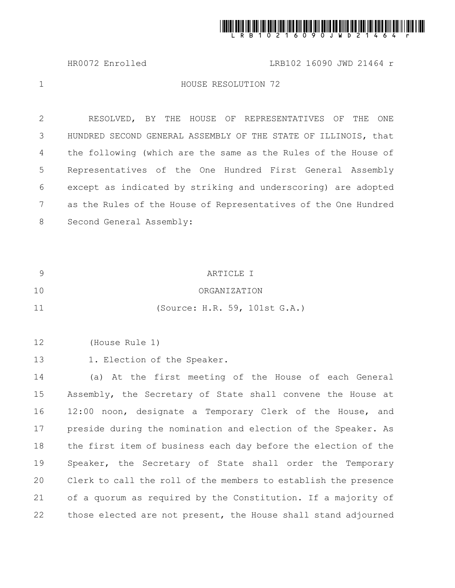

HR0072 Enrolled LRB102 16090 JWD 21464 r

1

## HOUSE RESOLUTION 72

RESOLVED, BY THE HOUSE OF REPRESENTATIVES OF THE ONE HUNDRED SECOND GENERAL ASSEMBLY OF THE STATE OF ILLINOIS, that the following (which are the same as the Rules of the House of Representatives of the One Hundred First General Assembly except as indicated by striking and underscoring) are adopted as the Rules of the House of Representatives of the One Hundred Second General Assembly: 2 3 4 5 6 7 8

| 9  | ARTICLE I                                                       |
|----|-----------------------------------------------------------------|
| 10 | ORGANIZATION                                                    |
| 11 | (Source: H.R. 59, 101st G.A.)                                   |
|    |                                                                 |
| 12 | (House Rule 1)                                                  |
| 13 | 1. Election of the Speaker.                                     |
| 14 | (a) At the first meeting of the House of each General           |
| 15 | Assembly, the Secretary of State shall convene the House at     |
| 16 | 12:00 noon, designate a Temporary Clerk of the House, and       |
| 17 | preside during the nomination and election of the Speaker. As   |
| 18 | the first item of business each day before the election of the  |
| 19 | Speaker, the Secretary of State shall order the Temporary       |
| 20 | Clerk to call the roll of the members to establish the presence |
| 21 | of a quorum as required by the Constitution. If a majority of   |
| 22 | those elected are not present, the House shall stand adjourned  |
|    |                                                                 |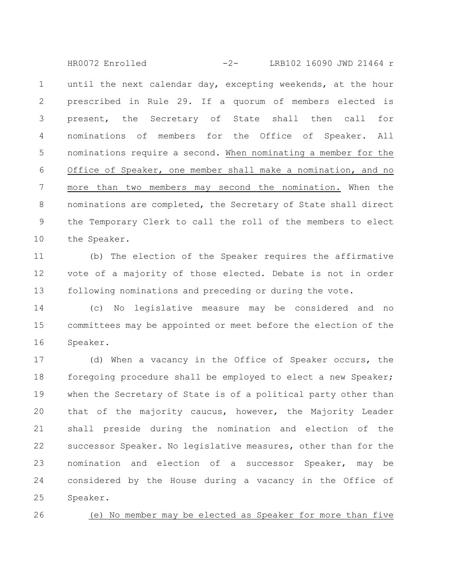until the next calendar day, excepting weekends, at the hour prescribed in Rule 29. If a quorum of members elected is present, the Secretary of State shall then call for nominations of members for the Office of Speaker. All nominations require a second. When nominating a member for the Office of Speaker, one member shall make a nomination, and no more than two members may second the nomination. When the nominations are completed, the Secretary of State shall direct the Temporary Clerk to call the roll of the members to elect the Speaker. 1 2 3 4 5 6 7 8 9 10 HR0072 Enrolled -2- LRB102 16090 JWD 21464 r

(b) The election of the Speaker requires the affirmative vote of a majority of those elected. Debate is not in order following nominations and preceding or during the vote. 11 12 13

(c) No legislative measure may be considered and no committees may be appointed or meet before the election of the Speaker. 14 15 16

(d) When a vacancy in the Office of Speaker occurs, the foregoing procedure shall be employed to elect a new Speaker; when the Secretary of State is of a political party other than that of the majority caucus, however, the Majority Leader shall preside during the nomination and election of the successor Speaker. No legislative measures, other than for the nomination and election of a successor Speaker, may be considered by the House during a vacancy in the Office of Speaker. 17 18 19 20 21 22 23 24 25

26

(e) No member may be elected as Speaker for more than five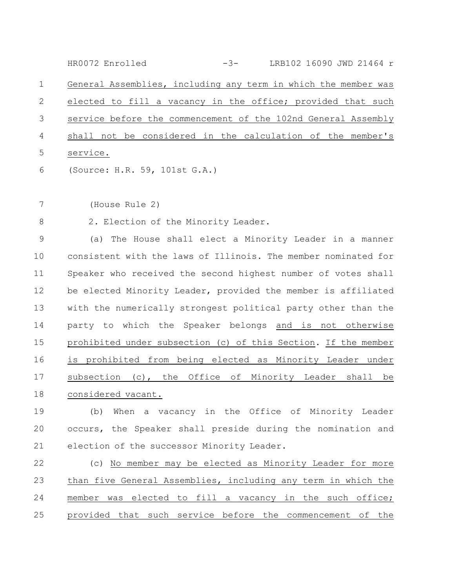General Assemblies, including any term in which the member was elected to fill a vacancy in the office; provided that such service before the commencement of the 102nd General Assembly shall not be considered in the calculation of the member's service. (Source: H.R. 59, 101st G.A.) 1 2 3 4 5 6 HR0072 Enrolled -3- LRB102 16090 JWD 21464 r

(House Rule 2) 7

2. Election of the Minority Leader. 8

(a) The House shall elect a Minority Leader in a manner consistent with the laws of Illinois. The member nominated for Speaker who received the second highest number of votes shall be elected Minority Leader, provided the member is affiliated with the numerically strongest political party other than the party to which the Speaker belongs and is not otherwise prohibited under subsection (c) of this Section. If the member is prohibited from being elected as Minority Leader under subsection (c), the Office of Minority Leader shall be considered vacant. 9 10 11 12 13 14 15 16 17 18

(b) When a vacancy in the Office of Minority Leader occurs, the Speaker shall preside during the nomination and election of the successor Minority Leader. 19 20 21

(c) No member may be elected as Minority Leader for more than five General Assemblies, including any term in which the member was elected to fill a vacancy in the such office; provided that such service before the commencement of the 22 23 24 25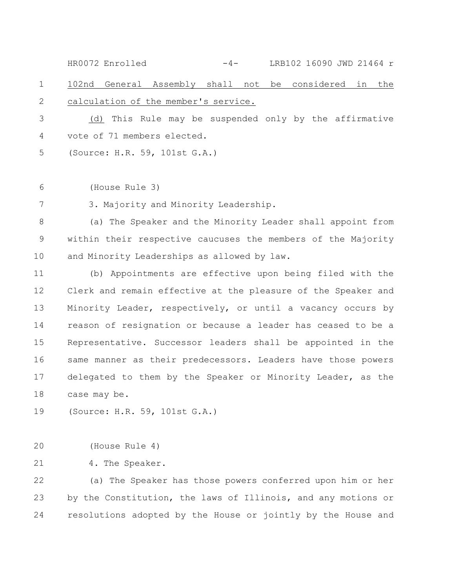102nd General Assembly shall not be considered in the calculation of the member's service. 1 2 HR0072 Enrolled -4- LRB102 16090 JWD 21464 r

(d) This Rule may be suspended only by the affirmative vote of 71 members elected. 3 4

(Source: H.R. 59, 101st G.A.) 5

(House Rule 3) 6

3. Majority and Minority Leadership. 7

(a) The Speaker and the Minority Leader shall appoint from within their respective caucuses the members of the Majority and Minority Leaderships as allowed by law. 8 9 10

(b) Appointments are effective upon being filed with the Clerk and remain effective at the pleasure of the Speaker and Minority Leader, respectively, or until a vacancy occurs by reason of resignation or because a leader has ceased to be a Representative. Successor leaders shall be appointed in the same manner as their predecessors. Leaders have those powers delegated to them by the Speaker or Minority Leader, as the case may be. 11 12 13 14 15 16 17 18

(Source: H.R. 59, 101st G.A.) 19

(House Rule 4) 20

4. The Speaker. 21

(a) The Speaker has those powers conferred upon him or her by the Constitution, the laws of Illinois, and any motions or resolutions adopted by the House or jointly by the House and 22 23 24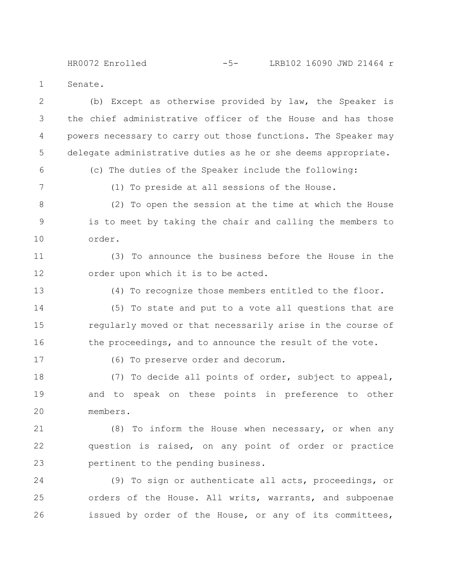Senate. HR0072 Enrolled -5- LRB102 16090 JWD 21464 r

(b) Except as otherwise provided by law, the Speaker is the chief administrative officer of the House and has those powers necessary to carry out those functions. The Speaker may delegate administrative duties as he or she deems appropriate. 2 3 4 5

6

1

(c) The duties of the Speaker include the following:

7

(1) To preside at all sessions of the House.

(2) To open the session at the time at which the House is to meet by taking the chair and calling the members to order. 8 9 10

(3) To announce the business before the House in the order upon which it is to be acted. 11 12

13

(4) To recognize those members entitled to the floor.

(5) To state and put to a vote all questions that are regularly moved or that necessarily arise in the course of the proceedings, and to announce the result of the vote. 14 15 16

17

(6) To preserve order and decorum.

(7) To decide all points of order, subject to appeal, and to speak on these points in preference to other members. 18 19 20

(8) To inform the House when necessary, or when any question is raised, on any point of order or practice pertinent to the pending business. 21 22 23

(9) To sign or authenticate all acts, proceedings, or orders of the House. All writs, warrants, and subpoenae issued by order of the House, or any of its committees, 24 25 26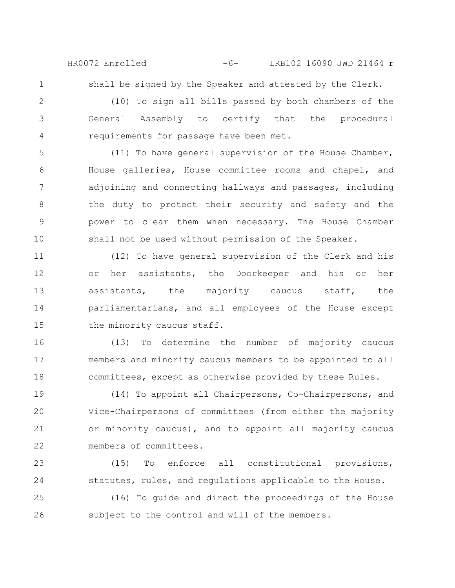HR0072 Enrolled -6- LRB102 16090 JWD 21464 r

1

shall be signed by the Speaker and attested by the Clerk.

(10) To sign all bills passed by both chambers of the General Assembly to certify that the procedural requirements for passage have been met. 2 3 4

(11) To have general supervision of the House Chamber, House galleries, House committee rooms and chapel, and adjoining and connecting hallways and passages, including the duty to protect their security and safety and the power to clear them when necessary. The House Chamber shall not be used without permission of the Speaker. 5 6 7 8 9 10

(12) To have general supervision of the Clerk and his or her assistants, the Doorkeeper and his or her assistants, the majority caucus staff, the parliamentarians, and all employees of the House except the minority caucus staff. 11 12 13 14 15

(13) To determine the number of majority caucus members and minority caucus members to be appointed to all committees, except as otherwise provided by these Rules. 16 17 18

(14) To appoint all Chairpersons, Co-Chairpersons, and Vice-Chairpersons of committees (from either the majority or minority caucus), and to appoint all majority caucus members of committees. 19 20 21 22

(15) To enforce all constitutional provisions, statutes, rules, and regulations applicable to the House. 23 24

(16) To guide and direct the proceedings of the House subject to the control and will of the members. 25 26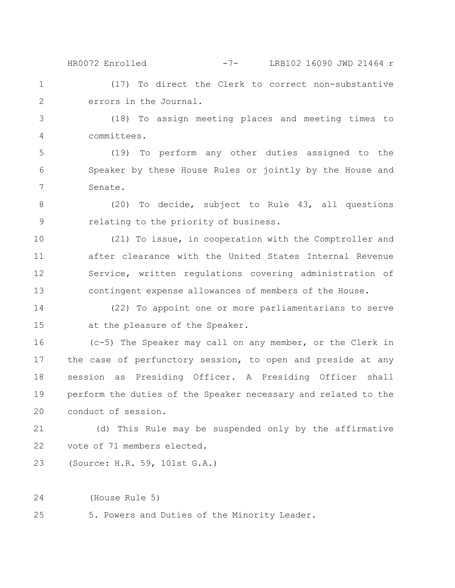(17) To direct the Clerk to correct non-substantive HR0072 Enrolled -7- LRB102 16090 JWD 21464 r

2

3

1

errors in the Journal. (18) To assign meeting places and meeting times to

committees. 4

(19) To perform any other duties assigned to the Speaker by these House Rules or jointly by the House and Senate. 5 6 7

(20) To decide, subject to Rule 43, all questions relating to the priority of business. 8 9

(21) To issue, in cooperation with the Comptroller and after clearance with the United States Internal Revenue Service, written regulations covering administration of contingent expense allowances of members of the House. 10 11 12 13

(22) To appoint one or more parliamentarians to serve at the pleasure of the Speaker. 14 15

(c-5) The Speaker may call on any member, or the Clerk in the case of perfunctory session, to open and preside at any session as Presiding Officer. A Presiding Officer shall perform the duties of the Speaker necessary and related to the conduct of session. 16 17 18 19 20

(d) This Rule may be suspended only by the affirmative vote of 71 members elected. 21 22

(Source: H.R. 59, 101st G.A.) 23

(House Rule 5) 24

5. Powers and Duties of the Minority Leader. 25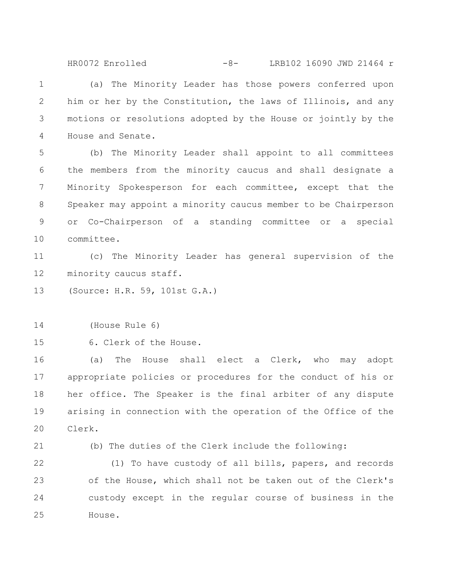HR0072 Enrolled -8- LRB102 16090 JWD 21464 r

(a) The Minority Leader has those powers conferred upon him or her by the Constitution, the laws of Illinois, and any motions or resolutions adopted by the House or jointly by the House and Senate. 1 2 3 4

(b) The Minority Leader shall appoint to all committees the members from the minority caucus and shall designate a Minority Spokesperson for each committee, except that the Speaker may appoint a minority caucus member to be Chairperson or Co-Chairperson of a standing committee or a special committee. 5 6 7 8 9 10

(c) The Minority Leader has general supervision of the minority caucus staff. 11 12

(Source: H.R. 59, 101st G.A.) 13

(House Rule 6) 14

6. Clerk of the House. 15

(a) The House shall elect a Clerk, who may adopt appropriate policies or procedures for the conduct of his or her office. The Speaker is the final arbiter of any dispute arising in connection with the operation of the Office of the Clerk. 16 17 18 19 20

21

(b) The duties of the Clerk include the following:

(1) To have custody of all bills, papers, and records of the House, which shall not be taken out of the Clerk's custody except in the regular course of business in the House. 22 23 24 25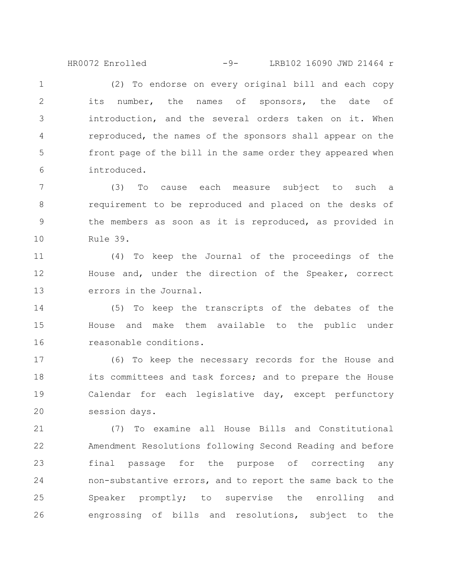HR0072 Enrolled -9- LRB102 16090 JWD 21464 r

(2) To endorse on every original bill and each copy its number, the names of sponsors, the date of introduction, and the several orders taken on it. When reproduced, the names of the sponsors shall appear on the front page of the bill in the same order they appeared when introduced. 1 2 3 4 5 6

(3) To cause each measure subject to such a requirement to be reproduced and placed on the desks of the members as soon as it is reproduced, as provided in Rule 39. 7 8 9 10

(4) To keep the Journal of the proceedings of the House and, under the direction of the Speaker, correct errors in the Journal. 11 12 13

(5) To keep the transcripts of the debates of the House and make them available to the public under reasonable conditions. 14 15 16

(6) To keep the necessary records for the House and its committees and task forces; and to prepare the House Calendar for each legislative day, except perfunctory session days. 17 18 19 20

(7) To examine all House Bills and Constitutional Amendment Resolutions following Second Reading and before final passage for the purpose of correcting any non-substantive errors, and to report the same back to the Speaker promptly; to supervise the enrolling and engrossing of bills and resolutions, subject to the 21 22 23 24 25 26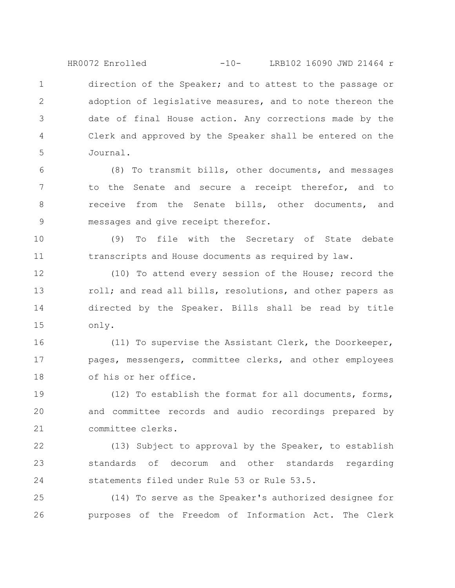direction of the Speaker; and to attest to the passage or adoption of legislative measures, and to note thereon the date of final House action. Any corrections made by the Clerk and approved by the Speaker shall be entered on the Journal. 1 2 3 4 5 HR0072 Enrolled -10- LRB102 16090 JWD 21464 r

(8) To transmit bills, other documents, and messages to the Senate and secure a receipt therefor, and to receive from the Senate bills, other documents, and messages and give receipt therefor. 6 7 8 9

(9) To file with the Secretary of State debate transcripts and House documents as required by law. 10 11

(10) To attend every session of the House; record the roll; and read all bills, resolutions, and other papers as directed by the Speaker. Bills shall be read by title only. 12 13 14 15

(11) To supervise the Assistant Clerk, the Doorkeeper, pages, messengers, committee clerks, and other employees of his or her office. 16 17 18

(12) To establish the format for all documents, forms, and committee records and audio recordings prepared by committee clerks. 19 20 21

(13) Subject to approval by the Speaker, to establish standards of decorum and other standards regarding statements filed under Rule 53 or Rule 53.5. 22 23 24

(14) To serve as the Speaker's authorized designee for purposes of the Freedom of Information Act. The Clerk 25 26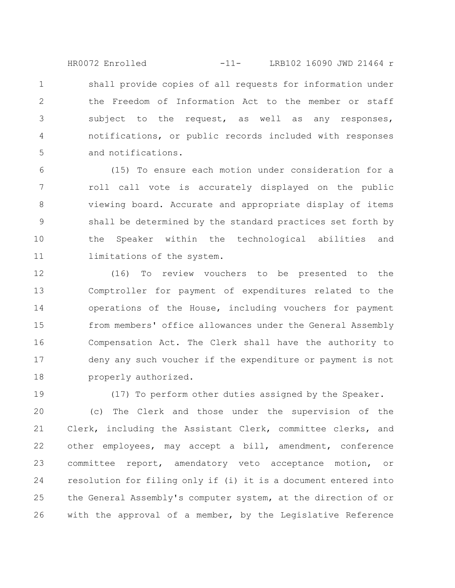shall provide copies of all requests for information under the Freedom of Information Act to the member or staff subject to the request, as well as any responses, notifications, or public records included with responses and notifications. 1 2 3 4 5 HR0072 Enrolled -11- LRB102 16090 JWD 21464 r

(15) To ensure each motion under consideration for a roll call vote is accurately displayed on the public viewing board. Accurate and appropriate display of items shall be determined by the standard practices set forth by the Speaker within the technological abilities and limitations of the system. 6 7 8 9 10 11

(16) To review vouchers to be presented to the Comptroller for payment of expenditures related to the operations of the House, including vouchers for payment from members' office allowances under the General Assembly Compensation Act. The Clerk shall have the authority to deny any such voucher if the expenditure or payment is not properly authorized. 12 13 14 15 16 17 18

19

(17) To perform other duties assigned by the Speaker.

(c) The Clerk and those under the supervision of the Clerk, including the Assistant Clerk, committee clerks, and other employees, may accept a bill, amendment, conference committee report, amendatory veto acceptance motion, or resolution for filing only if (i) it is a document entered into the General Assembly's computer system, at the direction of or with the approval of a member, by the Legislative Reference 20 21 22 23 24 25 26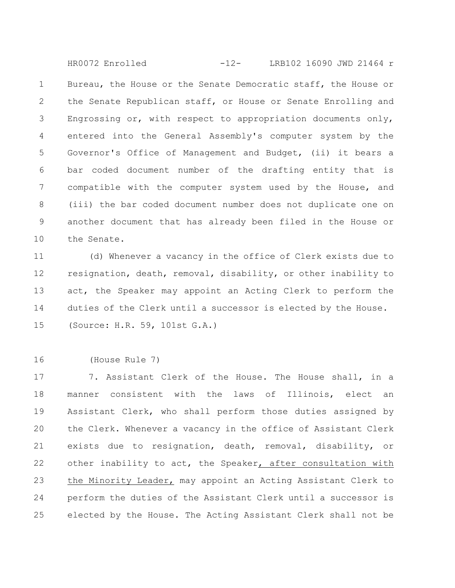Bureau, the House or the Senate Democratic staff, the House or the Senate Republican staff, or House or Senate Enrolling and Engrossing or, with respect to appropriation documents only, entered into the General Assembly's computer system by the Governor's Office of Management and Budget, (ii) it bears a bar coded document number of the drafting entity that is compatible with the computer system used by the House, and (iii) the bar coded document number does not duplicate one on another document that has already been filed in the House or the Senate. 1 2 3 4 5 6 7 8 9 10 HR0072 Enrolled -12- LRB102 16090 JWD 21464 r

(d) Whenever a vacancy in the office of Clerk exists due to resignation, death, removal, disability, or other inability to act, the Speaker may appoint an Acting Clerk to perform the duties of the Clerk until a successor is elected by the House. (Source: H.R. 59, 101st G.A.) 11 12 13 14 15

(House Rule 7) 16

7. Assistant Clerk of the House. The House shall, in a manner consistent with the laws of Illinois, elect an Assistant Clerk, who shall perform those duties assigned by the Clerk. Whenever a vacancy in the office of Assistant Clerk exists due to resignation, death, removal, disability, or other inability to act, the Speaker, after consultation with the Minority Leader, may appoint an Acting Assistant Clerk to perform the duties of the Assistant Clerk until a successor is elected by the House. The Acting Assistant Clerk shall not be 17 18 19 20 21 22 23 24 25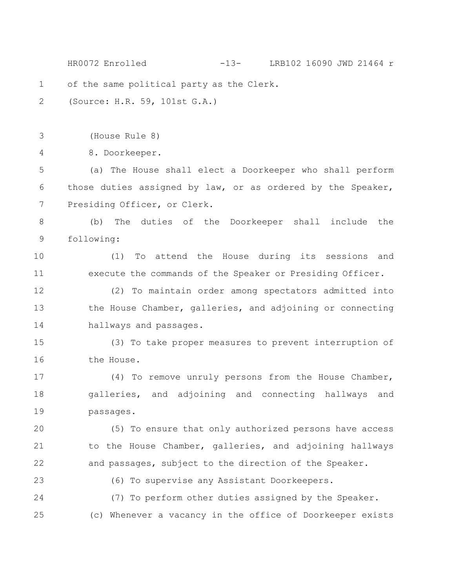of the same political party as the Clerk. (Source: H.R. 59, 101st G.A.) (House Rule 8) 8. Doorkeeper. (a) The House shall elect a Doorkeeper who shall perform those duties assigned by law, or as ordered by the Speaker, Presiding Officer, or Clerk. (b) The duties of the Doorkeeper shall include the following: (1) To attend the House during its sessions and execute the commands of the Speaker or Presiding Officer. (2) To maintain order among spectators admitted into the House Chamber, galleries, and adjoining or connecting hallways and passages. (3) To take proper measures to prevent interruption of the House. (4) To remove unruly persons from the House Chamber, galleries, and adjoining and connecting hallways and passages. (5) To ensure that only authorized persons have access to the House Chamber, galleries, and adjoining hallways and passages, subject to the direction of the Speaker. (6) To supervise any Assistant Doorkeepers. (7) To perform other duties assigned by the Speaker. (c) Whenever a vacancy in the office of Doorkeeper exists 1 2 3 4 5 6 7 8 9 10 11 12 13 14 15 16 17 18 19 20 21 22 23 24 25 HR0072 Enrolled -13- LRB102 16090 JWD 21464 r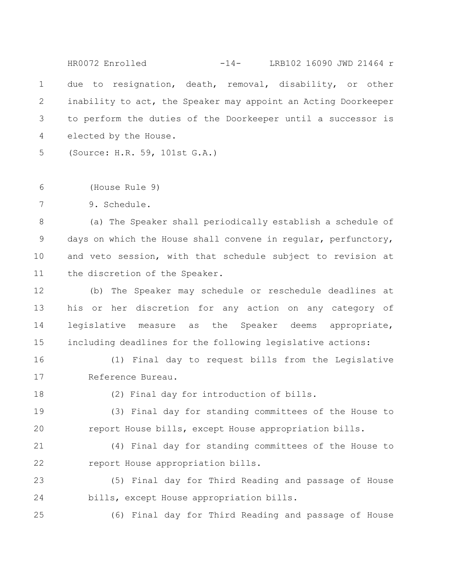due to resignation, death, removal, disability, or other inability to act, the Speaker may appoint an Acting Doorkeeper to perform the duties of the Doorkeeper until a successor is elected by the House. 1 2 3 4 HR0072 Enrolled -14- LRB102 16090 JWD 21464 r

(Source: H.R. 59, 101st G.A.) 5

(House Rule 9) 6

9. Schedule. 7

(a) The Speaker shall periodically establish a schedule of days on which the House shall convene in regular, perfunctory, and veto session, with that schedule subject to revision at the discretion of the Speaker. 8 9 10 11

(b) The Speaker may schedule or reschedule deadlines at his or her discretion for any action on any category of legislative measure as the Speaker deems appropriate, including deadlines for the following legislative actions: 12 13 14 15

(1) Final day to request bills from the Legislative Reference Bureau. 16 17

18

(2) Final day for introduction of bills.

(3) Final day for standing committees of the House to report House bills, except House appropriation bills. 19 20

(4) Final day for standing committees of the House to report House appropriation bills. 21 22

(5) Final day for Third Reading and passage of House bills, except House appropriation bills. 23 24

25

(6) Final day for Third Reading and passage of House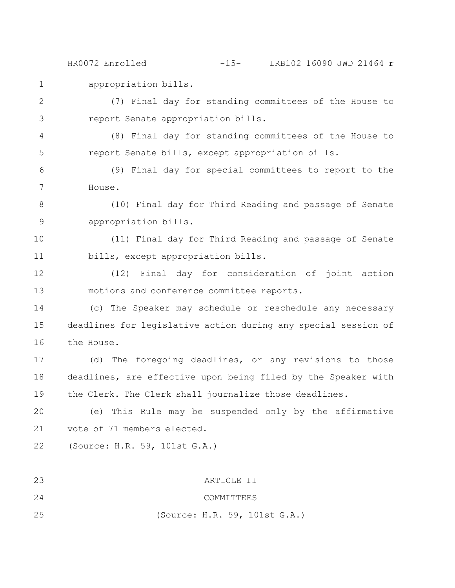appropriation bills. HR0072 Enrolled -15- LRB102 16090 JWD 21464 r

(7) Final day for standing committees of the House to report Senate appropriation bills. 2 3

(8) Final day for standing committees of the House to report Senate bills, except appropriation bills. 4 5

(9) Final day for special committees to report to the House. 6 7

(10) Final day for Third Reading and passage of Senate appropriation bills. 8 9

(11) Final day for Third Reading and passage of Senate bills, except appropriation bills. 10 11

(12) Final day for consideration of joint action motions and conference committee reports. 12 13

(c) The Speaker may schedule or reschedule any necessary deadlines for legislative action during any special session of the House. 14 15 16

(d) The foregoing deadlines, or any revisions to those deadlines, are effective upon being filed by the Speaker with the Clerk. The Clerk shall journalize those deadlines. 17 18 19

(e) This Rule may be suspended only by the affirmative vote of 71 members elected. 20 21

(Source: H.R. 59, 101st G.A.) 22

1

ARTICLE II COMMITTEES (Source: H.R. 59, 101st G.A.) 23 24 25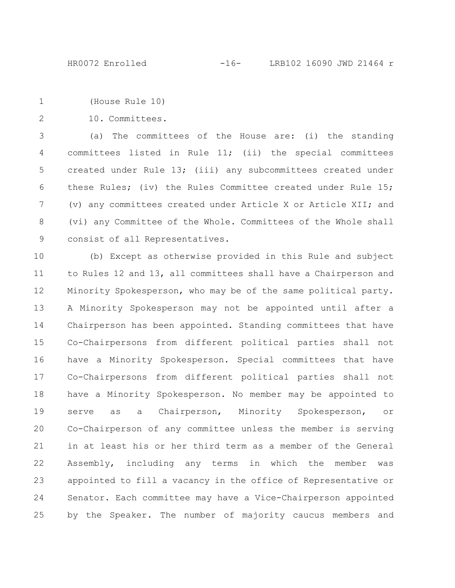```
(House Rule 10)
1
```
10. Committees. 2

(a) The committees of the House are: (i) the standing committees listed in Rule 11; (ii) the special committees created under Rule 13; (iii) any subcommittees created under these Rules; (iv) the Rules Committee created under Rule 15; (v) any committees created under Article X or Article XII; and (vi) any Committee of the Whole. Committees of the Whole shall consist of all Representatives. 3 4 5 6 7 8 9

(b) Except as otherwise provided in this Rule and subject to Rules 12 and 13, all committees shall have a Chairperson and Minority Spokesperson, who may be of the same political party. A Minority Spokesperson may not be appointed until after a Chairperson has been appointed. Standing committees that have Co-Chairpersons from different political parties shall not have a Minority Spokesperson. Special committees that have Co-Chairpersons from different political parties shall not have a Minority Spokesperson. No member may be appointed to serve as a Chairperson, Minority Spokesperson, or Co-Chairperson of any committee unless the member is serving in at least his or her third term as a member of the General Assembly, including any terms in which the member was appointed to fill a vacancy in the office of Representative or Senator. Each committee may have a Vice-Chairperson appointed by the Speaker. The number of majority caucus members and 10 11 12 13 14 15 16 17 18 19 20 21 22 23 24 25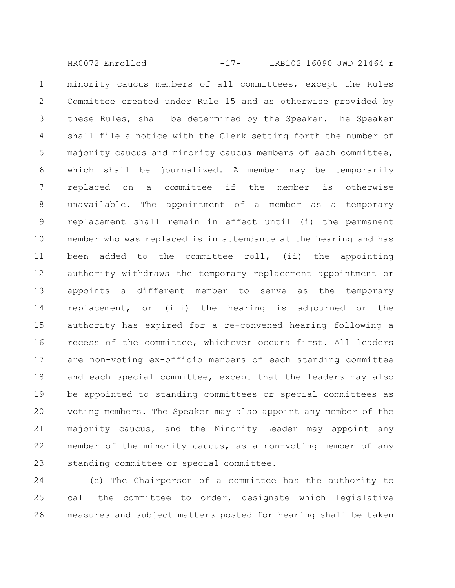minority caucus members of all committees, except the Rules Committee created under Rule 15 and as otherwise provided by these Rules, shall be determined by the Speaker. The Speaker shall file a notice with the Clerk setting forth the number of majority caucus and minority caucus members of each committee, which shall be journalized. A member may be temporarily replaced on a committee if the member is otherwise unavailable. The appointment of a member as a temporary replacement shall remain in effect until (i) the permanent member who was replaced is in attendance at the hearing and has been added to the committee roll, (ii) the appointing authority withdraws the temporary replacement appointment or appoints a different member to serve as the temporary replacement, or (iii) the hearing is adjourned or the authority has expired for a re-convened hearing following a recess of the committee, whichever occurs first. All leaders are non-voting ex-officio members of each standing committee and each special committee, except that the leaders may also be appointed to standing committees or special committees as voting members. The Speaker may also appoint any member of the majority caucus, and the Minority Leader may appoint any member of the minority caucus, as a non-voting member of any standing committee or special committee. 1 2 3 4 5 6 7 8 9 10 11 12 13 14 15 16 17 18 19 20 21 22 23 HR0072 Enrolled -17- LRB102 16090 JWD 21464 r

(c) The Chairperson of a committee has the authority to call the committee to order, designate which legislative measures and subject matters posted for hearing shall be taken 24 25 26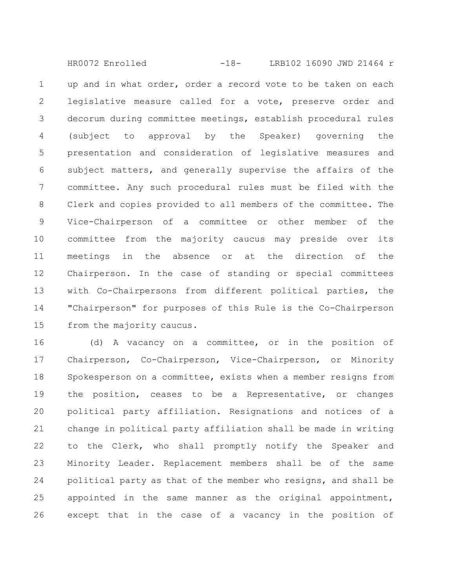up and in what order, order a record vote to be taken on each legislative measure called for a vote, preserve order and decorum during committee meetings, establish procedural rules (subject to approval by the Speaker) governing the presentation and consideration of legislative measures and subject matters, and generally supervise the affairs of the committee. Any such procedural rules must be filed with the Clerk and copies provided to all members of the committee. The Vice-Chairperson of a committee or other member of the committee from the majority caucus may preside over its meetings in the absence or at the direction of the Chairperson. In the case of standing or special committees with Co-Chairpersons from different political parties, the "Chairperson" for purposes of this Rule is the Co-Chairperson from the majority caucus. 1 2 3 4 5 6 7 8 9 10 11 12 13 14 15 HR0072 Enrolled -18- LRB102 16090 JWD 21464 r

(d) A vacancy on a committee, or in the position of Chairperson, Co-Chairperson, Vice-Chairperson, or Minority Spokesperson on a committee, exists when a member resigns from the position, ceases to be a Representative, or changes political party affiliation. Resignations and notices of a change in political party affiliation shall be made in writing to the Clerk, who shall promptly notify the Speaker and Minority Leader. Replacement members shall be of the same political party as that of the member who resigns, and shall be appointed in the same manner as the original appointment, except that in the case of a vacancy in the position of 16 17 18 19 20 21 22 23 24 25 26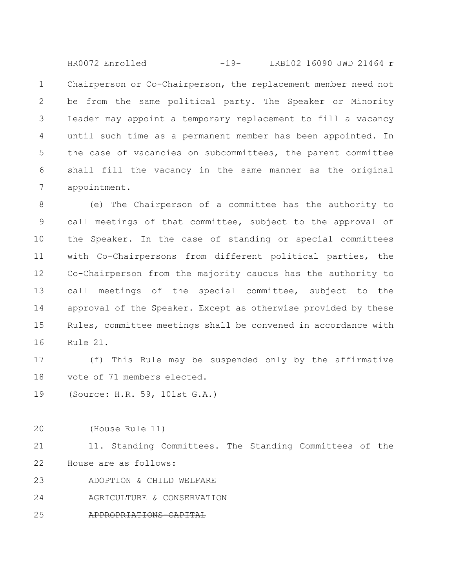Chairperson or Co-Chairperson, the replacement member need not be from the same political party. The Speaker or Minority Leader may appoint a temporary replacement to fill a vacancy until such time as a permanent member has been appointed. In the case of vacancies on subcommittees, the parent committee shall fill the vacancy in the same manner as the original appointment. 1 2 3 4 5 6 7 HR0072 Enrolled -19- LRB102 16090 JWD 21464 r

(e) The Chairperson of a committee has the authority to call meetings of that committee, subject to the approval of the Speaker. In the case of standing or special committees with Co-Chairpersons from different political parties, the Co-Chairperson from the majority caucus has the authority to call meetings of the special committee, subject to the approval of the Speaker. Except as otherwise provided by these Rules, committee meetings shall be convened in accordance with Rule 21. 8 9 10 11 12 13 14 15 16

(f) This Rule may be suspended only by the affirmative vote of 71 members elected. 17 18

(Source: H.R. 59, 101st G.A.) 19

(House Rule 11) 20

11. Standing Committees. The Standing Committees of the House are as follows: 21 22

ADOPTION & CHILD WELFARE 23

AGRICULTURE & CONSERVATION 24

APPROPRIATIONS-CAPITAL 25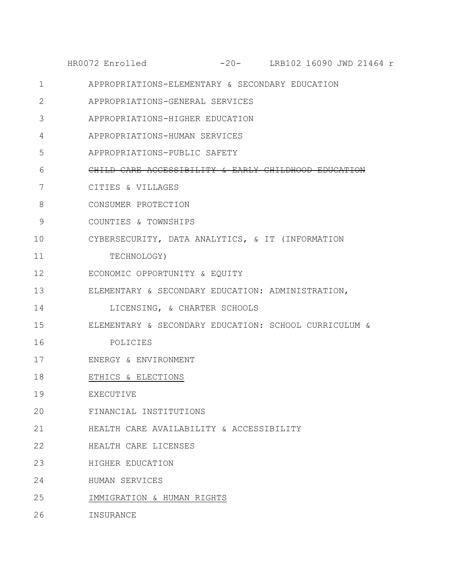|             | -20- LRB102 16090 JWD 21464 r<br>HR0072 Enrolled      |
|-------------|-------------------------------------------------------|
| $\mathbf 1$ | APPROPRIATIONS-ELEMENTARY & SECONDARY EDUCATION       |
| 2           | APPROPRIATIONS-GENERAL SERVICES                       |
| 3           | APPROPRIATIONS-HIGHER EDUCATION                       |
| 4           | APPROPRIATIONS-HUMAN SERVICES                         |
| 5           | APPROPRIATIONS-PUBLIC SAFETY                          |
| 6           | CHILD CARE ACCESSIBILITY & EARLY CHILDHOOD E          |
| 7           | CITIES & VILLAGES                                     |
| 8           | CONSUMER PROTECTION                                   |
| 9           | COUNTIES & TOWNSHIPS                                  |
| 10          | CYBERSECURITY, DATA ANALYTICS, & IT (INFORMATION      |
| 11          | TECHNOLOGY)                                           |
| 12          | ECONOMIC OPPORTUNITY & EQUITY                         |
| 13          | ELEMENTARY & SECONDARY EDUCATION: ADMINISTRATION,     |
| 14          | LICENSING, & CHARTER SCHOOLS                          |
| 15          | ELEMENTARY & SECONDARY EDUCATION: SCHOOL CURRICULUM & |
| 16          | POLICIES                                              |
| 17          | ENERGY & ENVIRONMENT                                  |
| 18          | ETHICS & ELECTIONS                                    |
| 19          | EXECUTIVE                                             |
| 20          | FINANCIAL INSTITUTIONS                                |
| 21          | HEALTH CARE AVAILABILITY & ACCESSIBILITY              |
| 22          | HEALTH CARE LICENSES                                  |
| 23          | HIGHER EDUCATION                                      |
| 24          | HUMAN SERVICES                                        |
| 25          | IMMIGRATION & HUMAN RIGHTS                            |
|             |                                                       |

INSURANCE 26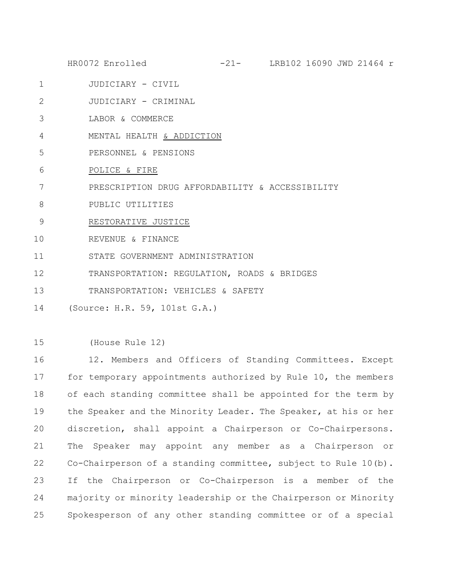- JUDICIARY CIVIL 1
- JUDICIARY CRIMINAL 2
- LABOR & COMMERCE 3
- MENTAL HEALTH & ADDICTION 4
- PERSONNEL & PENSIONS 5
- POLICE & FIRE 6
- PRESCRIPTION DRUG AFFORDABILITY & ACCESSIBILITY 7
- PUBLIC UTILITIES 8
- RESTORATIVE JUSTICE 9
- REVENUE & FINANCE 10
- STATE GOVERNMENT ADMINISTRATION 11
- TRANSPORTATION: REGULATION, ROADS & BRIDGES 12
- TRANSPORTATION: VEHICLES & SAFETY 13
- (Source: H.R. 59, 101st G.A.) 14
- (House Rule 12) 15

12. Members and Officers of Standing Committees. Except for temporary appointments authorized by Rule 10, the members of each standing committee shall be appointed for the term by the Speaker and the Minority Leader. The Speaker, at his or her discretion, shall appoint a Chairperson or Co-Chairpersons. The Speaker may appoint any member as a Chairperson or Co-Chairperson of a standing committee, subject to Rule 10(b). If the Chairperson or Co-Chairperson is a member of the majority or minority leadership or the Chairperson or Minority Spokesperson of any other standing committee or of a special 16 17 18 19 20 21 22 23 24 25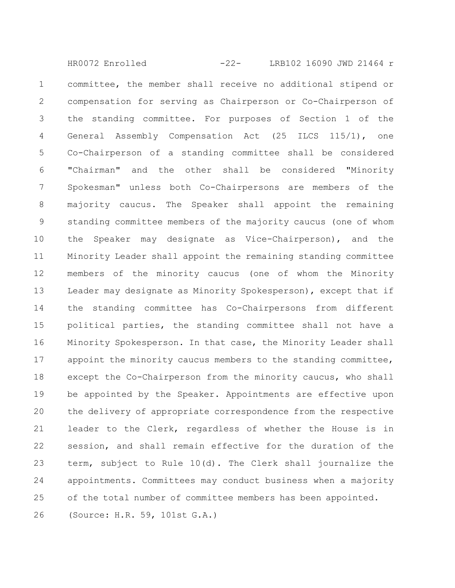committee, the member shall receive no additional stipend or compensation for serving as Chairperson or Co-Chairperson of the standing committee. For purposes of Section 1 of the General Assembly Compensation Act (25 ILCS 115/1), one Co-Chairperson of a standing committee shall be considered "Chairman" and the other shall be considered "Minority Spokesman" unless both Co-Chairpersons are members of the majority caucus. The Speaker shall appoint the remaining standing committee members of the majority caucus (one of whom the Speaker may designate as Vice-Chairperson), and the Minority Leader shall appoint the remaining standing committee members of the minority caucus (one of whom the Minority Leader may designate as Minority Spokesperson), except that if the standing committee has Co-Chairpersons from different political parties, the standing committee shall not have a Minority Spokesperson. In that case, the Minority Leader shall appoint the minority caucus members to the standing committee, except the Co-Chairperson from the minority caucus, who shall be appointed by the Speaker. Appointments are effective upon the delivery of appropriate correspondence from the respective leader to the Clerk, regardless of whether the House is in session, and shall remain effective for the duration of the term, subject to Rule 10(d). The Clerk shall journalize the appointments. Committees may conduct business when a majority of the total number of committee members has been appointed. (Source: H.R. 59, 101st G.A.) 1 2 3 4 5 6 7 8 9 10 11 12 13 14 15 16 17 18 19 20 21 22 23 24 25 26 HR0072 Enrolled -22- LRB102 16090 JWD 21464 r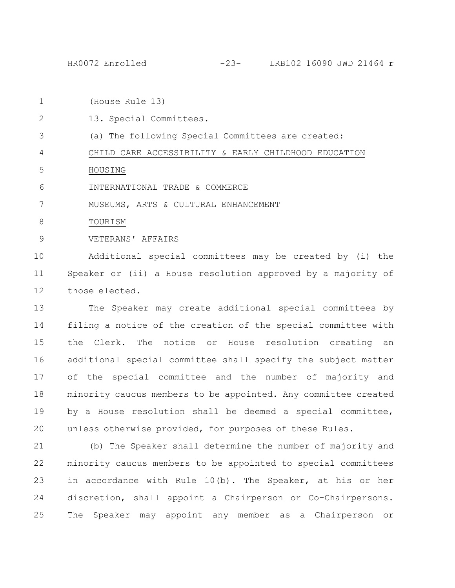HR0072 Enrolled -23- LRB102 16090 JWD 21464 r

(House Rule 13) 1

13. Special Committees. 2

(a) The following Special Committees are created: 3

CHILD CARE ACCESSIBILITY & EARLY CHILDHOOD EDUCATION 4

HOUSING 5

INTERNATIONAL TRADE & COMMERCE 6

MUSEUMS, ARTS & CULTURAL ENHANCEMENT 7

TOURISM 8

VETERANS' AFFAIRS 9

Additional special committees may be created by (i) the Speaker or (ii) a House resolution approved by a majority of those elected. 10 11 12

The Speaker may create additional special committees by filing a notice of the creation of the special committee with the Clerk. The notice or House resolution creating an additional special committee shall specify the subject matter of the special committee and the number of majority and minority caucus members to be appointed. Any committee created by a House resolution shall be deemed a special committee, unless otherwise provided, for purposes of these Rules. 13 14 15 16 17 18 19 20

(b) The Speaker shall determine the number of majority and minority caucus members to be appointed to special committees in accordance with Rule 10(b). The Speaker, at his or her discretion, shall appoint a Chairperson or Co-Chairpersons. The Speaker may appoint any member as a Chairperson or 21 22 23 24 25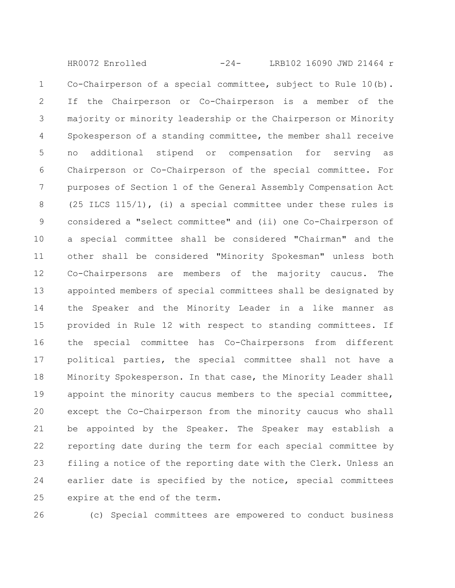Co-Chairperson of a special committee, subject to Rule 10(b). If the Chairperson or Co-Chairperson is a member of the majority or minority leadership or the Chairperson or Minority Spokesperson of a standing committee, the member shall receive no additional stipend or compensation for serving as Chairperson or Co-Chairperson of the special committee. For purposes of Section 1 of the General Assembly Compensation Act (25 ILCS 115/1), (i) a special committee under these rules is considered a "select committee" and (ii) one Co-Chairperson of a special committee shall be considered "Chairman" and the other shall be considered "Minority Spokesman" unless both Co-Chairpersons are members of the majority caucus. The appointed members of special committees shall be designated by the Speaker and the Minority Leader in a like manner as provided in Rule 12 with respect to standing committees. If the special committee has Co-Chairpersons from different political parties, the special committee shall not have a Minority Spokesperson. In that case, the Minority Leader shall appoint the minority caucus members to the special committee, except the Co-Chairperson from the minority caucus who shall be appointed by the Speaker. The Speaker may establish a reporting date during the term for each special committee by filing a notice of the reporting date with the Clerk. Unless an earlier date is specified by the notice, special committees expire at the end of the term. 1 2 3 4 5 6 7 8 9 10 11 12 13 14 15 16 17 18 19 20 21 22 23 24 25 HR0072 Enrolled -24- LRB102 16090 JWD 21464 r

26

(c) Special committees are empowered to conduct business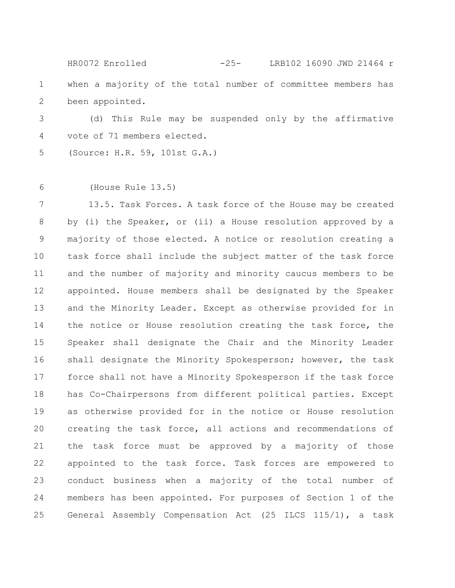when a majority of the total number of committee members has been appointed. 1 2 HR0072 Enrolled -25- LRB102 16090 JWD 21464 r

(d) This Rule may be suspended only by the affirmative vote of 71 members elected. 3 4

(Source: H.R. 59, 101st G.A.) 5

(House Rule 13.5) 6

13.5. Task Forces. A task force of the House may be created by (i) the Speaker, or (ii) a House resolution approved by a majority of those elected. A notice or resolution creating a task force shall include the subject matter of the task force and the number of majority and minority caucus members to be appointed. House members shall be designated by the Speaker and the Minority Leader. Except as otherwise provided for in the notice or House resolution creating the task force, the Speaker shall designate the Chair and the Minority Leader shall designate the Minority Spokesperson; however, the task force shall not have a Minority Spokesperson if the task force has Co-Chairpersons from different political parties. Except as otherwise provided for in the notice or House resolution creating the task force, all actions and recommendations of the task force must be approved by a majority of those appointed to the task force. Task forces are empowered to conduct business when a majority of the total number of members has been appointed. For purposes of Section 1 of the General Assembly Compensation Act (25 ILCS 115/1), a task 7 8 9 10 11 12 13 14 15 16 17 18 19 20 21 22 23 24 25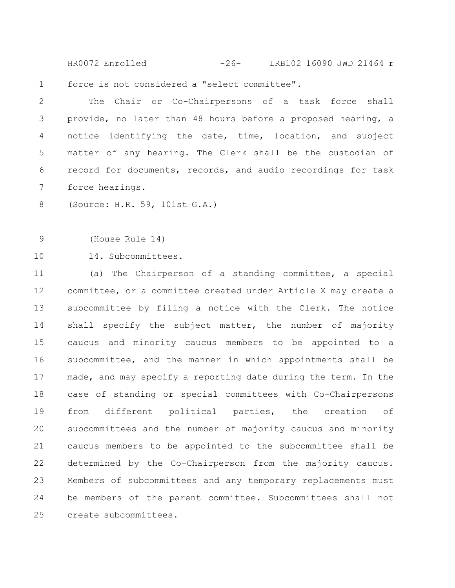force is not considered a "select committee". HR0072 Enrolled -26- LRB102 16090 JWD 21464 r

The Chair or Co-Chairpersons of a task force shall provide, no later than 48 hours before a proposed hearing, a notice identifying the date, time, location, and subject matter of any hearing. The Clerk shall be the custodian of record for documents, records, and audio recordings for task force hearings. 2 3 4 5 6 7

(Source: H.R. 59, 101st G.A.) 8

(House Rule 14) 9

1

14. Subcommittees. 10

(a) The Chairperson of a standing committee, a special committee, or a committee created under Article X may create a subcommittee by filing a notice with the Clerk. The notice shall specify the subject matter, the number of majority caucus and minority caucus members to be appointed to a subcommittee, and the manner in which appointments shall be made, and may specify a reporting date during the term. In the case of standing or special committees with Co-Chairpersons from different political parties, the creation of subcommittees and the number of majority caucus and minority caucus members to be appointed to the subcommittee shall be determined by the Co-Chairperson from the majority caucus. Members of subcommittees and any temporary replacements must be members of the parent committee. Subcommittees shall not create subcommittees. 11 12 13 14 15 16 17 18 19 20 21 22 23 24 25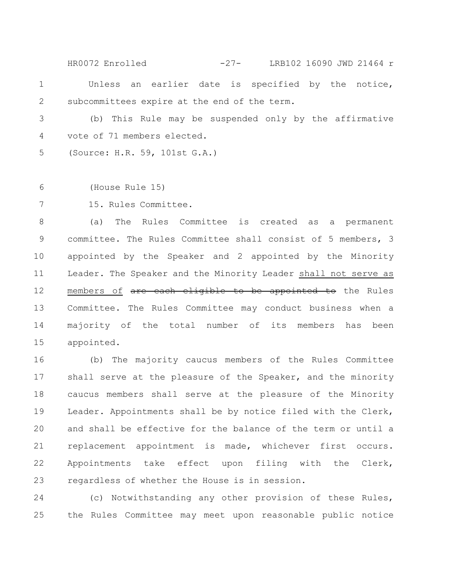Unless an earlier date is specified by the notice, subcommittees expire at the end of the term. 1 2 HR0072 Enrolled -27- LRB102 16090 JWD 21464 r

(b) This Rule may be suspended only by the affirmative vote of 71 members elected. 3 4

(Source: H.R. 59, 101st G.A.) 5

(House Rule 15) 6

15. Rules Committee. 7

(a) The Rules Committee is created as a permanent committee. The Rules Committee shall consist of 5 members, 3 appointed by the Speaker and 2 appointed by the Minority Leader. The Speaker and the Minority Leader shall not serve as members of are each eligible to be appointed to the Rules Committee. The Rules Committee may conduct business when a majority of the total number of its members has been appointed. 8 9 10 11 12 13 14 15

(b) The majority caucus members of the Rules Committee shall serve at the pleasure of the Speaker, and the minority caucus members shall serve at the pleasure of the Minority Leader. Appointments shall be by notice filed with the Clerk, and shall be effective for the balance of the term or until a replacement appointment is made, whichever first occurs. Appointments take effect upon filing with the Clerk, regardless of whether the House is in session. 16 17 18 19 20 21 22 23

(c) Notwithstanding any other provision of these Rules, the Rules Committee may meet upon reasonable public notice 24 25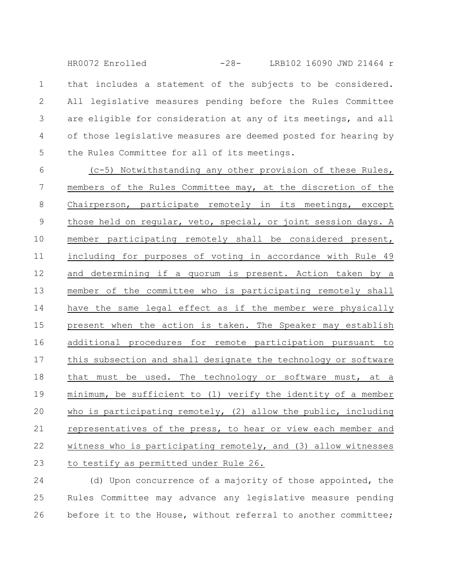that includes a statement of the subjects to be considered. All legislative measures pending before the Rules Committee are eligible for consideration at any of its meetings, and all of those legislative measures are deemed posted for hearing by the Rules Committee for all of its meetings. 1 2 3 4 5 HR0072 Enrolled -28- LRB102 16090 JWD 21464 r

(c-5) Notwithstanding any other provision of these Rules, members of the Rules Committee may, at the discretion of the Chairperson, participate remotely in its meetings, except those held on regular, veto, special, or joint session days. A member participating remotely shall be considered present, including for purposes of voting in accordance with Rule 49 and determining if a quorum is present. Action taken by a member of the committee who is participating remotely shall have the same legal effect as if the member were physically present when the action is taken. The Speaker may establish additional procedures for remote participation pursuant to this subsection and shall designate the technology or software that must be used. The technology or software must, at a minimum, be sufficient to (1) verify the identity of a member who is participating remotely, (2) allow the public, including representatives of the press, to hear or view each member and witness who is participating remotely, and (3) allow witnesses to testify as permitted under Rule 26. 6 7 8 9 10 11 12 13 14 15 16 17 18 19 20 21 22 23

(d) Upon concurrence of a majority of those appointed, the Rules Committee may advance any legislative measure pending before it to the House, without referral to another committee; 24 25 26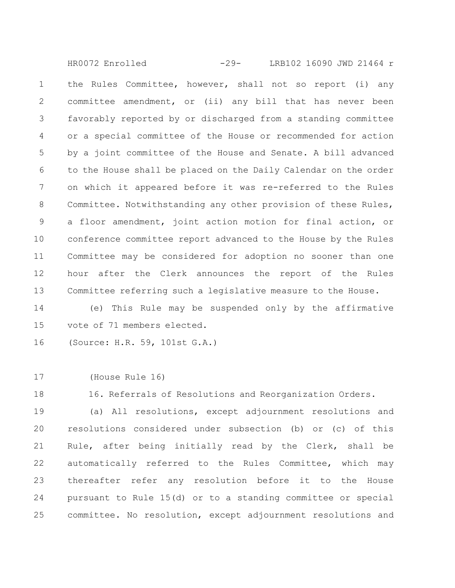the Rules Committee, however, shall not so report (i) any committee amendment, or (ii) any bill that has never been favorably reported by or discharged from a standing committee or a special committee of the House or recommended for action by a joint committee of the House and Senate. A bill advanced to the House shall be placed on the Daily Calendar on the order on which it appeared before it was re-referred to the Rules Committee. Notwithstanding any other provision of these Rules, a floor amendment, joint action motion for final action, or conference committee report advanced to the House by the Rules Committee may be considered for adoption no sooner than one hour after the Clerk announces the report of the Rules Committee referring such a legislative measure to the House. 1 2 3 4 5 6 7 8 9 10 11 12 13 HR0072 Enrolled -29- LRB102 16090 JWD 21464 r

(e) This Rule may be suspended only by the affirmative vote of 71 members elected. 14 15

(Source: H.R. 59, 101st G.A.) 16

(House Rule 16) 17

18

16. Referrals of Resolutions and Reorganization Orders.

(a) All resolutions, except adjournment resolutions and resolutions considered under subsection (b) or (c) of this Rule, after being initially read by the Clerk, shall be automatically referred to the Rules Committee, which may thereafter refer any resolution before it to the House pursuant to Rule 15(d) or to a standing committee or special committee. No resolution, except adjournment resolutions and 19 20 21 22 23 24 25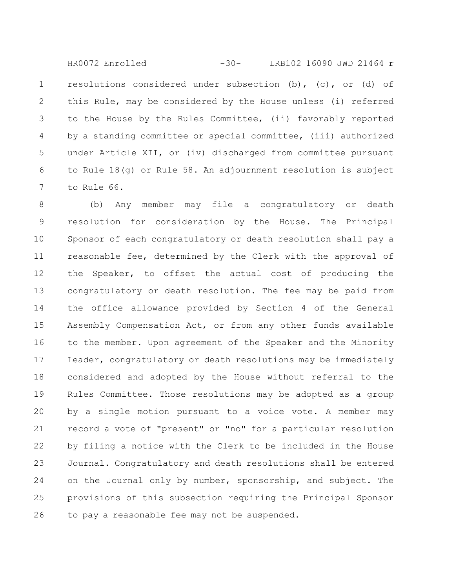resolutions considered under subsection (b), (c), or (d) of this Rule, may be considered by the House unless (i) referred to the House by the Rules Committee, (ii) favorably reported by a standing committee or special committee, (iii) authorized under Article XII, or (iv) discharged from committee pursuant to Rule 18(g) or Rule 58. An adjournment resolution is subject to Rule 66. 1 2 3 4 5 6 7 HR0072 Enrolled -30- LRB102 16090 JWD 21464 r

(b) Any member may file a congratulatory or death resolution for consideration by the House. The Principal Sponsor of each congratulatory or death resolution shall pay a reasonable fee, determined by the Clerk with the approval of the Speaker, to offset the actual cost of producing the congratulatory or death resolution. The fee may be paid from the office allowance provided by Section 4 of the General Assembly Compensation Act, or from any other funds available to the member. Upon agreement of the Speaker and the Minority Leader, congratulatory or death resolutions may be immediately considered and adopted by the House without referral to the Rules Committee. Those resolutions may be adopted as a group by a single motion pursuant to a voice vote. A member may record a vote of "present" or "no" for a particular resolution by filing a notice with the Clerk to be included in the House Journal. Congratulatory and death resolutions shall be entered on the Journal only by number, sponsorship, and subject. The provisions of this subsection requiring the Principal Sponsor to pay a reasonable fee may not be suspended. 8 9 10 11 12 13 14 15 16 17 18 19 20 21 22 23 24 25 26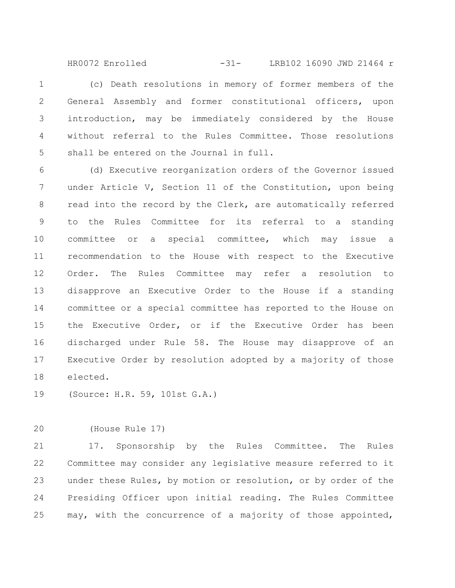HR0072 Enrolled -31- LRB102 16090 JWD 21464 r

(c) Death resolutions in memory of former members of the General Assembly and former constitutional officers, upon introduction, may be immediately considered by the House without referral to the Rules Committee. Those resolutions shall be entered on the Journal in full. 1 2 3 4 5

(d) Executive reorganization orders of the Governor issued under Article V, Section 11 of the Constitution, upon being read into the record by the Clerk, are automatically referred to the Rules Committee for its referral to a standing committee or a special committee, which may issue a recommendation to the House with respect to the Executive Order. The Rules Committee may refer a resolution to disapprove an Executive Order to the House if a standing committee or a special committee has reported to the House on the Executive Order, or if the Executive Order has been discharged under Rule 58. The House may disapprove of an Executive Order by resolution adopted by a majority of those elected. 6 7 8 9 10 11 12 13 14 15 16 17 18

(Source: H.R. 59, 101st G.A.) 19

(House Rule 17) 20

17. Sponsorship by the Rules Committee. The Rules Committee may consider any legislative measure referred to it under these Rules, by motion or resolution, or by order of the Presiding Officer upon initial reading. The Rules Committee may, with the concurrence of a majority of those appointed, 21 22 23 24 25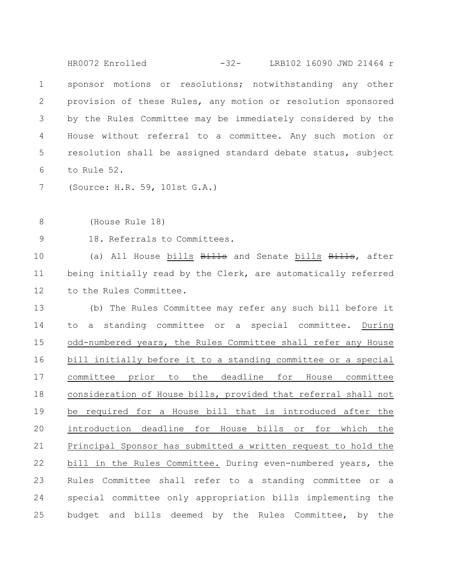sponsor motions or resolutions; notwithstanding any other provision of these Rules, any motion or resolution sponsored by the Rules Committee may be immediately considered by the House without referral to a committee. Any such motion or resolution shall be assigned standard debate status, subject to Rule 52. 1 2 3 4 5 6 HR0072 Enrolled -32- LRB102 16090 JWD 21464 r

(Source: H.R. 59, 101st G.A.) 7

(House Rule 18) 8

18. Referrals to Committees. 9

(a) All House bills Bills and Senate bills Bills, after being initially read by the Clerk, are automatically referred to the Rules Committee. 10 11 12

(b) The Rules Committee may refer any such bill before it to a standing committee or a special committee. During odd-numbered years, the Rules Committee shall refer any House bill initially before it to a standing committee or a special committee prior to the deadline for House committee consideration of House bills, provided that referral shall not be required for a House bill that is introduced after the introduction deadline for House bills or for which the Principal Sponsor has submitted a written request to hold the bill in the Rules Committee. During even-numbered years, the Rules Committee shall refer to a standing committee or a special committee only appropriation bills implementing the budget and bills deemed by the Rules Committee, by the 13 14 15 16 17 18 19 20 21 22 23 24 25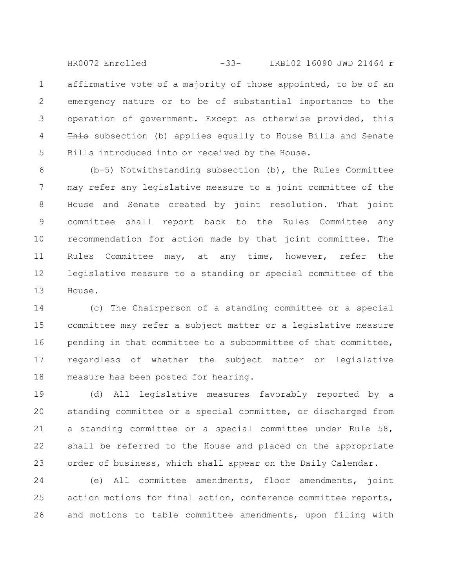affirmative vote of a majority of those appointed, to be of an emergency nature or to be of substantial importance to the operation of government. Except as otherwise provided, this This subsection (b) applies equally to House Bills and Senate Bills introduced into or received by the House. 1 2 3 4 5 HR0072 Enrolled -33- LRB102 16090 JWD 21464 r

(b-5) Notwithstanding subsection (b), the Rules Committee may refer any legislative measure to a joint committee of the House and Senate created by joint resolution. That joint committee shall report back to the Rules Committee any recommendation for action made by that joint committee. The Rules Committee may, at any time, however, refer the legislative measure to a standing or special committee of the House. 6 7 8 9 10 11 12 13

(c) The Chairperson of a standing committee or a special committee may refer a subject matter or a legislative measure pending in that committee to a subcommittee of that committee, regardless of whether the subject matter or legislative measure has been posted for hearing. 14 15 16 17 18

(d) All legislative measures favorably reported by a standing committee or a special committee, or discharged from a standing committee or a special committee under Rule 58, shall be referred to the House and placed on the appropriate order of business, which shall appear on the Daily Calendar. 19 20 21 22 23

(e) All committee amendments, floor amendments, joint action motions for final action, conference committee reports, and motions to table committee amendments, upon filing with 24 25 26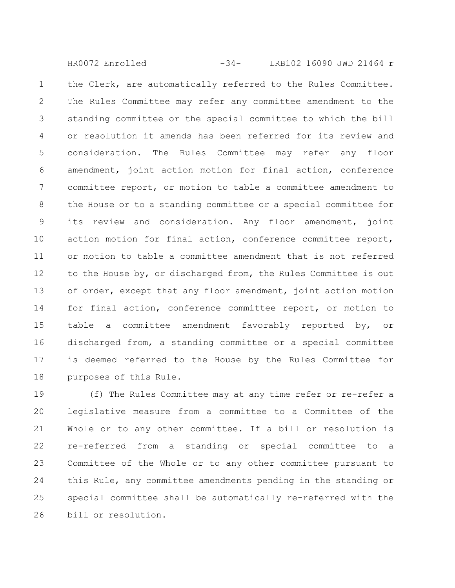the Clerk, are automatically referred to the Rules Committee. The Rules Committee may refer any committee amendment to the standing committee or the special committee to which the bill or resolution it amends has been referred for its review and consideration. The Rules Committee may refer any floor amendment, joint action motion for final action, conference committee report, or motion to table a committee amendment to the House or to a standing committee or a special committee for its review and consideration. Any floor amendment, joint action motion for final action, conference committee report, or motion to table a committee amendment that is not referred to the House by, or discharged from, the Rules Committee is out of order, except that any floor amendment, joint action motion for final action, conference committee report, or motion to table a committee amendment favorably reported by, or discharged from, a standing committee or a special committee is deemed referred to the House by the Rules Committee for purposes of this Rule. 1 2 3 4 5 6 7 8 9 10 11 12 13 14 15 16 17 18 HR0072 Enrolled -34- LRB102 16090 JWD 21464 r

(f) The Rules Committee may at any time refer or re-refer a legislative measure from a committee to a Committee of the Whole or to any other committee. If a bill or resolution is re-referred from a standing or special committee to a Committee of the Whole or to any other committee pursuant to this Rule, any committee amendments pending in the standing or special committee shall be automatically re-referred with the bill or resolution. 19 20 21 22 23 24 25 26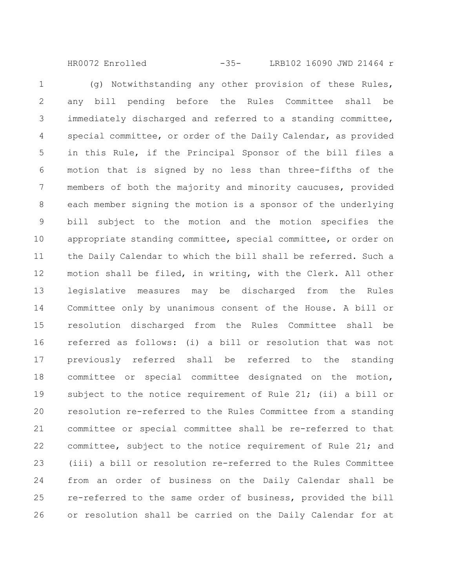HR0072 Enrolled -35- LRB102 16090 JWD 21464 r

(g) Notwithstanding any other provision of these Rules, any bill pending before the Rules Committee shall be immediately discharged and referred to a standing committee, special committee, or order of the Daily Calendar, as provided in this Rule, if the Principal Sponsor of the bill files a motion that is signed by no less than three-fifths of the members of both the majority and minority caucuses, provided each member signing the motion is a sponsor of the underlying bill subject to the motion and the motion specifies the appropriate standing committee, special committee, or order on the Daily Calendar to which the bill shall be referred. Such a motion shall be filed, in writing, with the Clerk. All other legislative measures may be discharged from the Rules Committee only by unanimous consent of the House. A bill or resolution discharged from the Rules Committee shall be referred as follows: (i) a bill or resolution that was not previously referred shall be referred to the standing committee or special committee designated on the motion, subject to the notice requirement of Rule 21; (ii) a bill or resolution re-referred to the Rules Committee from a standing committee or special committee shall be re-referred to that committee, subject to the notice requirement of Rule 21; and (iii) a bill or resolution re-referred to the Rules Committee from an order of business on the Daily Calendar shall be re-referred to the same order of business, provided the bill or resolution shall be carried on the Daily Calendar for at 1 2 3 4 5 6 7 8 9 10 11 12 13 14 15 16 17 18 19 20 21 22 23 24 25 26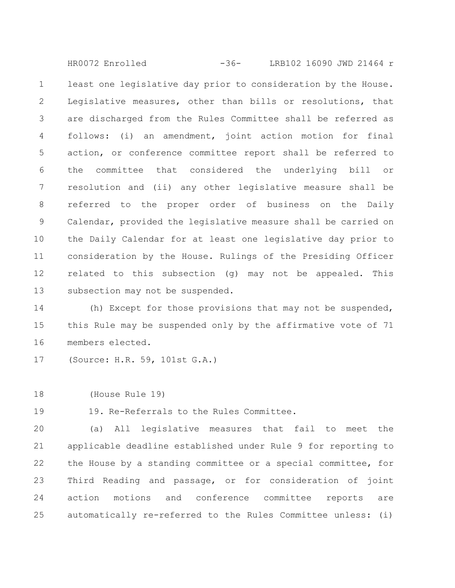least one legislative day prior to consideration by the House. Legislative measures, other than bills or resolutions, that are discharged from the Rules Committee shall be referred as follows: (i) an amendment, joint action motion for final action, or conference committee report shall be referred to the committee that considered the underlying bill or resolution and (ii) any other legislative measure shall be referred to the proper order of business on the Daily Calendar, provided the legislative measure shall be carried on the Daily Calendar for at least one legislative day prior to consideration by the House. Rulings of the Presiding Officer related to this subsection (g) may not be appealed. This subsection may not be suspended. 1 2 3 4 5 6 7 8 9 10 11 12 13 HR0072 Enrolled -36- LRB102 16090 JWD 21464 r

(h) Except for those provisions that may not be suspended, this Rule may be suspended only by the affirmative vote of 71 members elected. 14 15 16

(Source: H.R. 59, 101st G.A.) 17

(House Rule 19) 18

19. Re-Referrals to the Rules Committee. 19

(a) All legislative measures that fail to meet the applicable deadline established under Rule 9 for reporting to the House by a standing committee or a special committee, for Third Reading and passage, or for consideration of joint action motions and conference committee reports are automatically re-referred to the Rules Committee unless: (i) 20 21 22 23 24 25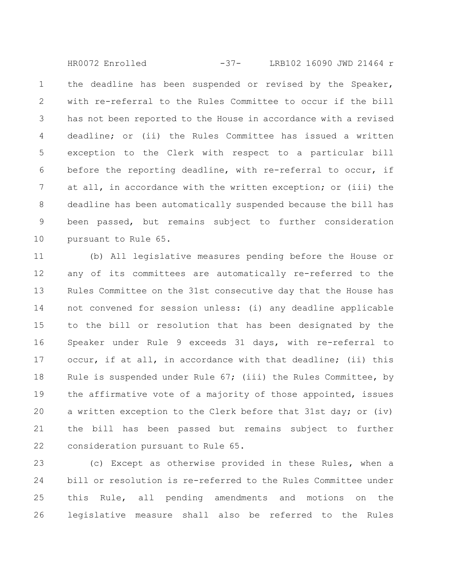the deadline has been suspended or revised by the Speaker, with re-referral to the Rules Committee to occur if the bill has not been reported to the House in accordance with a revised deadline; or (ii) the Rules Committee has issued a written exception to the Clerk with respect to a particular bill before the reporting deadline, with re-referral to occur, if at all, in accordance with the written exception; or (iii) the deadline has been automatically suspended because the bill has been passed, but remains subject to further consideration pursuant to Rule 65. 1 2 3 4 5 6 7 8 9 10 HR0072 Enrolled -37- LRB102 16090 JWD 21464 r

(b) All legislative measures pending before the House or any of its committees are automatically re-referred to the Rules Committee on the 31st consecutive day that the House has not convened for session unless: (i) any deadline applicable to the bill or resolution that has been designated by the Speaker under Rule 9 exceeds 31 days, with re-referral to occur, if at all, in accordance with that deadline; (ii) this Rule is suspended under Rule 67; (iii) the Rules Committee, by the affirmative vote of a majority of those appointed, issues a written exception to the Clerk before that 31st day; or (iv) the bill has been passed but remains subject to further consideration pursuant to Rule 65. 11 12 13 14 15 16 17 18 19 20 21 22

(c) Except as otherwise provided in these Rules, when a bill or resolution is re-referred to the Rules Committee under this Rule, all pending amendments and motions on the legislative measure shall also be referred to the Rules 23 24 25 26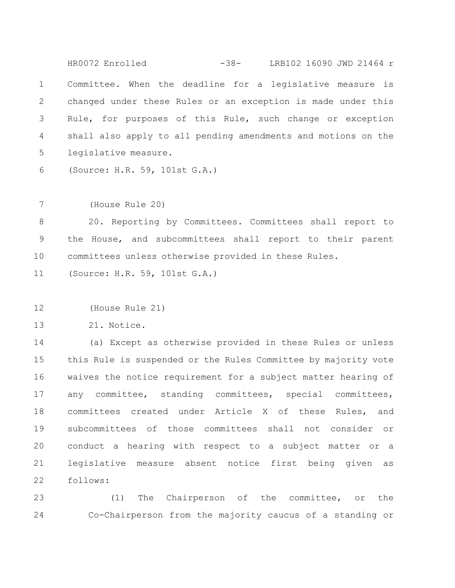Committee. When the deadline for a legislative measure is changed under these Rules or an exception is made under this Rule, for purposes of this Rule, such change or exception shall also apply to all pending amendments and motions on the legislative measure. 1 2 3 4 5 HR0072 Enrolled -38- LRB102 16090 JWD 21464 r

(Source: H.R. 59, 101st G.A.) 6

(House Rule 20) 7

20. Reporting by Committees. Committees shall report to the House, and subcommittees shall report to their parent committees unless otherwise provided in these Rules. 8 9 10

(Source: H.R. 59, 101st G.A.) 11

(House Rule 21) 12

21. Notice. 13

(a) Except as otherwise provided in these Rules or unless this Rule is suspended or the Rules Committee by majority vote waives the notice requirement for a subject matter hearing of any committee, standing committees, special committees, committees created under Article X of these Rules, and subcommittees of those committees shall not consider or conduct a hearing with respect to a subject matter or a legislative measure absent notice first being given as follows: 14 15 16 17 18 19 20 21 22

(1) The Chairperson of the committee, or the Co-Chairperson from the majority caucus of a standing or 23 24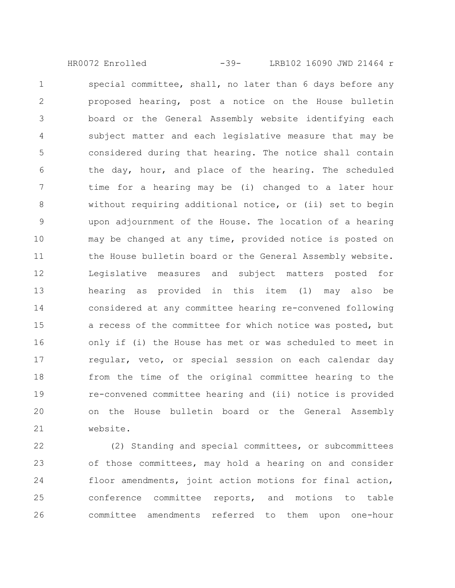HR0072 Enrolled -39- LRB102 16090 JWD 21464 r

special committee, shall, no later than 6 days before any proposed hearing, post a notice on the House bulletin board or the General Assembly website identifying each subject matter and each legislative measure that may be considered during that hearing. The notice shall contain the day, hour, and place of the hearing. The scheduled time for a hearing may be (i) changed to a later hour without requiring additional notice, or (ii) set to begin upon adjournment of the House. The location of a hearing may be changed at any time, provided notice is posted on the House bulletin board or the General Assembly website. Legislative measures and subject matters posted for hearing as provided in this item (1) may also be considered at any committee hearing re-convened following a recess of the committee for which notice was posted, but only if (i) the House has met or was scheduled to meet in regular, veto, or special session on each calendar day from the time of the original committee hearing to the re-convened committee hearing and (ii) notice is provided on the House bulletin board or the General Assembly website. 1 2 3 4 5 6 7 8 9 10 11 12 13 14 15 16 17 18 19 20 21

(2) Standing and special committees, or subcommittees of those committees, may hold a hearing on and consider floor amendments, joint action motions for final action, conference committee reports, and motions to table committee amendments referred to them upon one-hour 22 23 24 25 26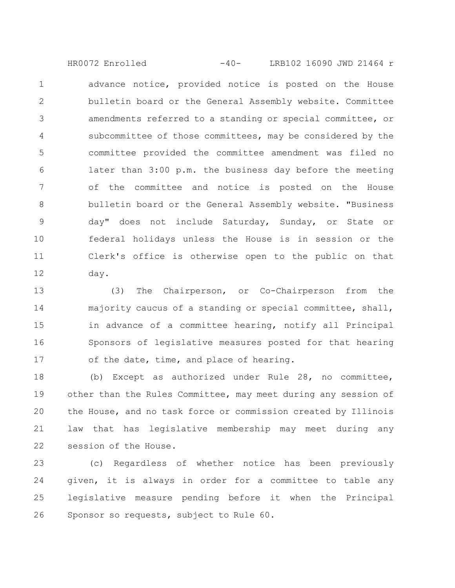advance notice, provided notice is posted on the House bulletin board or the General Assembly website. Committee amendments referred to a standing or special committee, or subcommittee of those committees, may be considered by the committee provided the committee amendment was filed no later than 3:00 p.m. the business day before the meeting of the committee and notice is posted on the House bulletin board or the General Assembly website. "Business day" does not include Saturday, Sunday, or State or federal holidays unless the House is in session or the Clerk's office is otherwise open to the public on that day. 1 2 3 4 5 6 7 8 9 10 11 12 HR0072 Enrolled -40- LRB102 16090 JWD 21464 r

(3) The Chairperson, or Co-Chairperson from the majority caucus of a standing or special committee, shall, in advance of a committee hearing, notify all Principal Sponsors of legislative measures posted for that hearing of the date, time, and place of hearing. 13 14 15 16 17

(b) Except as authorized under Rule 28, no committee, other than the Rules Committee, may meet during any session of the House, and no task force or commission created by Illinois law that has legislative membership may meet during any session of the House. 18 19 20 21 22

(c) Regardless of whether notice has been previously given, it is always in order for a committee to table any legislative measure pending before it when the Principal Sponsor so requests, subject to Rule 60. 23 24 25 26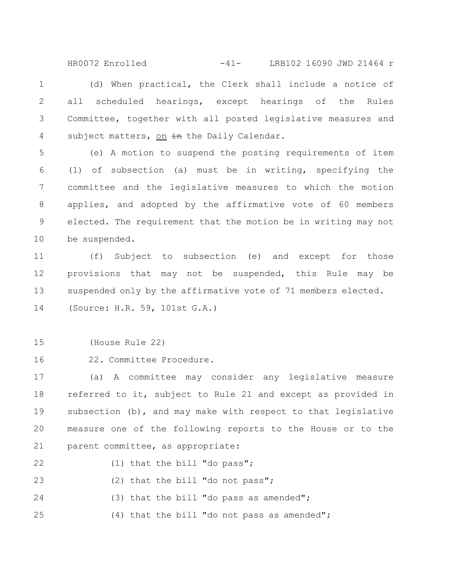(d) When practical, the Clerk shall include a notice of all scheduled hearings, except hearings of the Rules Committee, together with all posted legislative measures and subject matters, on in the Daily Calendar. 1 2 3 4 HR0072 Enrolled -41- LRB102 16090 JWD 21464 r

(e) A motion to suspend the posting requirements of item (1) of subsection (a) must be in writing, specifying the committee and the legislative measures to which the motion applies, and adopted by the affirmative vote of 60 members elected. The requirement that the motion be in writing may not be suspended. 5 6 7 8 9 10

(f) Subject to subsection (e) and except for those provisions that may not be suspended, this Rule may be suspended only by the affirmative vote of 71 members elected. (Source: H.R. 59, 101st G.A.) 11 12 13 14

(House Rule 22) 15

22. Committee Procedure. 16

(a) A committee may consider any legislative measure referred to it, subject to Rule 21 and except as provided in subsection (b), and may make with respect to that legislative measure one of the following reports to the House or to the parent committee, as appropriate: 17 18 19 20 21

(1) that the bill "do pass"; 22

(2) that the bill "do not pass"; 23

(3) that the bill "do pass as amended"; 24

(4) that the bill "do not pass as amended"; 25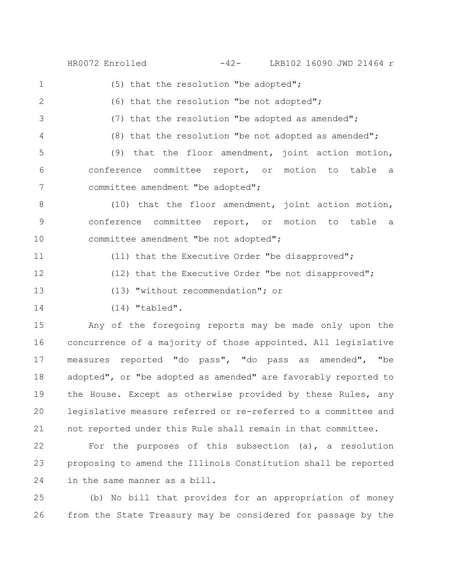HR0072 Enrolled -42- LRB102 16090 JWD 21464 r

1

2

(6) that the resolution "be not adopted";

(7) that the resolution "be adopted as amended"; 3

(8) that the resolution "be not adopted as amended"; 4

(5) that the resolution "be adopted";

(9) that the floor amendment, joint action motion, conference committee report, or motion to table a committee amendment "be adopted"; 5 6 7

(10) that the floor amendment, joint action motion, conference committee report, or motion to table a committee amendment "be not adopted"; 8 9 10

(11) that the Executive Order "be disapproved"; (12) that the Executive Order "be not disapproved"; 11 12

(13) "without recommendation"; or 13

14

(14) "tabled".

Any of the foregoing reports may be made only upon the concurrence of a majority of those appointed. All legislative measures reported "do pass", "do pass as amended", "be adopted", or "be adopted as amended" are favorably reported to the House. Except as otherwise provided by these Rules, any legislative measure referred or re-referred to a committee and not reported under this Rule shall remain in that committee. 15 16 17 18 19 20 21

For the purposes of this subsection (a), a resolution proposing to amend the Illinois Constitution shall be reported in the same manner as a bill. 22 23 24

(b) No bill that provides for an appropriation of money from the State Treasury may be considered for passage by the 25 26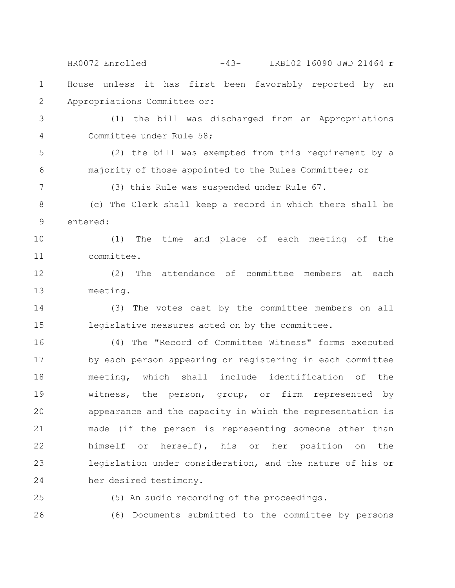House unless it has first been favorably reported by an Appropriations Committee or: (1) the bill was discharged from an Appropriations Committee under Rule 58; (2) the bill was exempted from this requirement by a majority of those appointed to the Rules Committee; or (3) this Rule was suspended under Rule 67. (c) The Clerk shall keep a record in which there shall be entered: (1) The time and place of each meeting of the committee. (2) The attendance of committee members at each meeting. (3) The votes cast by the committee members on all legislative measures acted on by the committee. (4) The "Record of Committee Witness" forms executed by each person appearing or registering in each committee meeting, which shall include identification of the witness, the person, group, or firm represented by appearance and the capacity in which the representation is made (if the person is representing someone other than himself or herself), his or her position on the legislation under consideration, and the nature of his or her desired testimony. (5) An audio recording of the proceedings. (6) Documents submitted to the committee by persons 1 2 3 4 5 6 7 8 9 10 11 12 13 14 15 16 17 18 19 20 21 22 23 24 25 26 HR0072 Enrolled -43- LRB102 16090 JWD 21464 r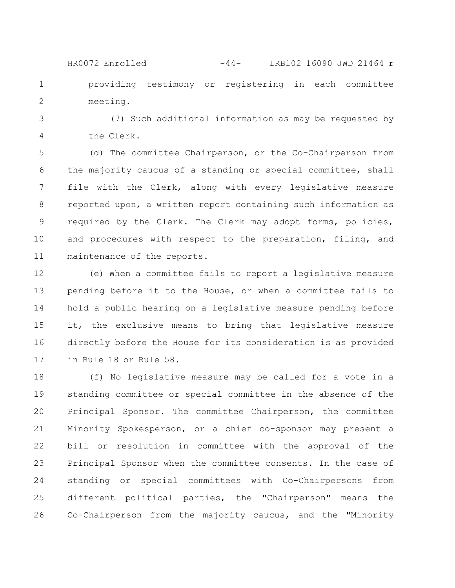providing testimony or registering in each committee meeting. HR0072 Enrolled -44- LRB102 16090 JWD 21464 r

1

2

(7) Such additional information as may be requested by the Clerk. 3 4

(d) The committee Chairperson, or the Co-Chairperson from the majority caucus of a standing or special committee, shall file with the Clerk, along with every legislative measure reported upon, a written report containing such information as required by the Clerk. The Clerk may adopt forms, policies, and procedures with respect to the preparation, filing, and maintenance of the reports. 5 6 7 8 9 10 11

(e) When a committee fails to report a legislative measure pending before it to the House, or when a committee fails to hold a public hearing on a legislative measure pending before it, the exclusive means to bring that legislative measure directly before the House for its consideration is as provided in Rule 18 or Rule 58. 12 13 14 15 16 17

(f) No legislative measure may be called for a vote in a standing committee or special committee in the absence of the Principal Sponsor. The committee Chairperson, the committee Minority Spokesperson, or a chief co-sponsor may present a bill or resolution in committee with the approval of the Principal Sponsor when the committee consents. In the case of standing or special committees with Co-Chairpersons from different political parties, the "Chairperson" means the Co-Chairperson from the majority caucus, and the "Minority 18 19 20 21 22 23 24 25 26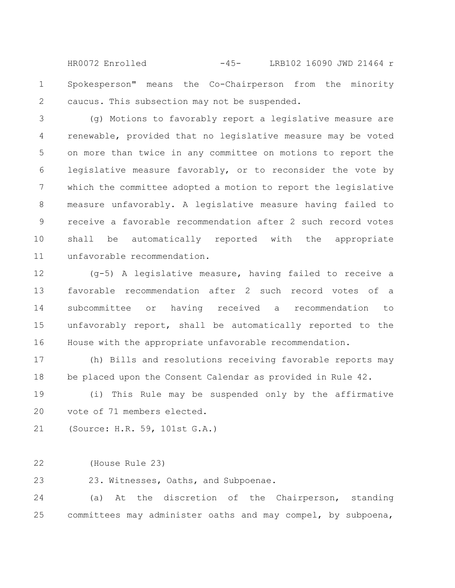Spokesperson" means the Co-Chairperson from the minority caucus. This subsection may not be suspended. 1 2 HR0072 Enrolled -45- LRB102 16090 JWD 21464 r

(g) Motions to favorably report a legislative measure are renewable, provided that no legislative measure may be voted on more than twice in any committee on motions to report the legislative measure favorably, or to reconsider the vote by which the committee adopted a motion to report the legislative measure unfavorably. A legislative measure having failed to receive a favorable recommendation after 2 such record votes shall be automatically reported with the appropriate unfavorable recommendation. 3 4 5 6 7 8 9 10 11

(g-5) A legislative measure, having failed to receive a favorable recommendation after 2 such record votes of a subcommittee or having received a recommendation to unfavorably report, shall be automatically reported to the House with the appropriate unfavorable recommendation. 12 13 14 15 16

(h) Bills and resolutions receiving favorable reports may be placed upon the Consent Calendar as provided in Rule 42. 17 18

(i) This Rule may be suspended only by the affirmative vote of 71 members elected. 19 20

```
(Source: H.R. 59, 101st G.A.)
21
```
(House Rule 23) 22

23. Witnesses, Oaths, and Subpoenae. 23

(a) At the discretion of the Chairperson, standing committees may administer oaths and may compel, by subpoena, 24 25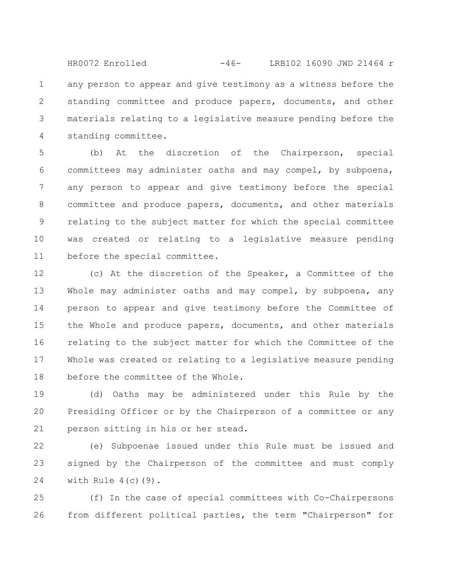any person to appear and give testimony as a witness before the standing committee and produce papers, documents, and other materials relating to a legislative measure pending before the standing committee. 1 2 3 4 HR0072 Enrolled -46- LRB102 16090 JWD 21464 r

(b) At the discretion of the Chairperson, special committees may administer oaths and may compel, by subpoena, any person to appear and give testimony before the special committee and produce papers, documents, and other materials relating to the subject matter for which the special committee was created or relating to a legislative measure pending before the special committee. 5 6 7 8 9 10 11

(c) At the discretion of the Speaker, a Committee of the Whole may administer oaths and may compel, by subpoena, any person to appear and give testimony before the Committee of the Whole and produce papers, documents, and other materials relating to the subject matter for which the Committee of the Whole was created or relating to a legislative measure pending before the committee of the Whole. 12 13 14 15 16 17 18

(d) Oaths may be administered under this Rule by the Presiding Officer or by the Chairperson of a committee or any person sitting in his or her stead. 19 20 21

(e) Subpoenae issued under this Rule must be issued and signed by the Chairperson of the committee and must comply with Rule  $4(c)(9)$ . 22 23 24

(f) In the case of special committees with Co-Chairpersons from different political parties, the term "Chairperson" for 25 26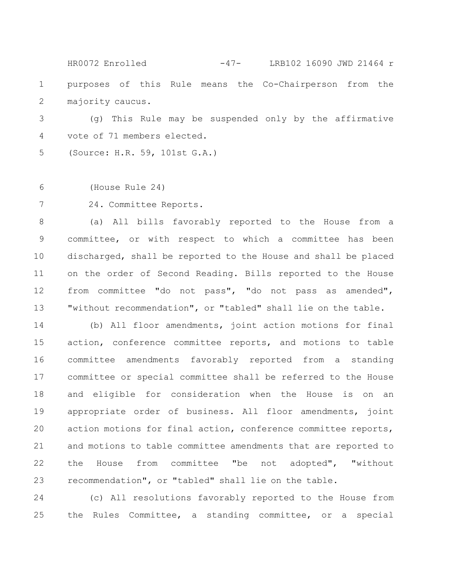purposes of this Rule means the Co-Chairperson from the majority caucus. 1 2 HR0072 Enrolled -47- LRB102 16090 JWD 21464 r

(g) This Rule may be suspended only by the affirmative vote of 71 members elected. 3 4

(Source: H.R. 59, 101st G.A.) 5

(House Rule 24) 6

24. Committee Reports. 7

(a) All bills favorably reported to the House from a committee, or with respect to which a committee has been discharged, shall be reported to the House and shall be placed on the order of Second Reading. Bills reported to the House from committee "do not pass", "do not pass as amended", "without recommendation", or "tabled" shall lie on the table. 8 9 10 11 12 13

(b) All floor amendments, joint action motions for final action, conference committee reports, and motions to table committee amendments favorably reported from a standing committee or special committee shall be referred to the House and eligible for consideration when the House is on an appropriate order of business. All floor amendments, joint action motions for final action, conference committee reports, and motions to table committee amendments that are reported to the House from committee "be not adopted", "without recommendation", or "tabled" shall lie on the table. 14 15 16 17 18 19 20 21 22 23

(c) All resolutions favorably reported to the House from the Rules Committee, a standing committee, or a special 24 25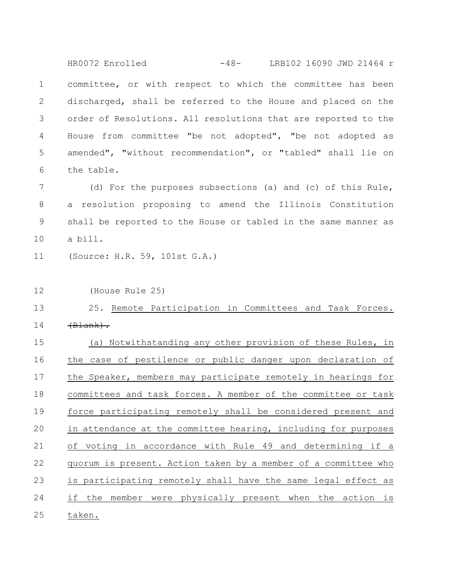committee, or with respect to which the committee has been discharged, shall be referred to the House and placed on the order of Resolutions. All resolutions that are reported to the House from committee "be not adopted", "be not adopted as amended", "without recommendation", or "tabled" shall lie on the table. 1 2 3 4 5 6 HR0072 Enrolled -48- LRB102 16090 JWD 21464 r

(d) For the purposes subsections (a) and (c) of this Rule, a resolution proposing to amend the Illinois Constitution shall be reported to the House or tabled in the same manner as a bill. 7 8 9 10

(Source: H.R. 59, 101st G.A.) 11

(House Rule 25) 12

## 25. Remote Participation in Committees and Task Forces.  $\left(\text{Blank}\right)$ . 13 14

(a) Notwithstanding any other provision of these Rules, in the case of pestilence or public danger upon declaration of the Speaker, members may participate remotely in hearings for committees and task forces. A member of the committee or task force participating remotely shall be considered present and in attendance at the committee hearing, including for purposes of voting in accordance with Rule 49 and determining if a quorum is present. Action taken by a member of a committee who is participating remotely shall have the same legal effect as if the member were physically present when the action is taken. 15 16 17 18 19 20 21 22 23 24 25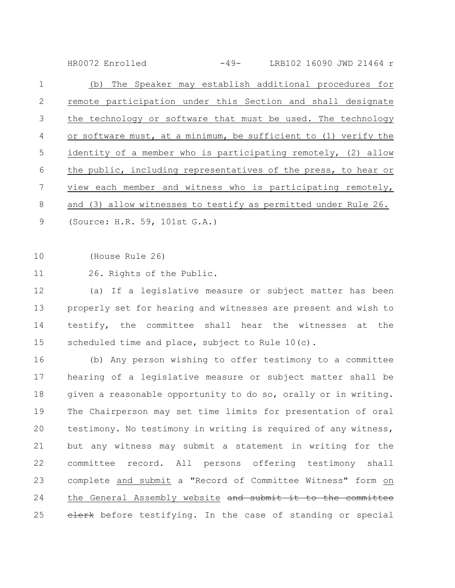(b) The Speaker may establish additional procedures for remote participation under this Section and shall designate the technology or software that must be used. The technology or software must, at a minimum, be sufficient to (1) verify the identity of a member who is participating remotely, (2) allow the public, including representatives of the press, to hear or view each member and witness who is participating remotely, and (3) allow witnesses to testify as permitted under Rule 26. (Source: H.R. 59, 101st G.A.) 1 2 3 4 5 6 7 8 9 HR0072 Enrolled -49- LRB102 16090 JWD 21464 r

(House Rule 26) 10

26. Rights of the Public. 11

(a) If a legislative measure or subject matter has been properly set for hearing and witnesses are present and wish to testify, the committee shall hear the witnesses at the scheduled time and place, subject to Rule 10(c). 12 13 14 15

(b) Any person wishing to offer testimony to a committee hearing of a legislative measure or subject matter shall be given a reasonable opportunity to do so, orally or in writing. The Chairperson may set time limits for presentation of oral testimony. No testimony in writing is required of any witness, but any witness may submit a statement in writing for the committee record. All persons offering testimony shall complete and submit a "Record of Committee Witness" form on the General Assembly website and submit it to the committee elerk before testifying. In the case of standing or special 16 17 18 19 20 21 22 23 24 25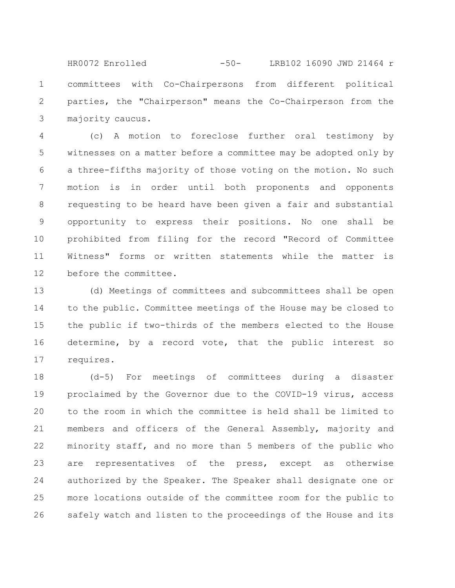committees with Co-Chairpersons from different political parties, the "Chairperson" means the Co-Chairperson from the majority caucus. 1 2 3 HR0072 Enrolled -50- LRB102 16090 JWD 21464 r

(c) A motion to foreclose further oral testimony by witnesses on a matter before a committee may be adopted only by a three-fifths majority of those voting on the motion. No such motion is in order until both proponents and opponents requesting to be heard have been given a fair and substantial opportunity to express their positions. No one shall be prohibited from filing for the record "Record of Committee Witness" forms or written statements while the matter is before the committee. 4 5 6 7 8 9 10 11 12

(d) Meetings of committees and subcommittees shall be open to the public. Committee meetings of the House may be closed to the public if two-thirds of the members elected to the House determine, by a record vote, that the public interest so requires. 13 14 15 16 17

(d-5) For meetings of committees during a disaster proclaimed by the Governor due to the COVID-19 virus, access to the room in which the committee is held shall be limited to members and officers of the General Assembly, majority and minority staff, and no more than 5 members of the public who are representatives of the press, except as otherwise authorized by the Speaker. The Speaker shall designate one or more locations outside of the committee room for the public to safely watch and listen to the proceedings of the House and its 18 19 20 21 22 23 24 25 26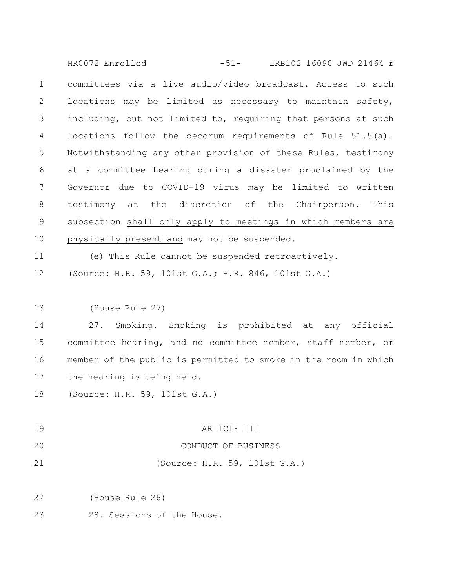committees via a live audio/video broadcast. Access to such locations may be limited as necessary to maintain safety, including, but not limited to, requiring that persons at such locations follow the decorum requirements of Rule 51.5(a). Notwithstanding any other provision of these Rules, testimony at a committee hearing during a disaster proclaimed by the Governor due to COVID-19 virus may be limited to written testimony at the discretion of the Chairperson. This subsection shall only apply to meetings in which members are physically present and may not be suspended. (e) This Rule cannot be suspended retroactively. (Source: H.R. 59, 101st G.A.; H.R. 846, 101st G.A.) (House Rule 27) 27. Smoking. Smoking is prohibited at any official committee hearing, and no committee member, staff member, or member of the public is permitted to smoke in the room in which the hearing is being held. (Source: H.R. 59, 101st G.A.) ARTICLE III CONDUCT OF BUSINESS (Source: H.R. 59, 101st G.A.) (House Rule 28) 28. Sessions of the House. 1 2 3 4 5 6 7 8 9 10 11 12 13 14 15 16 17 18 19 20 21 22 23 HR0072 Enrolled -51- LRB102 16090 JWD 21464 r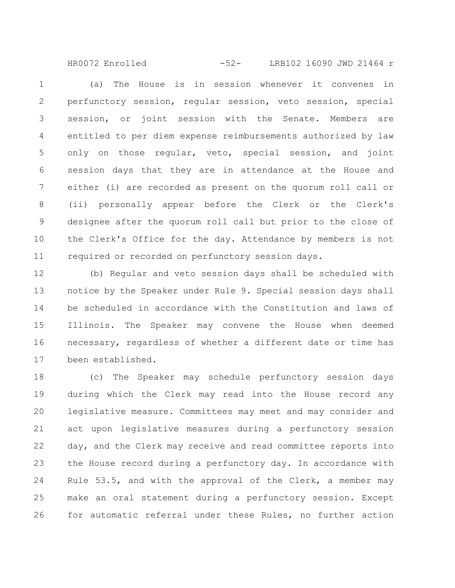(a) The House is in session whenever it convenes in perfunctory session, regular session, veto session, special session, or joint session with the Senate. Members are entitled to per diem expense reimbursements authorized by law only on those regular, veto, special session, and joint session days that they are in attendance at the House and either (i) are recorded as present on the quorum roll call or (ii) personally appear before the Clerk or the Clerk's designee after the quorum roll call but prior to the close of the Clerk's Office for the day. Attendance by members is not required or recorded on perfunctory session days. 1 2 3 4 5 6 7 8 9 10 11 HR0072 Enrolled -52- LRB102 16090 JWD 21464 r

(b) Regular and veto session days shall be scheduled with notice by the Speaker under Rule 9. Special session days shall be scheduled in accordance with the Constitution and laws of Illinois. The Speaker may convene the House when deemed necessary, regardless of whether a different date or time has been established. 12 13 14 15 16 17

(c) The Speaker may schedule perfunctory session days during which the Clerk may read into the House record any legislative measure. Committees may meet and may consider and act upon legislative measures during a perfunctory session day, and the Clerk may receive and read committee reports into the House record during a perfunctory day. In accordance with Rule 53.5, and with the approval of the Clerk, a member may make an oral statement during a perfunctory session. Except for automatic referral under these Rules, no further action 18 19 20 21 22 23 24 25 26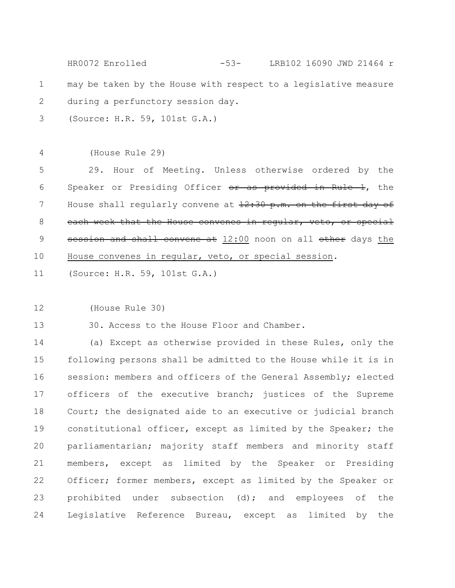|             | LRB102 16090 JWD 21464 r<br>HR0072 Enrolled<br>$-53-$           |
|-------------|-----------------------------------------------------------------|
| $\mathbf 1$ | may be taken by the House with respect to a legislative measure |
| 2           | during a perfunctory session day.                               |
| 3           | (Source: H.R. 59, 101st G.A.)                                   |
|             |                                                                 |
| 4           | (House Rule 29)                                                 |
| 5           | 29. Hour of Meeting. Unless otherwise ordered by the            |
| 6           | Speaker or Presiding Officer or as provided in Rule 1, the      |
| 7           | House shall regularly convene at 12:30 p.m. on the first day of |
| 8           | each week that the House convenes in regular, veto, or special  |
| 9           | session and shall convene at 12:00 noon on all other days the   |
| 10          | House convenes in regular, veto, or special session.            |
| 11          | (Source: H.R. 59, 101st G.A.)                                   |
|             |                                                                 |
| 12          | (House Rule 30)                                                 |
| 13          | 30. Access to the House Floor and Chamber.                      |
| 14          | (a) Except as otherwise provided in these Rules, only the       |
| 15          | following persons shall be admitted to the House while it is in |
| 16          | session: members and officers of the General Assembly; elected  |
| 17          | officers of the executive branch; justices of the Supreme       |
| 18          | Court; the designated aide to an executive or judicial branch   |
| 19          | constitutional officer, except as limited by the Speaker; the   |
| 20          | parliamentarian; majority staff members and minority staff      |
| 21          | members, except as limited by the Speaker or Presiding          |
| 22          | Officer; former members, except as limited by the Speaker or    |
| 23          | prohibited under subsection (d); and employees of the           |
| 24          | Legislative Reference Bureau, except as limited by the          |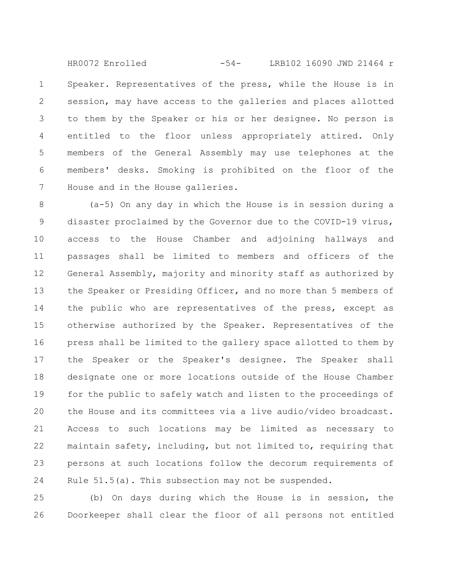Speaker. Representatives of the press, while the House is in session, may have access to the galleries and places allotted to them by the Speaker or his or her designee. No person is entitled to the floor unless appropriately attired. Only members of the General Assembly may use telephones at the members' desks. Smoking is prohibited on the floor of the House and in the House galleries. 1 2 3 4 5 6 7 HR0072 Enrolled -54- LRB102 16090 JWD 21464 r

(a-5) On any day in which the House is in session during a disaster proclaimed by the Governor due to the COVID-19 virus, access to the House Chamber and adjoining hallways and passages shall be limited to members and officers of the General Assembly, majority and minority staff as authorized by the Speaker or Presiding Officer, and no more than 5 members of the public who are representatives of the press, except as otherwise authorized by the Speaker. Representatives of the press shall be limited to the gallery space allotted to them by the Speaker or the Speaker's designee. The Speaker shall designate one or more locations outside of the House Chamber for the public to safely watch and listen to the proceedings of the House and its committees via a live audio/video broadcast. Access to such locations may be limited as necessary to maintain safety, including, but not limited to, requiring that persons at such locations follow the decorum requirements of Rule 51.5(a). This subsection may not be suspended. 8 9 10 11 12 13 14 15 16 17 18 19 20 21 22 23 24

(b) On days during which the House is in session, the Doorkeeper shall clear the floor of all persons not entitled 25 26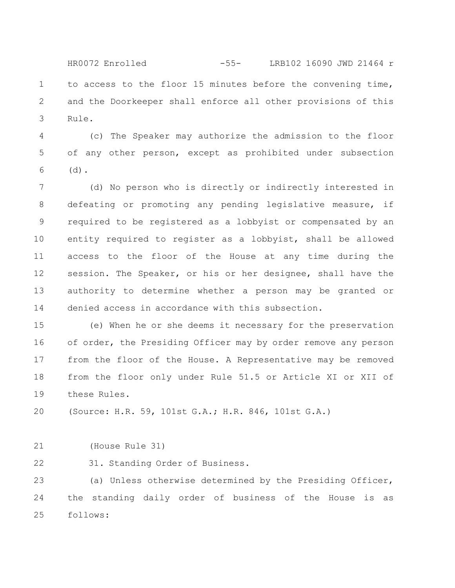to access to the floor 15 minutes before the convening time, and the Doorkeeper shall enforce all other provisions of this Rule. 1 2 3 HR0072 Enrolled -55- LRB102 16090 JWD 21464 r

(c) The Speaker may authorize the admission to the floor of any other person, except as prohibited under subsection  $(d)$ . 4 5 6

(d) No person who is directly or indirectly interested in defeating or promoting any pending legislative measure, if required to be registered as a lobbyist or compensated by an entity required to register as a lobbyist, shall be allowed access to the floor of the House at any time during the session. The Speaker, or his or her designee, shall have the authority to determine whether a person may be granted or denied access in accordance with this subsection. 7 8 9 10 11 12 13 14

(e) When he or she deems it necessary for the preservation of order, the Presiding Officer may by order remove any person from the floor of the House. A Representative may be removed from the floor only under Rule 51.5 or Article XI or XII of these Rules. 15 16 17 18 19

(Source: H.R. 59, 101st G.A.; H.R. 846, 101st G.A.) 20

(House Rule 31) 21

31. Standing Order of Business. 22

(a) Unless otherwise determined by the Presiding Officer, the standing daily order of business of the House is as follows: 23 24 25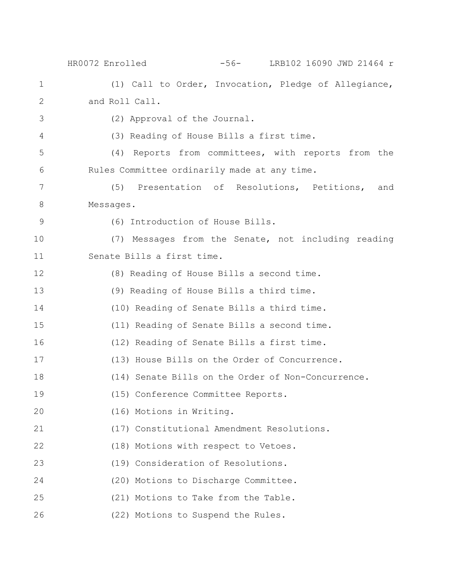|              | -56- LRB102 16090 JWD 21464 r<br>HR0072 Enrolled      |
|--------------|-------------------------------------------------------|
| $\mathbf 1$  | (1) Call to Order, Invocation, Pledge of Allegiance,  |
| $\mathbf{2}$ | and Roll Call.                                        |
| 3            | (2) Approval of the Journal.                          |
| 4            | (3) Reading of House Bills a first time.              |
| 5            | (4) Reports from committees, with reports from the    |
| 6            | Rules Committee ordinarily made at any time.          |
| 7            | Presentation of Resolutions, Petitions,<br>(5)<br>and |
| 8            | Messages.                                             |
| 9            | (6) Introduction of House Bills.                      |
| 10           | (7) Messages from the Senate, not including reading   |
| 11           | Senate Bills a first time.                            |
| 12           | (8) Reading of House Bills a second time.             |
| 13           | (9) Reading of House Bills a third time.              |
| 14           | (10) Reading of Senate Bills a third time.            |
| 15           | (11) Reading of Senate Bills a second time.           |
| 16           | (12) Reading of Senate Bills a first time.            |
| 17           | (13) House Bills on the Order of Concurrence.         |
| 18           | (14) Senate Bills on the Order of Non-Concurrence.    |
| 19           | (15) Conference Committee Reports.                    |
| 20           | (16) Motions in Writing.                              |
| 21           | (17) Constitutional Amendment Resolutions.            |
| 22           | (18) Motions with respect to Vetoes.                  |
| 23           | (19) Consideration of Resolutions.                    |
| 24           | (20) Motions to Discharge Committee.                  |
| 25           | (21) Motions to Take from the Table.                  |
| 26           | (22) Motions to Suspend the Rules.                    |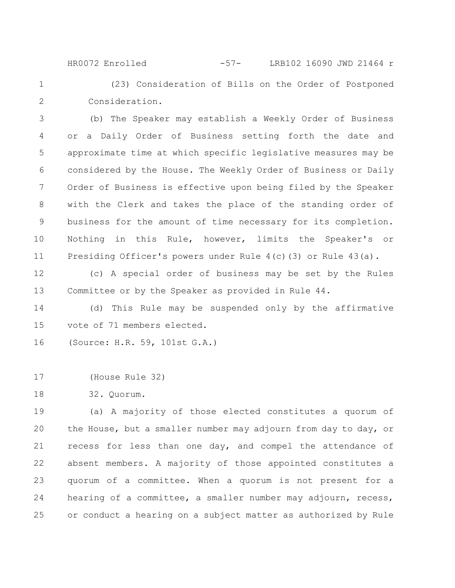(23) Consideration of Bills on the Order of Postponed Consideration. HR0072 Enrolled -57- LRB102 16090 JWD 21464 r

(b) The Speaker may establish a Weekly Order of Business or a Daily Order of Business setting forth the date and approximate time at which specific legislative measures may be considered by the House. The Weekly Order of Business or Daily Order of Business is effective upon being filed by the Speaker with the Clerk and takes the place of the standing order of business for the amount of time necessary for its completion. Nothing in this Rule, however, limits the Speaker's or Presiding Officer's powers under Rule 4(c)(3) or Rule 43(a). 3 4 5 6 7 8 9 10 11

(c) A special order of business may be set by the Rules Committee or by the Speaker as provided in Rule 44. 12 13

(d) This Rule may be suspended only by the affirmative vote of 71 members elected. 14 15

(Source: H.R. 59, 101st G.A.) 16

(House Rule 32) 17

32. Quorum. 18

1

2

(a) A majority of those elected constitutes a quorum of the House, but a smaller number may adjourn from day to day, or recess for less than one day, and compel the attendance of absent members. A majority of those appointed constitutes a quorum of a committee. When a quorum is not present for a hearing of a committee, a smaller number may adjourn, recess, or conduct a hearing on a subject matter as authorized by Rule 19 20 21 22 23 24 25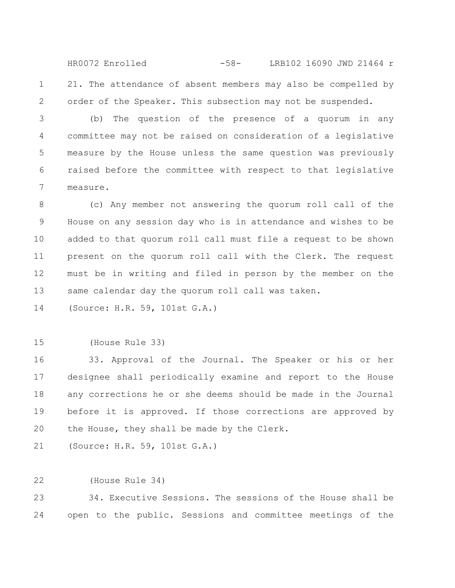21. The attendance of absent members may also be compelled by order of the Speaker. This subsection may not be suspended. 1 2 HR0072 Enrolled -58- LRB102 16090 JWD 21464 r

(b) The question of the presence of a quorum in any committee may not be raised on consideration of a legislative measure by the House unless the same question was previously raised before the committee with respect to that legislative measure. 3 4 5 6 7

(c) Any member not answering the quorum roll call of the House on any session day who is in attendance and wishes to be added to that quorum roll call must file a request to be shown present on the quorum roll call with the Clerk. The request must be in writing and filed in person by the member on the same calendar day the quorum roll call was taken. 8 9 10 11 12 13

(Source: H.R. 59, 101st G.A.) 14

(House Rule 33) 15

33. Approval of the Journal. The Speaker or his or her designee shall periodically examine and report to the House any corrections he or she deems should be made in the Journal before it is approved. If those corrections are approved by the House, they shall be made by the Clerk. 16 17 18 19 20

(Source: H.R. 59, 101st G.A.) 21

(House Rule 34) 22

34. Executive Sessions. The sessions of the House shall be open to the public. Sessions and committee meetings of the 23 24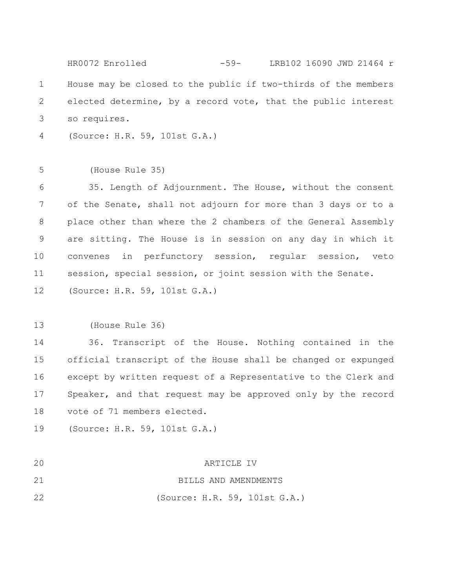|                | $-59-$<br>LRB102 16090 JWD 21464 r<br>HR0072 Enrolled          |
|----------------|----------------------------------------------------------------|
| $\mathbf 1$    | House may be closed to the public if two-thirds of the members |
| $\overline{2}$ | elected determine, by a record vote, that the public interest  |
| 3              | so requires.                                                   |
| 4              | (Source: H.R. 59, 101st G.A.)                                  |
|                |                                                                |
| 5              | (House Rule 35)                                                |
| 6              | 35. Length of Adjournment. The House, without the consent      |
| $\overline{7}$ | of the Senate, shall not adjourn for more than 3 days or to a  |
| $8\,$          | place other than where the 2 chambers of the General Assembly  |
| $\mathsf 9$    | are sitting. The House is in session on any day in which it    |
| 10             | in perfunctory session, regular session, veto<br>convenes      |
| 11             | session, special session, or joint session with the Senate.    |
| 12             | (Source: H.R. 59, 101st G.A.)                                  |
|                |                                                                |
| 13             | (House Rule 36)                                                |
| 14             | 36. Transcript of the House. Nothing contained in the          |
| 15             | official transcript of the House shall be changed or expunged  |
| 16             | except by written request of a Representative to the Clerk and |

Speaker, and that request may be approved only by the record vote of 71 members elected. 17 18

(Source: H.R. 59, 101st G.A.) 19

| 20 | ARTICLE IV                    |
|----|-------------------------------|
| 21 | BILLS AND AMENDMENTS          |
| 22 | (Source: H.R. 59, 101st G.A.) |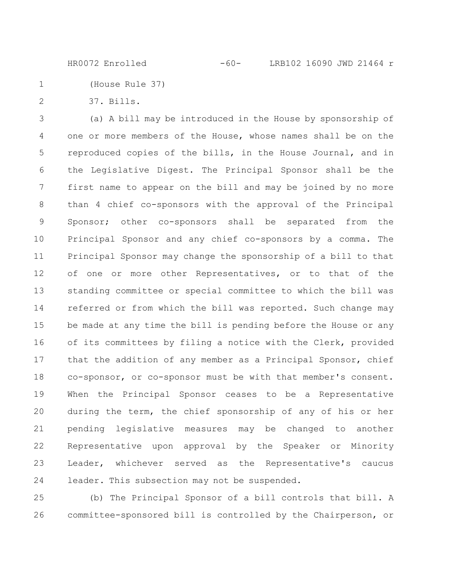(House Rule 37) 1

37. Bills. 2

(a) A bill may be introduced in the House by sponsorship of one or more members of the House, whose names shall be on the reproduced copies of the bills, in the House Journal, and in the Legislative Digest. The Principal Sponsor shall be the first name to appear on the bill and may be joined by no more than 4 chief co-sponsors with the approval of the Principal Sponsor; other co-sponsors shall be separated from the Principal Sponsor and any chief co-sponsors by a comma. The Principal Sponsor may change the sponsorship of a bill to that of one or more other Representatives, or to that of the standing committee or special committee to which the bill was referred or from which the bill was reported. Such change may be made at any time the bill is pending before the House or any of its committees by filing a notice with the Clerk, provided that the addition of any member as a Principal Sponsor, chief co-sponsor, or co-sponsor must be with that member's consent. When the Principal Sponsor ceases to be a Representative during the term, the chief sponsorship of any of his or her pending legislative measures may be changed to another Representative upon approval by the Speaker or Minority Leader, whichever served as the Representative's caucus leader. This subsection may not be suspended. 3 4 5 6 7 8 9 10 11 12 13 14 15 16 17 18 19 20 21 22 23 24

(b) The Principal Sponsor of a bill controls that bill. A committee-sponsored bill is controlled by the Chairperson, or 25 26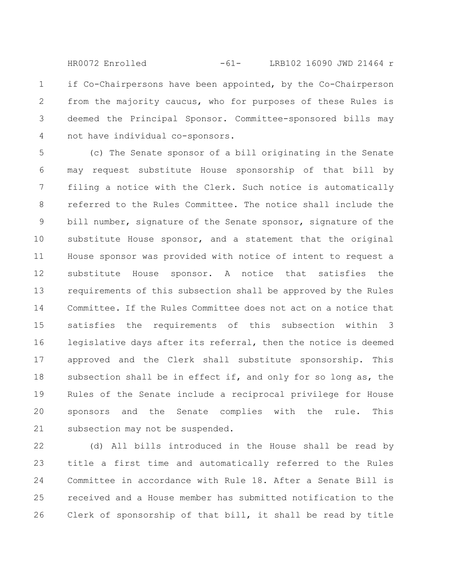if Co-Chairpersons have been appointed, by the Co-Chairperson from the majority caucus, who for purposes of these Rules is deemed the Principal Sponsor. Committee-sponsored bills may not have individual co-sponsors. 1 2 3 4 HR0072 Enrolled -61- LRB102 16090 JWD 21464 r

(c) The Senate sponsor of a bill originating in the Senate may request substitute House sponsorship of that bill by filing a notice with the Clerk. Such notice is automatically referred to the Rules Committee. The notice shall include the bill number, signature of the Senate sponsor, signature of the substitute House sponsor, and a statement that the original House sponsor was provided with notice of intent to request a substitute House sponsor. A notice that satisfies the requirements of this subsection shall be approved by the Rules Committee. If the Rules Committee does not act on a notice that satisfies the requirements of this subsection within 3 legislative days after its referral, then the notice is deemed approved and the Clerk shall substitute sponsorship. This subsection shall be in effect if, and only for so long as, the Rules of the Senate include a reciprocal privilege for House sponsors and the Senate complies with the rule. This subsection may not be suspended. 5 6 7 8 9 10 11 12 13 14 15 16 17 18 19 20 21

(d) All bills introduced in the House shall be read by title a first time and automatically referred to the Rules Committee in accordance with Rule 18. After a Senate Bill is received and a House member has submitted notification to the Clerk of sponsorship of that bill, it shall be read by title 22 23 24 25 26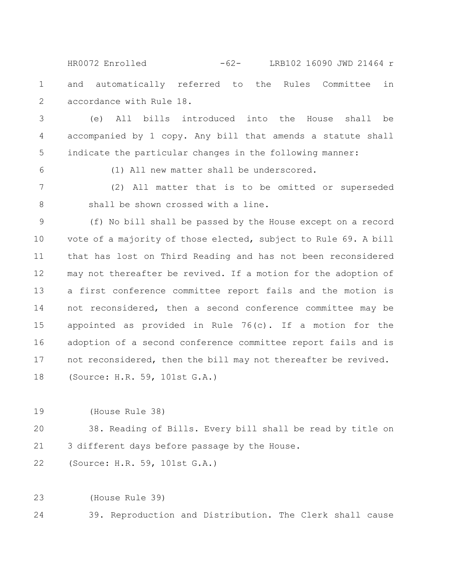and automatically referred to the Rules Committee in accordance with Rule 18. 1 2 HR0072 Enrolled -62- LRB102 16090 JWD 21464 r

(e) All bills introduced into the House shall be accompanied by 1 copy. Any bill that amends a statute shall indicate the particular changes in the following manner: 3 4 5

6

(1) All new matter shall be underscored.

(2) All matter that is to be omitted or superseded shall be shown crossed with a line. 7 8

(f) No bill shall be passed by the House except on a record vote of a majority of those elected, subject to Rule 69. A bill that has lost on Third Reading and has not been reconsidered may not thereafter be revived. If a motion for the adoption of a first conference committee report fails and the motion is not reconsidered, then a second conference committee may be appointed as provided in Rule 76(c). If a motion for the adoption of a second conference committee report fails and is not reconsidered, then the bill may not thereafter be revived. (Source: H.R. 59, 101st G.A.) 9 10 11 12 13 14 15 16 17 18

(House Rule 38) 19

38. Reading of Bills. Every bill shall be read by title on 3 different days before passage by the House. 20 21

(Source: H.R. 59, 101st G.A.) 22

(House Rule 39) 23

39. Reproduction and Distribution. The Clerk shall cause 24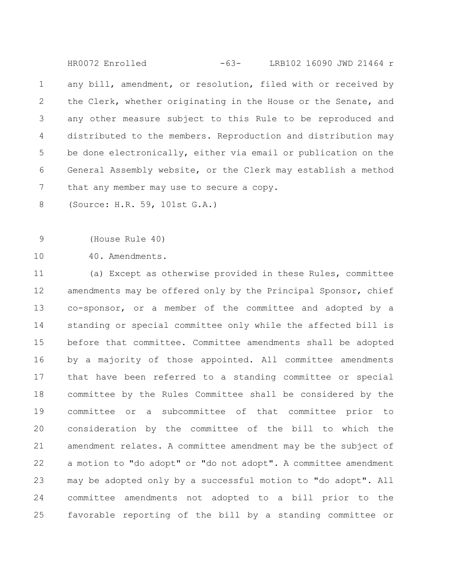any bill, amendment, or resolution, filed with or received by the Clerk, whether originating in the House or the Senate, and any other measure subject to this Rule to be reproduced and distributed to the members. Reproduction and distribution may be done electronically, either via email or publication on the General Assembly website, or the Clerk may establish a method that any member may use to secure a copy. 1 2 3 4 5 6 7 HR0072 Enrolled -63- LRB102 16090 JWD 21464 r

(Source: H.R. 59, 101st G.A.) 8

(House Rule 40) 9

40. Amendments. 10

(a) Except as otherwise provided in these Rules, committee amendments may be offered only by the Principal Sponsor, chief co-sponsor, or a member of the committee and adopted by a standing or special committee only while the affected bill is before that committee. Committee amendments shall be adopted by a majority of those appointed. All committee amendments that have been referred to a standing committee or special committee by the Rules Committee shall be considered by the committee or a subcommittee of that committee prior to consideration by the committee of the bill to which the amendment relates. A committee amendment may be the subject of a motion to "do adopt" or "do not adopt". A committee amendment may be adopted only by a successful motion to "do adopt". All committee amendments not adopted to a bill prior to the favorable reporting of the bill by a standing committee or 11 12 13 14 15 16 17 18 19 20 21 22 23 24 25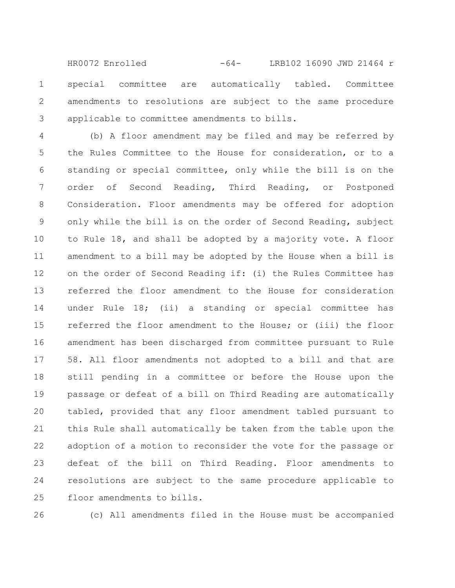special committee are automatically tabled. Committee amendments to resolutions are subject to the same procedure applicable to committee amendments to bills. 1 2 3 HR0072 Enrolled -64- LRB102 16090 JWD 21464 r

(b) A floor amendment may be filed and may be referred by the Rules Committee to the House for consideration, or to a standing or special committee, only while the bill is on the order of Second Reading, Third Reading, or Postponed Consideration. Floor amendments may be offered for adoption only while the bill is on the order of Second Reading, subject to Rule 18, and shall be adopted by a majority vote. A floor amendment to a bill may be adopted by the House when a bill is on the order of Second Reading if: (i) the Rules Committee has referred the floor amendment to the House for consideration under Rule 18; (ii) a standing or special committee has referred the floor amendment to the House; or (iii) the floor amendment has been discharged from committee pursuant to Rule 58. All floor amendments not adopted to a bill and that are still pending in a committee or before the House upon the passage or defeat of a bill on Third Reading are automatically tabled, provided that any floor amendment tabled pursuant to this Rule shall automatically be taken from the table upon the adoption of a motion to reconsider the vote for the passage or defeat of the bill on Third Reading. Floor amendments to resolutions are subject to the same procedure applicable to floor amendments to bills. 4 5 6 7 8 9 10 11 12 13 14 15 16 17 18 19 20 21 22 23 24 25

26

(c) All amendments filed in the House must be accompanied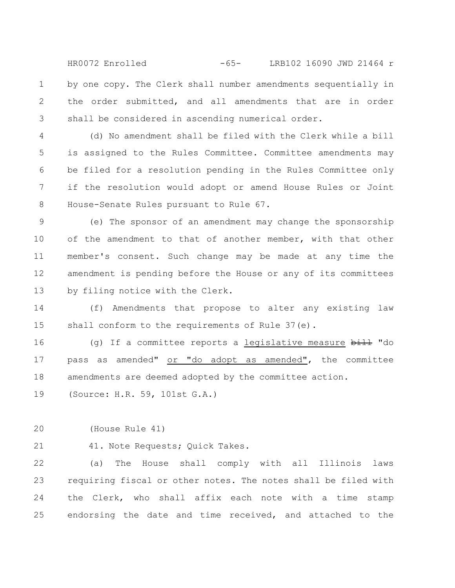by one copy. The Clerk shall number amendments sequentially in the order submitted, and all amendments that are in order shall be considered in ascending numerical order. 1 2 3 HR0072 Enrolled -65- LRB102 16090 JWD 21464 r

(d) No amendment shall be filed with the Clerk while a bill is assigned to the Rules Committee. Committee amendments may be filed for a resolution pending in the Rules Committee only if the resolution would adopt or amend House Rules or Joint House-Senate Rules pursuant to Rule 67. 4 5 6 7 8

(e) The sponsor of an amendment may change the sponsorship of the amendment to that of another member, with that other member's consent. Such change may be made at any time the amendment is pending before the House or any of its committees by filing notice with the Clerk. 9 10 11 12 13

(f) Amendments that propose to alter any existing law shall conform to the requirements of Rule 37(e). 14 15

(g) If a committee reports a legislative measure  $b$ ill "do pass as amended" or "do adopt as amended", the committee amendments are deemed adopted by the committee action. 16 17 18

(Source: H.R. 59, 101st G.A.) 19

(House Rule 41) 20

21

41. Note Requests; Quick Takes.

(a) The House shall comply with all Illinois laws requiring fiscal or other notes. The notes shall be filed with the Clerk, who shall affix each note with a time stamp endorsing the date and time received, and attached to the 22 23 24 25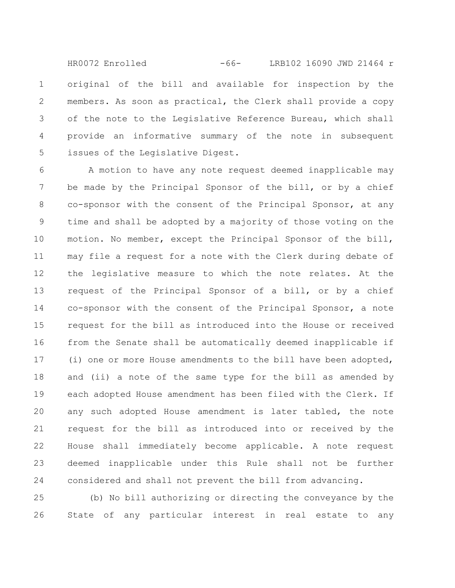original of the bill and available for inspection by the members. As soon as practical, the Clerk shall provide a copy of the note to the Legislative Reference Bureau, which shall provide an informative summary of the note in subsequent issues of the Legislative Digest. 1 2 3 4 5 HR0072 Enrolled -66- LRB102 16090 JWD 21464 r

A motion to have any note request deemed inapplicable may be made by the Principal Sponsor of the bill, or by a chief co-sponsor with the consent of the Principal Sponsor, at any time and shall be adopted by a majority of those voting on the motion. No member, except the Principal Sponsor of the bill, may file a request for a note with the Clerk during debate of the legislative measure to which the note relates. At the request of the Principal Sponsor of a bill, or by a chief co-sponsor with the consent of the Principal Sponsor, a note request for the bill as introduced into the House or received from the Senate shall be automatically deemed inapplicable if (i) one or more House amendments to the bill have been adopted, and (ii) a note of the same type for the bill as amended by each adopted House amendment has been filed with the Clerk. If any such adopted House amendment is later tabled, the note request for the bill as introduced into or received by the House shall immediately become applicable. A note request deemed inapplicable under this Rule shall not be further considered and shall not prevent the bill from advancing. 6 7 8 9 10 11 12 13 14 15 16 17 18 19 20 21 22 23 24

(b) No bill authorizing or directing the conveyance by the State of any particular interest in real estate to any 25 26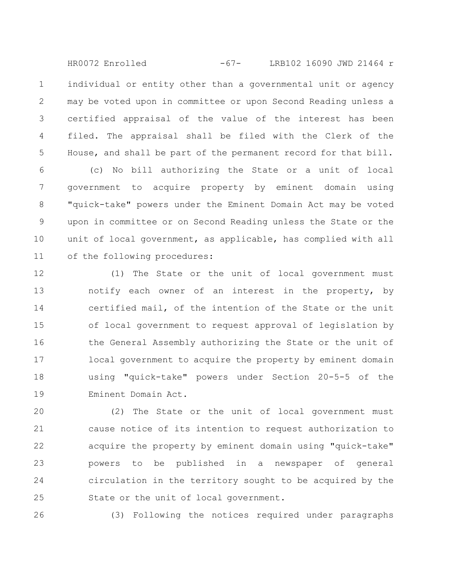individual or entity other than a governmental unit or agency may be voted upon in committee or upon Second Reading unless a certified appraisal of the value of the interest has been filed. The appraisal shall be filed with the Clerk of the House, and shall be part of the permanent record for that bill. 1 2 3 4 5 HR0072 Enrolled -67- LRB102 16090 JWD 21464 r

(c) No bill authorizing the State or a unit of local government to acquire property by eminent domain using "quick-take" powers under the Eminent Domain Act may be voted upon in committee or on Second Reading unless the State or the unit of local government, as applicable, has complied with all of the following procedures: 6 7 8 9 10 11

(1) The State or the unit of local government must notify each owner of an interest in the property, by certified mail, of the intention of the State or the unit of local government to request approval of legislation by the General Assembly authorizing the State or the unit of local government to acquire the property by eminent domain using "quick-take" powers under Section 20-5-5 of the Eminent Domain Act. 12 13 14 15 16 17 18 19

(2) The State or the unit of local government must cause notice of its intention to request authorization to acquire the property by eminent domain using "quick-take" powers to be published in a newspaper of general circulation in the territory sought to be acquired by the State or the unit of local government. 20 21 22 23 24 25

26

(3) Following the notices required under paragraphs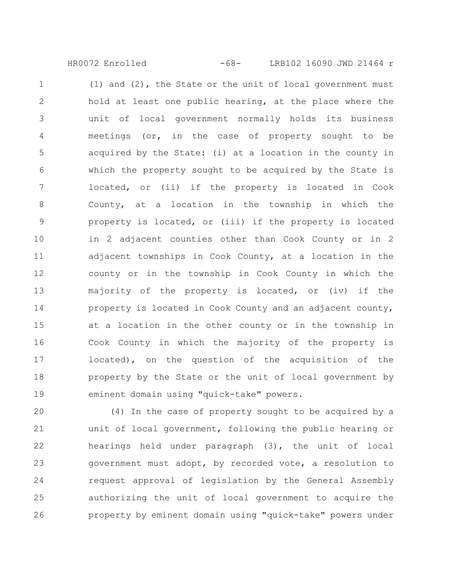HR0072 Enrolled -68- LRB102 16090 JWD 21464 r

(1) and (2), the State or the unit of local government must hold at least one public hearing, at the place where the unit of local government normally holds its business meetings (or, in the case of property sought to be acquired by the State: (i) at a location in the county in which the property sought to be acquired by the State is located, or (ii) if the property is located in Cook County, at a location in the township in which the property is located, or (iii) if the property is located in 2 adjacent counties other than Cook County or in 2 adjacent townships in Cook County, at a location in the county or in the township in Cook County in which the majority of the property is located, or (iv) if the property is located in Cook County and an adjacent county, at a location in the other county or in the township in Cook County in which the majority of the property is located), on the question of the acquisition of the property by the State or the unit of local government by eminent domain using "quick-take" powers. 1 2 3 4 5 6 7 8 9 10 11 12 13 14 15 16 17 18 19

(4) In the case of property sought to be acquired by a unit of local government, following the public hearing or hearings held under paragraph (3), the unit of local government must adopt, by recorded vote, a resolution to request approval of legislation by the General Assembly authorizing the unit of local government to acquire the property by eminent domain using "quick-take" powers under 20 21 22 23 24 25 26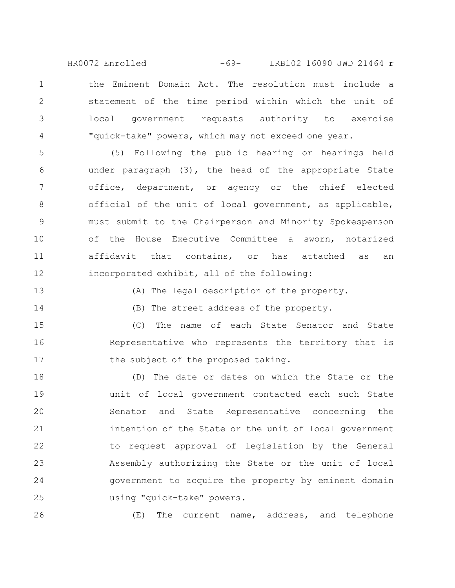the Eminent Domain Act. The resolution must include a statement of the time period within which the unit of local government requests authority to exercise "quick-take" powers, which may not exceed one year. HR0072 Enrolled -69- LRB102 16090 JWD 21464 r

(5) Following the public hearing or hearings held under paragraph (3), the head of the appropriate State office, department, or agency or the chief elected official of the unit of local government, as applicable, must submit to the Chairperson and Minority Spokesperson of the House Executive Committee a sworn, notarized affidavit that contains, or has attached as an incorporated exhibit, all of the following: 5 6 7 8 9 10 11 12

13

1

2

3

4

(A) The legal description of the property.

14

(B) The street address of the property.

(C) The name of each State Senator and State Representative who represents the territory that is the subject of the proposed taking. 15 16 17

(D) The date or dates on which the State or the unit of local government contacted each such State Senator and State Representative concerning the intention of the State or the unit of local government to request approval of legislation by the General Assembly authorizing the State or the unit of local government to acquire the property by eminent domain using "quick-take" powers. 18 19 20 21 22 23 24 25

26

(E) The current name, address, and telephone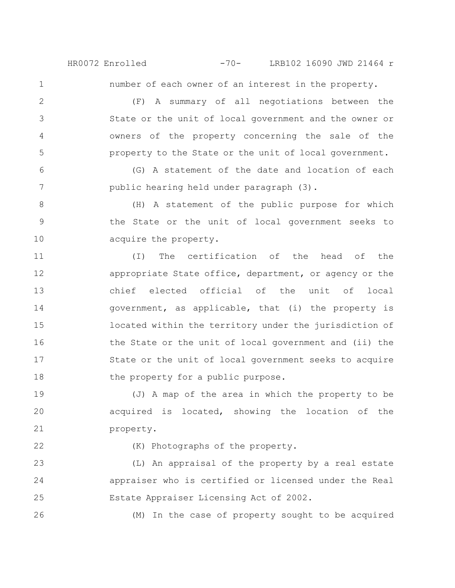HR0072 Enrolled -70- LRB102 16090 JWD 21464 r

1

2

3

4

5

number of each owner of an interest in the property.

(F) A summary of all negotiations between the State or the unit of local government and the owner or owners of the property concerning the sale of the property to the State or the unit of local government.

(G) A statement of the date and location of each public hearing held under paragraph (3). 6 7

(H) A statement of the public purpose for which the State or the unit of local government seeks to acquire the property. 8 9 10

(I) The certification of the head of the appropriate State office, department, or agency or the chief elected official of the unit of local government, as applicable, that (i) the property is located within the territory under the jurisdiction of the State or the unit of local government and (ii) the State or the unit of local government seeks to acquire the property for a public purpose. 11 12 13 14 15 16 17 18

(J) A map of the area in which the property to be acquired is located, showing the location of the property. 19 20 21

22

26

(K) Photographs of the property.

(L) An appraisal of the property by a real estate appraiser who is certified or licensed under the Real Estate Appraiser Licensing Act of 2002. 23 24 25

(M) In the case of property sought to be acquired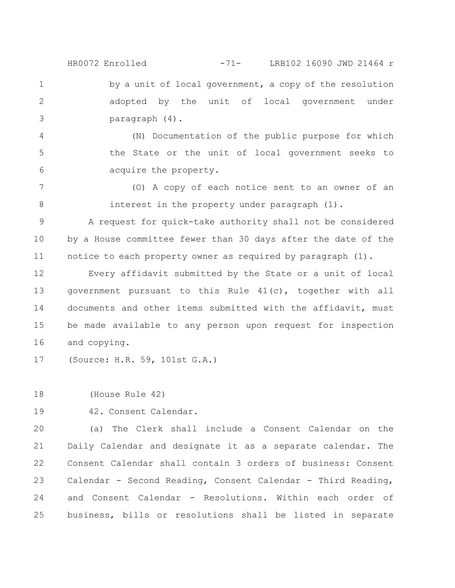by a unit of local government, a copy of the resolution adopted by the unit of local government under paragraph (4). HR0072 Enrolled -71- LRB102 16090 JWD 21464 r

(N) Documentation of the public purpose for which the State or the unit of local government seeks to acquire the property. 4 5 6

(O) A copy of each notice sent to an owner of an interest in the property under paragraph (1). 7 8

A request for quick-take authority shall not be considered by a House committee fewer than 30 days after the date of the notice to each property owner as required by paragraph (1). 9 10 11

Every affidavit submitted by the State or a unit of local government pursuant to this Rule 41(c), together with all documents and other items submitted with the affidavit, must be made available to any person upon request for inspection and copying. 12 13 14 15 16

(Source: H.R. 59, 101st G.A.) 17

(House Rule 42) 18

1

2

3

42. Consent Calendar. 19

(a) The Clerk shall include a Consent Calendar on the Daily Calendar and designate it as a separate calendar. The Consent Calendar shall contain 3 orders of business: Consent Calendar - Second Reading, Consent Calendar - Third Reading, and Consent Calendar - Resolutions. Within each order of business, bills or resolutions shall be listed in separate 20 21 22 23 24 25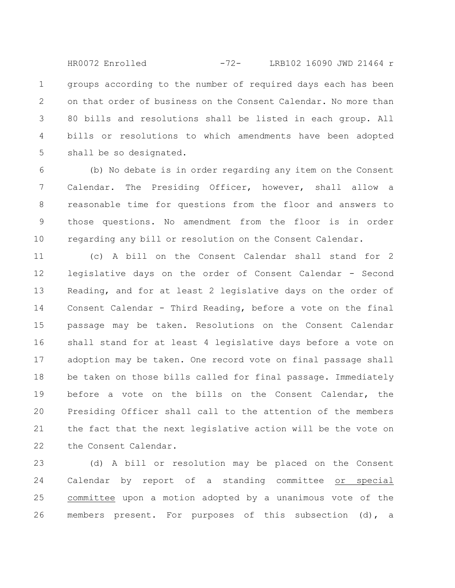groups according to the number of required days each has been on that order of business on the Consent Calendar. No more than 80 bills and resolutions shall be listed in each group. All bills or resolutions to which amendments have been adopted shall be so designated. 1 2 3 4 5 HR0072 Enrolled -72- LRB102 16090 JWD 21464 r

(b) No debate is in order regarding any item on the Consent Calendar. The Presiding Officer, however, shall allow a reasonable time for questions from the floor and answers to those questions. No amendment from the floor is in order regarding any bill or resolution on the Consent Calendar. 6 7 8 9 10

(c) A bill on the Consent Calendar shall stand for 2 legislative days on the order of Consent Calendar - Second Reading, and for at least 2 legislative days on the order of Consent Calendar - Third Reading, before a vote on the final passage may be taken. Resolutions on the Consent Calendar shall stand for at least 4 legislative days before a vote on adoption may be taken. One record vote on final passage shall be taken on those bills called for final passage. Immediately before a vote on the bills on the Consent Calendar, the Presiding Officer shall call to the attention of the members the fact that the next legislative action will be the vote on the Consent Calendar. 11 12 13 14 15 16 17 18 19 20 21 22

(d) A bill or resolution may be placed on the Consent Calendar by report of a standing committee or special committee upon a motion adopted by a unanimous vote of the members present. For purposes of this subsection (d), a 23 24 25 26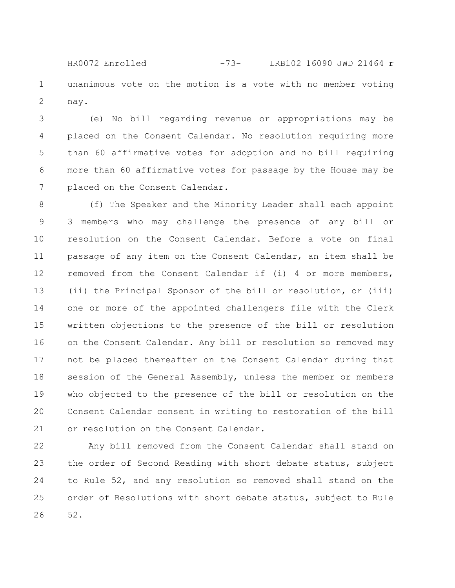unanimous vote on the motion is a vote with no member voting nay. 1 2 HR0072 Enrolled -73- LRB102 16090 JWD 21464 r

(e) No bill regarding revenue or appropriations may be placed on the Consent Calendar. No resolution requiring more than 60 affirmative votes for adoption and no bill requiring more than 60 affirmative votes for passage by the House may be placed on the Consent Calendar. 3 4 5 6 7

(f) The Speaker and the Minority Leader shall each appoint 3 members who may challenge the presence of any bill or resolution on the Consent Calendar. Before a vote on final passage of any item on the Consent Calendar, an item shall be removed from the Consent Calendar if (i) 4 or more members, (ii) the Principal Sponsor of the bill or resolution, or (iii) one or more of the appointed challengers file with the Clerk written objections to the presence of the bill or resolution on the Consent Calendar. Any bill or resolution so removed may not be placed thereafter on the Consent Calendar during that session of the General Assembly, unless the member or members who objected to the presence of the bill or resolution on the Consent Calendar consent in writing to restoration of the bill or resolution on the Consent Calendar. 8 9 10 11 12 13 14 15 16 17 18 19 20 21

Any bill removed from the Consent Calendar shall stand on the order of Second Reading with short debate status, subject to Rule 52, and any resolution so removed shall stand on the order of Resolutions with short debate status, subject to Rule 52. 22 23 24 25 26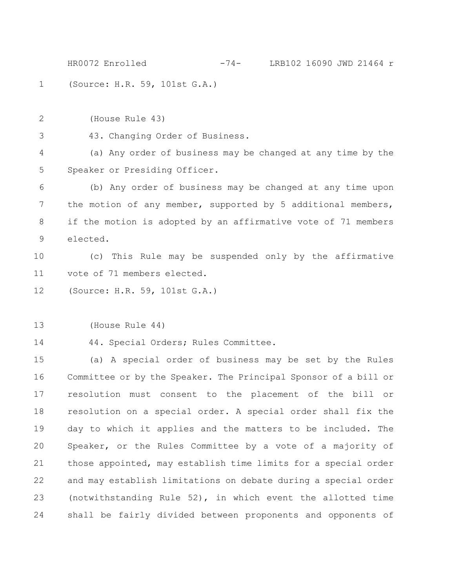(Source: H.R. 59, 101st G.A.) HR0072 Enrolled -74- LRB102 16090 JWD 21464 r

(House Rule 43) 2

43. Changing Order of Business. 3

(a) Any order of business may be changed at any time by the Speaker or Presiding Officer. 4 5

(b) Any order of business may be changed at any time upon the motion of any member, supported by 5 additional members, if the motion is adopted by an affirmative vote of 71 members elected. 6 7 8 9

(c) This Rule may be suspended only by the affirmative vote of 71 members elected. 10 11

(Source: H.R. 59, 101st G.A.) 12

(House Rule 44) 13

14

1

44. Special Orders; Rules Committee.

(a) A special order of business may be set by the Rules Committee or by the Speaker. The Principal Sponsor of a bill or resolution must consent to the placement of the bill or resolution on a special order. A special order shall fix the day to which it applies and the matters to be included. The Speaker, or the Rules Committee by a vote of a majority of those appointed, may establish time limits for a special order and may establish limitations on debate during a special order (notwithstanding Rule 52), in which event the allotted time shall be fairly divided between proponents and opponents of 15 16 17 18 19 20 21 22 23 24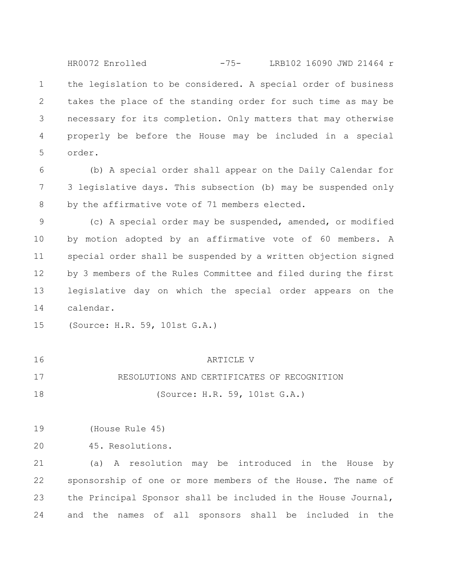the legislation to be considered. A special order of business takes the place of the standing order for such time as may be necessary for its completion. Only matters that may otherwise properly be before the House may be included in a special order. 1 2 3 4 5 HR0072 Enrolled -75- LRB102 16090 JWD 21464 r

(b) A special order shall appear on the Daily Calendar for 3 legislative days. This subsection (b) may be suspended only by the affirmative vote of 71 members elected. 6 7 8

(c) A special order may be suspended, amended, or modified by motion adopted by an affirmative vote of 60 members. A special order shall be suspended by a written objection signed by 3 members of the Rules Committee and filed during the first legislative day on which the special order appears on the calendar. 9 10 11 12 13 14

(Source: H.R. 59, 101st G.A.) 15

| 16 | ARTICLE V                                   |
|----|---------------------------------------------|
| 17 | RESOLUTIONS AND CERTIFICATES OF RECOGNITION |
| 18 | (Source: H.R. 59, 101st G.A.)               |

(House Rule 45) 19

45. Resolutions. 20

(a) A resolution may be introduced in the House by sponsorship of one or more members of the House. The name of the Principal Sponsor shall be included in the House Journal, and the names of all sponsors shall be included in the 21 22 23 24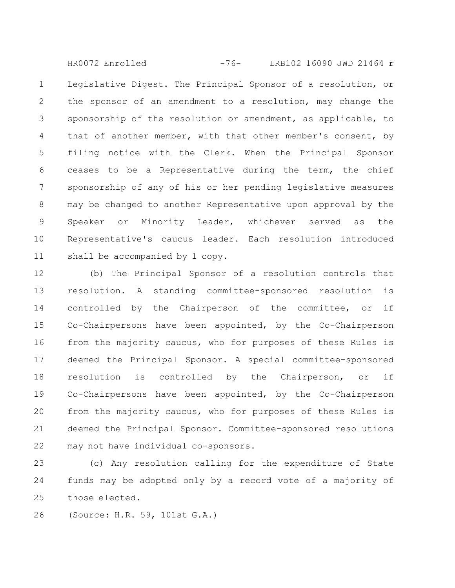Legislative Digest. The Principal Sponsor of a resolution, or the sponsor of an amendment to a resolution, may change the sponsorship of the resolution or amendment, as applicable, to that of another member, with that other member's consent, by filing notice with the Clerk. When the Principal Sponsor ceases to be a Representative during the term, the chief sponsorship of any of his or her pending legislative measures may be changed to another Representative upon approval by the Speaker or Minority Leader, whichever served as the Representative's caucus leader. Each resolution introduced shall be accompanied by 1 copy. 1 2 3 4 5 6 7 8 9 10 11 HR0072 Enrolled -76- LRB102 16090 JWD 21464 r

(b) The Principal Sponsor of a resolution controls that resolution. A standing committee-sponsored resolution is controlled by the Chairperson of the committee, or if Co-Chairpersons have been appointed, by the Co-Chairperson from the majority caucus, who for purposes of these Rules is deemed the Principal Sponsor. A special committee-sponsored resolution is controlled by the Chairperson, or if Co-Chairpersons have been appointed, by the Co-Chairperson from the majority caucus, who for purposes of these Rules is deemed the Principal Sponsor. Committee-sponsored resolutions may not have individual co-sponsors. 12 13 14 15 16 17 18 19 20 21 22

(c) Any resolution calling for the expenditure of State funds may be adopted only by a record vote of a majority of those elected. 23 24 25

(Source: H.R. 59, 101st G.A.) 26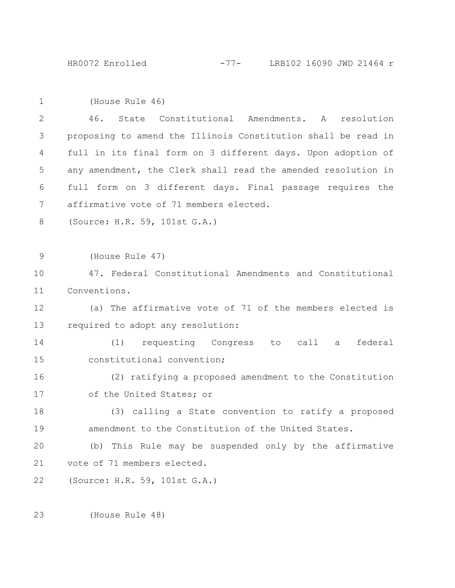| $\mathbf{1}$ | (House Rule 46)                                               |
|--------------|---------------------------------------------------------------|
| 2            | State Constitutional Amendments. A<br>46.<br>resolution       |
| 3            | proposing to amend the Illinois Constitution shall be read in |
| 4            | full in its final form on 3 different days. Upon adoption of  |
| 5            | any amendment, the Clerk shall read the amended resolution in |
| 6            | full form on 3 different days. Final passage requires the     |
| 7            | affirmative vote of 71 members elected.                       |
| 8            | (Source: H.R. 59, 101st G.A.)                                 |
|              |                                                               |
| 9            | (House Rule 47)                                               |
| 10           | 47. Federal Constitutional Amendments and Constitutional      |
| 11           | Conventions.                                                  |
| 12           | (a) The affirmative vote of 71 of the members elected is      |
| 13           | required to adopt any resolution:                             |
| 14           | (1) requesting Congress to call a<br>federal                  |
| 15           | constitutional convention;                                    |
| 16           | (2) ratifying a proposed amendment to the Constitution        |
| 17           | of the United States; or                                      |
| 18           | (3) calling a State convention to ratify a proposed           |
| 19           | amendment to the Constitution of the United States.           |
| 20           | (b) This Rule may be suspended only by the affirmative        |
| 21           | vote of 71 members elected.                                   |
| 22           | (Source: H.R. 59, 101st G.A.)                                 |

(House Rule 48) 23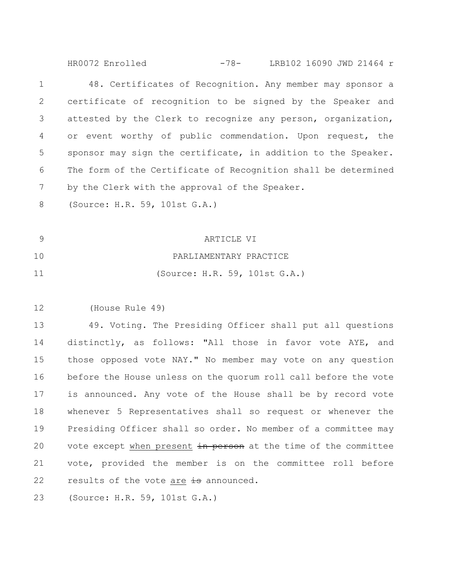HR0072 Enrolled -78- LRB102 16090 JWD 21464 r

48. Certificates of Recognition. Any member may sponsor a certificate of recognition to be signed by the Speaker and attested by the Clerk to recognize any person, organization, or event worthy of public commendation. Upon request, the sponsor may sign the certificate, in addition to the Speaker. The form of the Certificate of Recognition shall be determined by the Clerk with the approval of the Speaker. 1 2 3 4 5 6 7

(Source: H.R. 59, 101st G.A.) 8

- ARTICLE VI PARLIAMENTARY PRACTICE (Source: H.R. 59, 101st G.A.) 9 10 11
- (House Rule 49) 12

49. Voting. The Presiding Officer shall put all questions distinctly, as follows: "All those in favor vote AYE, and those opposed vote NAY." No member may vote on any question before the House unless on the quorum roll call before the vote is announced. Any vote of the House shall be by record vote whenever 5 Representatives shall so request or whenever the Presiding Officer shall so order. No member of a committee may vote except when present in person at the time of the committee vote, provided the member is on the committee roll before results of the vote are  $\frac{1}{10}$  announced. 13 14 15 16 17 18 19 20 21 22

(Source: H.R. 59, 101st G.A.) 23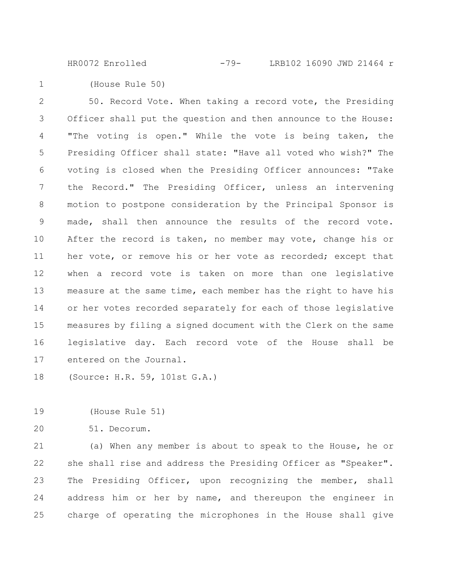HR0072 Enrolled -79- LRB102 16090 JWD 21464 r

(House Rule 50) 1

50. Record Vote. When taking a record vote, the Presiding Officer shall put the question and then announce to the House: "The voting is open." While the vote is being taken, the Presiding Officer shall state: "Have all voted who wish?" The voting is closed when the Presiding Officer announces: "Take the Record." The Presiding Officer, unless an intervening motion to postpone consideration by the Principal Sponsor is made, shall then announce the results of the record vote. After the record is taken, no member may vote, change his or her vote, or remove his or her vote as recorded; except that when a record vote is taken on more than one legislative measure at the same time, each member has the right to have his or her votes recorded separately for each of those legislative measures by filing a signed document with the Clerk on the same legislative day. Each record vote of the House shall be entered on the Journal. 2 3 4 5 6 7 8 9 10 11 12 13 14 15 16 17

(Source: H.R. 59, 101st G.A.) 18

(House Rule 51) 19

51. Decorum. 20

(a) When any member is about to speak to the House, he or she shall rise and address the Presiding Officer as "Speaker". The Presiding Officer, upon recognizing the member, shall address him or her by name, and thereupon the engineer in charge of operating the microphones in the House shall give 21 22 23 24 25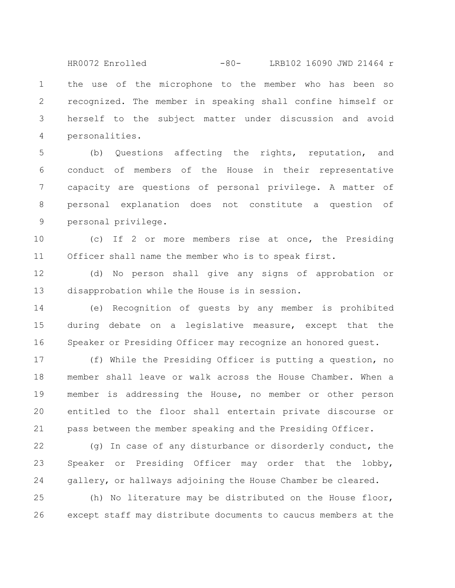the use of the microphone to the member who has been so recognized. The member in speaking shall confine himself or herself to the subject matter under discussion and avoid personalities. 1 2 3 4 HR0072 Enrolled -80- LRB102 16090 JWD 21464 r

(b) Questions affecting the rights, reputation, and conduct of members of the House in their representative capacity are questions of personal privilege. A matter of personal explanation does not constitute a question of personal privilege. 5 6 7 8 9

(c) If 2 or more members rise at once, the Presiding Officer shall name the member who is to speak first. 11

(d) No person shall give any signs of approbation or disapprobation while the House is in session. 12 13

(e) Recognition of guests by any member is prohibited during debate on a legislative measure, except that the Speaker or Presiding Officer may recognize an honored guest. 14 15 16

(f) While the Presiding Officer is putting a question, no member shall leave or walk across the House Chamber. When a member is addressing the House, no member or other person entitled to the floor shall entertain private discourse or pass between the member speaking and the Presiding Officer. 17 18 19 20 21

(g) In case of any disturbance or disorderly conduct, the Speaker or Presiding Officer may order that the lobby, gallery, or hallways adjoining the House Chamber be cleared. 22 23 24

(h) No literature may be distributed on the House floor, except staff may distribute documents to caucus members at the 25 26

10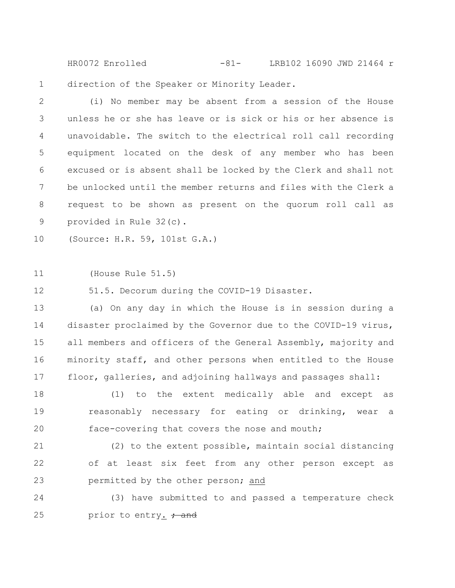direction of the Speaker or Minority Leader. HR0072 Enrolled -81- LRB102 16090 JWD 21464 r

(i) No member may be absent from a session of the House unless he or she has leave or is sick or his or her absence is unavoidable. The switch to the electrical roll call recording equipment located on the desk of any member who has been excused or is absent shall be locked by the Clerk and shall not be unlocked until the member returns and files with the Clerk a request to be shown as present on the quorum roll call as provided in Rule 32(c). 2 3 4 5 6 7 8 9

(Source: H.R. 59, 101st G.A.) 10

(House Rule 51.5) 11

1

51.5. Decorum during the COVID-19 Disaster. 12

(a) On any day in which the House is in session during a disaster proclaimed by the Governor due to the COVID-19 virus, all members and officers of the General Assembly, majority and minority staff, and other persons when entitled to the House floor, galleries, and adjoining hallways and passages shall: 13 14 15 16 17

(1) to the extent medically able and except as reasonably necessary for eating or drinking, wear a face-covering that covers the nose and mouth; 18 19 20

(2) to the extent possible, maintain social distancing of at least six feet from any other person except as permitted by the other person; and 21 22 23

(3) have submitted to and passed a temperature check prior to entry.  $\frac{1}{1}$  and 24 25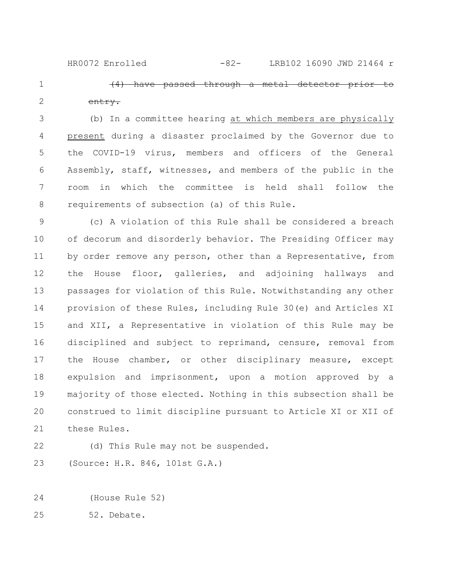HR0072 Enrolled -82- LRB102 16090 JWD 21464 r

have passed through a metal entry.

(b) In a committee hearing at which members are physically present during a disaster proclaimed by the Governor due to the COVID-19 virus, members and officers of the General Assembly, staff, witnesses, and members of the public in the room in which the committee is held shall follow the requirements of subsection (a) of this Rule. 3 4 5 6 7 8

(c) A violation of this Rule shall be considered a breach of decorum and disorderly behavior. The Presiding Officer may by order remove any person, other than a Representative, from the House floor, galleries, and adjoining hallways and passages for violation of this Rule. Notwithstanding any other provision of these Rules, including Rule 30(e) and Articles XI and XII, a Representative in violation of this Rule may be disciplined and subject to reprimand, censure, removal from the House chamber, or other disciplinary measure, except expulsion and imprisonment, upon a motion approved by a majority of those elected. Nothing in this subsection shall be construed to limit discipline pursuant to Article XI or XII of these Rules. 9 10 11 12 13 14 15 16 17 18 19 20 21

22

1

2

(d) This Rule may not be suspended.

(Source: H.R. 846, 101st G.A.) 23

(House Rule 52) 24

52. Debate. 25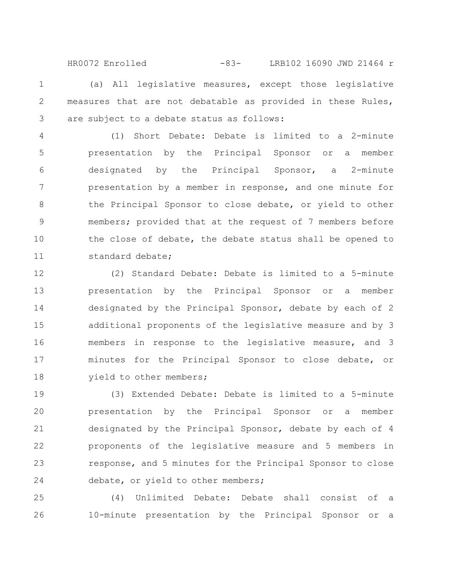(a) All legislative measures, except those legislative measures that are not debatable as provided in these Rules, are subject to a debate status as follows: HR0072 Enrolled -83- LRB102 16090 JWD 21464 r

1

2

3

(1) Short Debate: Debate is limited to a 2-minute presentation by the Principal Sponsor or a member designated by the Principal Sponsor, a 2-minute presentation by a member in response, and one minute for the Principal Sponsor to close debate, or yield to other members; provided that at the request of 7 members before the close of debate, the debate status shall be opened to standard debate; 4 5 6 7 8 9 10 11

(2) Standard Debate: Debate is limited to a 5-minute presentation by the Principal Sponsor or a member designated by the Principal Sponsor, debate by each of 2 additional proponents of the legislative measure and by 3 members in response to the legislative measure, and 3 minutes for the Principal Sponsor to close debate, or yield to other members; 12 13 14 15 16 17 18

(3) Extended Debate: Debate is limited to a 5-minute presentation by the Principal Sponsor or a member designated by the Principal Sponsor, debate by each of 4 proponents of the legislative measure and 5 members in response, and 5 minutes for the Principal Sponsor to close debate, or yield to other members; 19 20 21 22 23 24

(4) Unlimited Debate: Debate shall consist of a 10-minute presentation by the Principal Sponsor or a 25 26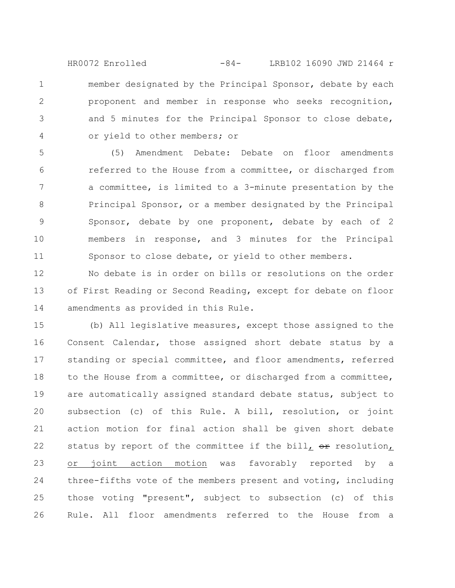member designated by the Principal Sponsor, debate by each proponent and member in response who seeks recognition, and 5 minutes for the Principal Sponsor to close debate, or yield to other members; or HR0072 Enrolled -84- LRB102 16090 JWD 21464 r

1

2

3

4

(5) Amendment Debate: Debate on floor amendments referred to the House from a committee, or discharged from a committee, is limited to a 3-minute presentation by the Principal Sponsor, or a member designated by the Principal Sponsor, debate by one proponent, debate by each of 2 members in response, and 3 minutes for the Principal Sponsor to close debate, or yield to other members. 5 6 7 8 9 10 11

No debate is in order on bills or resolutions on the order of First Reading or Second Reading, except for debate on floor amendments as provided in this Rule. 12 13 14

(b) All legislative measures, except those assigned to the Consent Calendar, those assigned short debate status by a standing or special committee, and floor amendments, referred to the House from a committee, or discharged from a committee, are automatically assigned standard debate status, subject to subsection (c) of this Rule. A bill, resolution, or joint action motion for final action shall be given short debate status by report of the committee if the bill,  $\Theta$ resolution, or joint action motion was favorably reported by a three-fifths vote of the members present and voting, including those voting "present", subject to subsection (c) of this Rule. All floor amendments referred to the House from a 15 16 17 18 19 20 21 22 23 24 25 26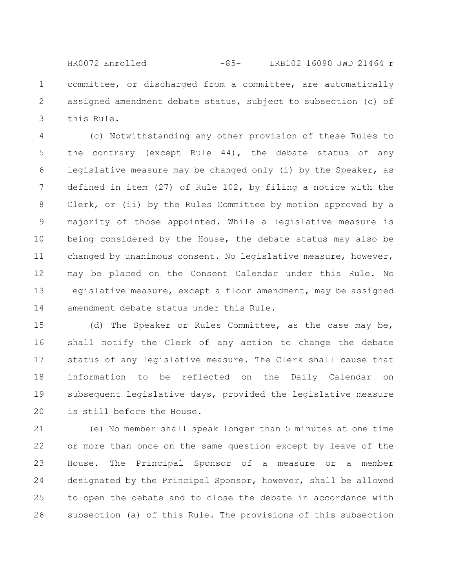committee, or discharged from a committee, are automatically assigned amendment debate status, subject to subsection (c) of this Rule. 1 2 3 HR0072 Enrolled -85- LRB102 16090 JWD 21464 r

(c) Notwithstanding any other provision of these Rules to the contrary (except Rule 44), the debate status of any legislative measure may be changed only (i) by the Speaker, as defined in item (27) of Rule 102, by filing a notice with the Clerk, or (ii) by the Rules Committee by motion approved by a majority of those appointed. While a legislative measure is being considered by the House, the debate status may also be changed by unanimous consent. No legislative measure, however, may be placed on the Consent Calendar under this Rule. No legislative measure, except a floor amendment, may be assigned amendment debate status under this Rule. 4 5 6 7 8 9 10 11 12 13 14

(d) The Speaker or Rules Committee, as the case may be, shall notify the Clerk of any action to change the debate status of any legislative measure. The Clerk shall cause that information to be reflected on the Daily Calendar on subsequent legislative days, provided the legislative measure is still before the House. 15 16 17 18 19 20

(e) No member shall speak longer than 5 minutes at one time or more than once on the same question except by leave of the House. The Principal Sponsor of a measure or a member designated by the Principal Sponsor, however, shall be allowed to open the debate and to close the debate in accordance with subsection (a) of this Rule. The provisions of this subsection 21 22 23 24 25 26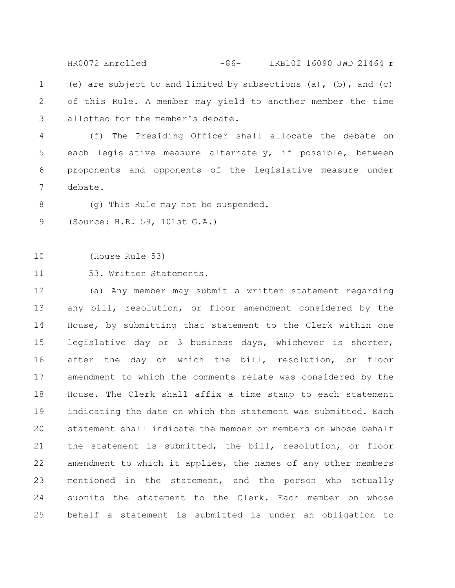(e) are subject to and limited by subsections  $(a)$ ,  $(b)$ , and  $(c)$ of this Rule. A member may yield to another member the time allotted for the member's debate. 1 2 3 HR0072 Enrolled -86- LRB102 16090 JWD 21464 r

(f) The Presiding Officer shall allocate the debate on each legislative measure alternately, if possible, between proponents and opponents of the legislative measure under debate. 4 5 6 7

(g) This Rule may not be suspended. 8

(Source: H.R. 59, 101st G.A.) 9

(House Rule 53) 10

53. Written Statements. 11

(a) Any member may submit a written statement regarding any bill, resolution, or floor amendment considered by the House, by submitting that statement to the Clerk within one legislative day or 3 business days, whichever is shorter, after the day on which the bill, resolution, or floor amendment to which the comments relate was considered by the House. The Clerk shall affix a time stamp to each statement indicating the date on which the statement was submitted. Each statement shall indicate the member or members on whose behalf the statement is submitted, the bill, resolution, or floor amendment to which it applies, the names of any other members mentioned in the statement, and the person who actually submits the statement to the Clerk. Each member on whose behalf a statement is submitted is under an obligation to 12 13 14 15 16 17 18 19 20 21 22 23 24 25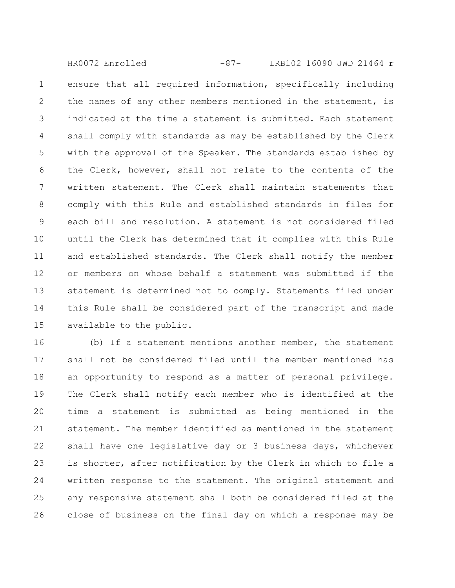ensure that all required information, specifically including the names of any other members mentioned in the statement, is indicated at the time a statement is submitted. Each statement shall comply with standards as may be established by the Clerk with the approval of the Speaker. The standards established by the Clerk, however, shall not relate to the contents of the written statement. The Clerk shall maintain statements that comply with this Rule and established standards in files for each bill and resolution. A statement is not considered filed until the Clerk has determined that it complies with this Rule and established standards. The Clerk shall notify the member or members on whose behalf a statement was submitted if the statement is determined not to comply. Statements filed under this Rule shall be considered part of the transcript and made available to the public. 1 2 3 4 5 6 7 8 9 10 11 12 13 14 15 HR0072 Enrolled -87- LRB102 16090 JWD 21464 r

(b) If a statement mentions another member, the statement shall not be considered filed until the member mentioned has an opportunity to respond as a matter of personal privilege. The Clerk shall notify each member who is identified at the time a statement is submitted as being mentioned in the statement. The member identified as mentioned in the statement shall have one legislative day or 3 business days, whichever is shorter, after notification by the Clerk in which to file a written response to the statement. The original statement and any responsive statement shall both be considered filed at the close of business on the final day on which a response may be 16 17 18 19 20 21 22 23 24 25 26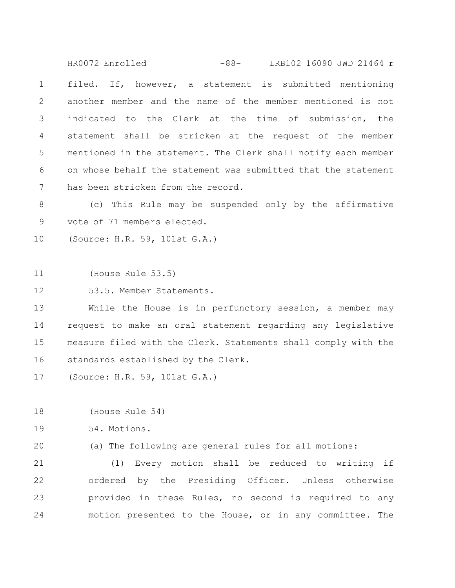filed. If, however, a statement is submitted mentioning another member and the name of the member mentioned is not indicated to the Clerk at the time of submission, the statement shall be stricken at the request of the member mentioned in the statement. The Clerk shall notify each member on whose behalf the statement was submitted that the statement has been stricken from the record. 1 2 3 4 5 6 7 HR0072 Enrolled -88- LRB102 16090 JWD 21464 r

(c) This Rule may be suspended only by the affirmative vote of 71 members elected. 8 9

(Source: H.R. 59, 101st G.A.) 10

(House Rule 53.5) 11

53.5. Member Statements. 12

While the House is in perfunctory session, a member may request to make an oral statement regarding any legislative measure filed with the Clerk. Statements shall comply with the standards established by the Clerk. 13 14 15 16

(Source: H.R. 59, 101st G.A.) 17

(House Rule 54) 18

54. Motions. 19

(a) The following are general rules for all motions: 20

(1) Every motion shall be reduced to writing if ordered by the Presiding Officer. Unless otherwise provided in these Rules, no second is required to any motion presented to the House, or in any committee. The 21 22 23 24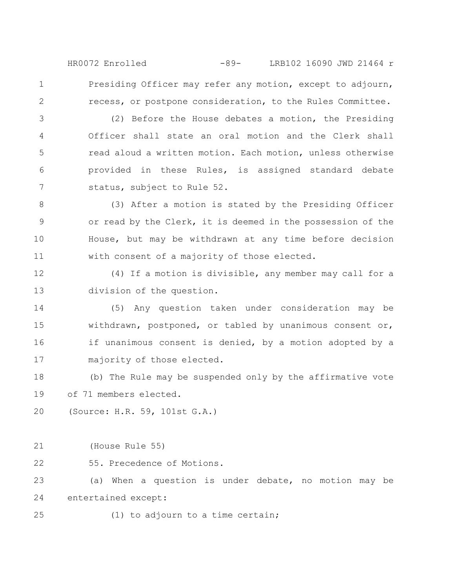Presiding Officer may refer any motion, except to adjourn, recess, or postpone consideration, to the Rules Committee. HR0072 Enrolled -89- LRB102 16090 JWD 21464 r

(2) Before the House debates a motion, the Presiding Officer shall state an oral motion and the Clerk shall read aloud a written motion. Each motion, unless otherwise provided in these Rules, is assigned standard debate status, subject to Rule 52. 3 4 5 6 7

(3) After a motion is stated by the Presiding Officer or read by the Clerk, it is deemed in the possession of the House, but may be withdrawn at any time before decision with consent of a majority of those elected. 8 9 10 11

(4) If a motion is divisible, any member may call for a division of the question. 12 13

(5) Any question taken under consideration may be withdrawn, postponed, or tabled by unanimous consent or, if unanimous consent is denied, by a motion adopted by a majority of those elected. 14 15 16 17

(b) The Rule may be suspended only by the affirmative vote of 71 members elected. 18 19

(Source: H.R. 59, 101st G.A.) 20

(House Rule 55) 21

1

2

55. Precedence of Motions. 22

(a) When a question is under debate, no motion may be entertained except: 23 24

(1) to adjourn to a time certain; 25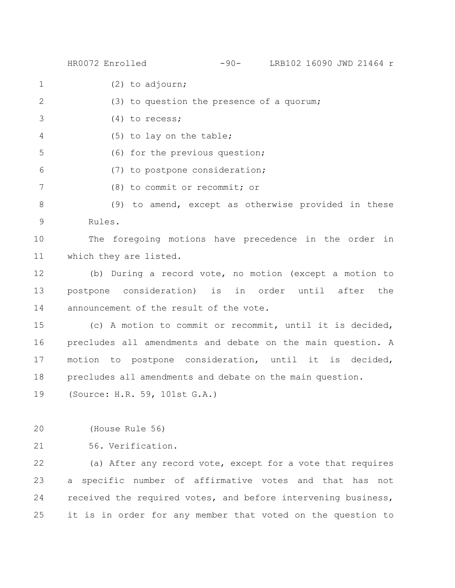HR0072 Enrolled -90- LRB102 16090 JWD 21464 r

- (2) to adjourn; 1
- (3) to question the presence of a quorum; 2
- (4) to recess; 3
- (5) to lay on the table; 4
- (6) for the previous question; 5
- (7) to postpone consideration; 6
- (8) to commit or recommit; or 7

(9) to amend, except as otherwise provided in these Rules. 8 9

The foregoing motions have precedence in the order in which they are listed. 10 11

(b) During a record vote, no motion (except a motion to postpone consideration) is in order until after the announcement of the result of the vote. 12 13 14

(c) A motion to commit or recommit, until it is decided, precludes all amendments and debate on the main question. A motion to postpone consideration, until it is decided, precludes all amendments and debate on the main question. 15 16 17 18

(Source: H.R. 59, 101st G.A.) 19

(House Rule 56) 20

56. Verification. 21

(a) After any record vote, except for a vote that requires a specific number of affirmative votes and that has not received the required votes, and before intervening business, it is in order for any member that voted on the question to 22 23 24 25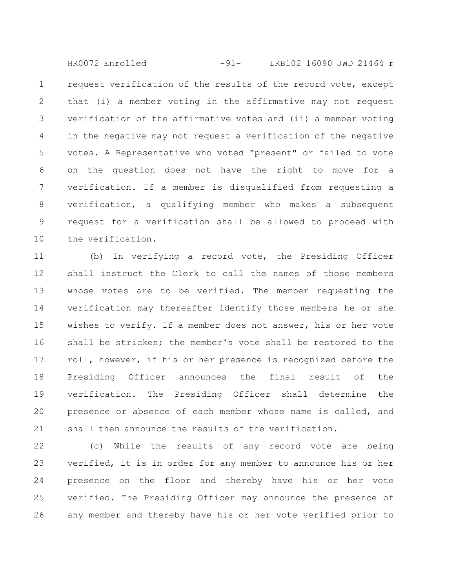request verification of the results of the record vote, except that (i) a member voting in the affirmative may not request verification of the affirmative votes and (ii) a member voting in the negative may not request a verification of the negative votes. A Representative who voted "present" or failed to vote on the question does not have the right to move for a verification. If a member is disqualified from requesting a verification, a qualifying member who makes a subsequent request for a verification shall be allowed to proceed with the verification. 1 2 3 4 5 6 7 8 9 10 HR0072 Enrolled -91- LRB102 16090 JWD 21464 r

(b) In verifying a record vote, the Presiding Officer shall instruct the Clerk to call the names of those members whose votes are to be verified. The member requesting the verification may thereafter identify those members he or she wishes to verify. If a member does not answer, his or her vote shall be stricken; the member's vote shall be restored to the roll, however, if his or her presence is recognized before the Presiding Officer announces the final result of the verification. The Presiding Officer shall determine the presence or absence of each member whose name is called, and shall then announce the results of the verification. 11 12 13 14 15 16 17 18 19 20 21

(c) While the results of any record vote are being verified, it is in order for any member to announce his or her presence on the floor and thereby have his or her vote verified. The Presiding Officer may announce the presence of any member and thereby have his or her vote verified prior to 22 23 24 25 26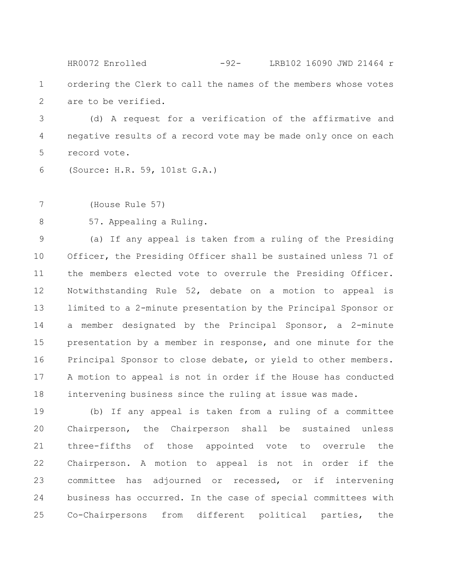ordering the Clerk to call the names of the members whose votes are to be verified. 1 2 HR0072 Enrolled -92- LRB102 16090 JWD 21464 r

(d) A request for a verification of the affirmative and negative results of a record vote may be made only once on each record vote. 3 4 5

(Source: H.R. 59, 101st G.A.) 6

(House Rule 57) 7

57. Appealing a Ruling. 8

(a) If any appeal is taken from a ruling of the Presiding Officer, the Presiding Officer shall be sustained unless 71 of the members elected vote to overrule the Presiding Officer. Notwithstanding Rule 52, debate on a motion to appeal is limited to a 2-minute presentation by the Principal Sponsor or a member designated by the Principal Sponsor, a 2-minute presentation by a member in response, and one minute for the Principal Sponsor to close debate, or yield to other members. A motion to appeal is not in order if the House has conducted intervening business since the ruling at issue was made. 9 10 11 12 13 14 15 16 17 18

(b) If any appeal is taken from a ruling of a committee Chairperson, the Chairperson shall be sustained unless three-fifths of those appointed vote to overrule the Chairperson. A motion to appeal is not in order if the committee has adjourned or recessed, or if intervening business has occurred. In the case of special committees with Co-Chairpersons from different political parties, the 19 20 21 22 23 24 25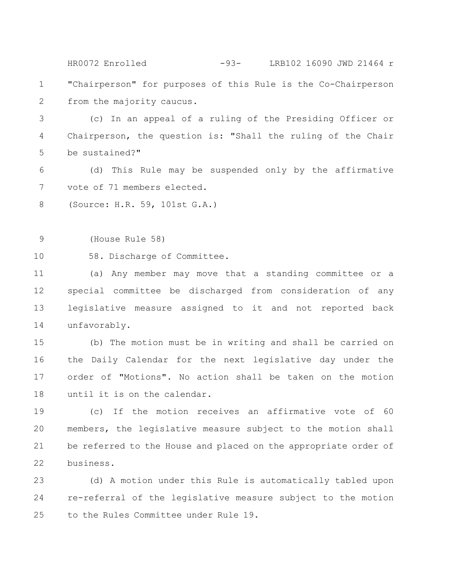"Chairperson" for purposes of this Rule is the Co-Chairperson from the majority caucus. 1 2 HR0072 Enrolled -93- LRB102 16090 JWD 21464 r

(c) In an appeal of a ruling of the Presiding Officer or Chairperson, the question is: "Shall the ruling of the Chair be sustained?" 3 4 5

(d) This Rule may be suspended only by the affirmative vote of 71 members elected. 6 7

(Source: H.R. 59, 101st G.A.) 8

(House Rule 58) 9

58. Discharge of Committee. 10

(a) Any member may move that a standing committee or a special committee be discharged from consideration of any legislative measure assigned to it and not reported back unfavorably. 11 12 13 14

(b) The motion must be in writing and shall be carried on the Daily Calendar for the next legislative day under the order of "Motions". No action shall be taken on the motion until it is on the calendar. 15 16 17 18

(c) If the motion receives an affirmative vote of 60 members, the legislative measure subject to the motion shall be referred to the House and placed on the appropriate order of business. 19 20 21 22

(d) A motion under this Rule is automatically tabled upon re-referral of the legislative measure subject to the motion to the Rules Committee under Rule 19. 23 24 25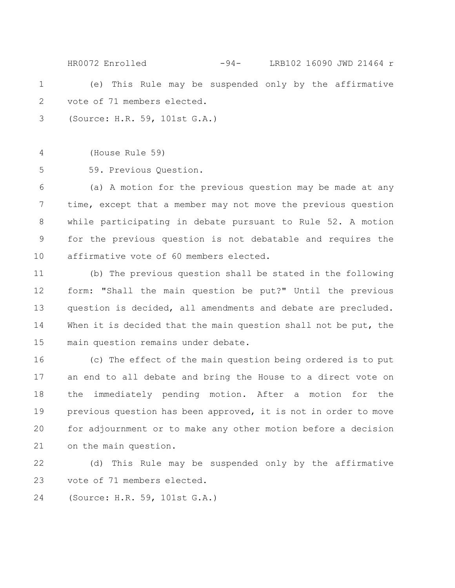(e) This Rule may be suspended only by the affirmative vote of 71 members elected. 1 2 HR0072 Enrolled -94- LRB102 16090 JWD 21464 r

(Source: H.R. 59, 101st G.A.) 3

(House Rule 59) 4

59. Previous Question. 5

(a) A motion for the previous question may be made at any time, except that a member may not move the previous question while participating in debate pursuant to Rule 52. A motion for the previous question is not debatable and requires the affirmative vote of 60 members elected. 6 7 8 9 10

(b) The previous question shall be stated in the following form: "Shall the main question be put?" Until the previous question is decided, all amendments and debate are precluded. When it is decided that the main question shall not be put, the main question remains under debate. 11 12 13 14 15

(c) The effect of the main question being ordered is to put an end to all debate and bring the House to a direct vote on the immediately pending motion. After a motion for the previous question has been approved, it is not in order to move for adjournment or to make any other motion before a decision on the main question. 16 17 18 19 20 21

(d) This Rule may be suspended only by the affirmative vote of 71 members elected. 22 23

(Source: H.R. 59, 101st G.A.) 24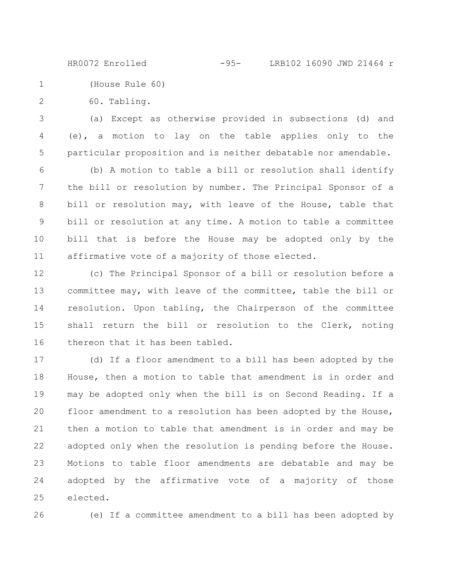HR0072 Enrolled -95- LRB102 16090 JWD 21464 r

(House Rule 60) 1

60. Tabling. 2

(a) Except as otherwise provided in subsections (d) and (e), a motion to lay on the table applies only to the particular proposition and is neither debatable nor amendable. 3 4 5

(b) A motion to table a bill or resolution shall identify the bill or resolution by number. The Principal Sponsor of a bill or resolution may, with leave of the House, table that bill or resolution at any time. A motion to table a committee bill that is before the House may be adopted only by the affirmative vote of a majority of those elected. 6 7 8 9 10 11

(c) The Principal Sponsor of a bill or resolution before a committee may, with leave of the committee, table the bill or resolution. Upon tabling, the Chairperson of the committee shall return the bill or resolution to the Clerk, noting thereon that it has been tabled. 12 13 14 15 16

(d) If a floor amendment to a bill has been adopted by the House, then a motion to table that amendment is in order and may be adopted only when the bill is on Second Reading. If a floor amendment to a resolution has been adopted by the House, then a motion to table that amendment is in order and may be adopted only when the resolution is pending before the House. Motions to table floor amendments are debatable and may be adopted by the affirmative vote of a majority of those elected. 17 18 19 20 21 22 23 24 25

26

(e) If a committee amendment to a bill has been adopted by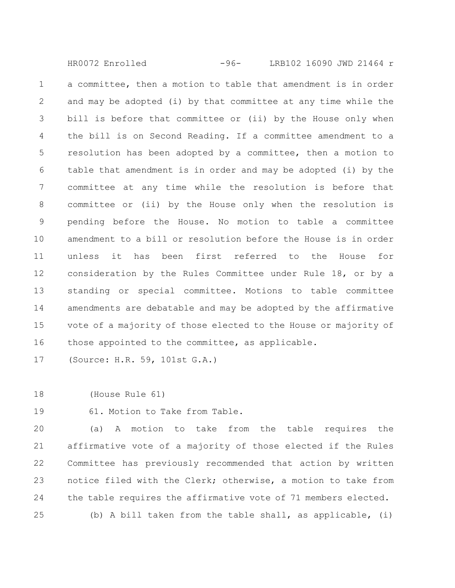a committee, then a motion to table that amendment is in order and may be adopted (i) by that committee at any time while the bill is before that committee or (ii) by the House only when the bill is on Second Reading. If a committee amendment to a resolution has been adopted by a committee, then a motion to table that amendment is in order and may be adopted (i) by the committee at any time while the resolution is before that committee or (ii) by the House only when the resolution is pending before the House. No motion to table a committee amendment to a bill or resolution before the House is in order unless it has been first referred to the House for consideration by the Rules Committee under Rule 18, or by a standing or special committee. Motions to table committee amendments are debatable and may be adopted by the affirmative vote of a majority of those elected to the House or majority of those appointed to the committee, as applicable. 1 2 3 4 5 6 7 8 9 10 11 12 13 14 15 16 HR0072 Enrolled -96- LRB102 16090 JWD 21464 r

(Source: H.R. 59, 101st G.A.) 17

(House Rule 61) 18

61. Motion to Take from Table. 19

(a) A motion to take from the table requires the affirmative vote of a majority of those elected if the Rules Committee has previously recommended that action by written notice filed with the Clerk; otherwise, a motion to take from the table requires the affirmative vote of 71 members elected. (b) A bill taken from the table shall, as applicable, (i) 20 21 22 23 24 25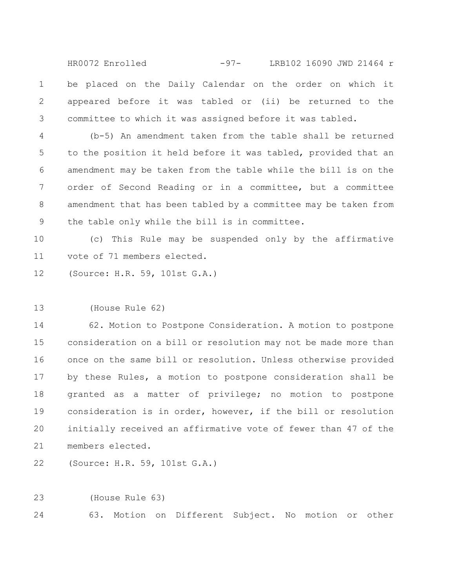be placed on the Daily Calendar on the order on which it appeared before it was tabled or (ii) be returned to the committee to which it was assigned before it was tabled. 1 2 3 HR0072 Enrolled -97- LRB102 16090 JWD 21464 r

(b-5) An amendment taken from the table shall be returned to the position it held before it was tabled, provided that an amendment may be taken from the table while the bill is on the order of Second Reading or in a committee, but a committee amendment that has been tabled by a committee may be taken from the table only while the bill is in committee. 4 5 6 7 8 9

(c) This Rule may be suspended only by the affirmative vote of 71 members elected. 10 11

(Source: H.R. 59, 101st G.A.) 12

(House Rule 62) 13

62. Motion to Postpone Consideration. A motion to postpone consideration on a bill or resolution may not be made more than once on the same bill or resolution. Unless otherwise provided by these Rules, a motion to postpone consideration shall be granted as a matter of privilege; no motion to postpone consideration is in order, however, if the bill or resolution initially received an affirmative vote of fewer than 47 of the members elected. 14 15 16 17 18 19 20 21

(Source: H.R. 59, 101st G.A.) 22

(House Rule 63) 23

63. Motion on Different Subject. No motion or other 24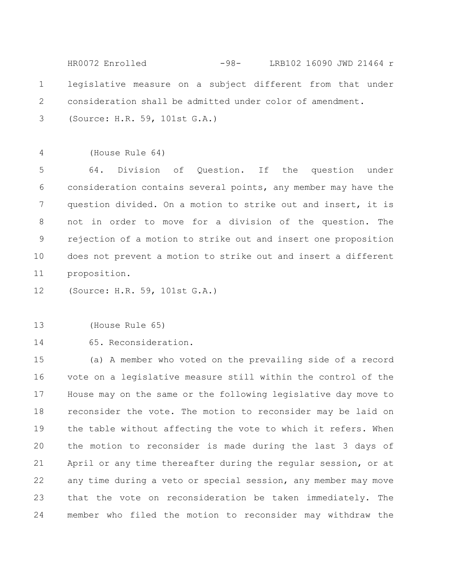legislative measure on a subject different from that under consideration shall be admitted under color of amendment. (Source: H.R. 59, 101st G.A.) 1 2 3 HR0072 Enrolled -98- LRB102 16090 JWD 21464 r

(House Rule 64) 4

64. Division of Question. If the question under consideration contains several points, any member may have the question divided. On a motion to strike out and insert, it is not in order to move for a division of the question. The rejection of a motion to strike out and insert one proposition does not prevent a motion to strike out and insert a different proposition. 5 6 7 8 9 10 11

(Source: H.R. 59, 101st G.A.) 12

## (House Rule 65) 13

65. Reconsideration. 14

(a) A member who voted on the prevailing side of a record vote on a legislative measure still within the control of the House may on the same or the following legislative day move to reconsider the vote. The motion to reconsider may be laid on the table without affecting the vote to which it refers. When the motion to reconsider is made during the last 3 days of April or any time thereafter during the regular session, or at any time during a veto or special session, any member may move that the vote on reconsideration be taken immediately. The member who filed the motion to reconsider may withdraw the 15 16 17 18 19 20 21 22 23 24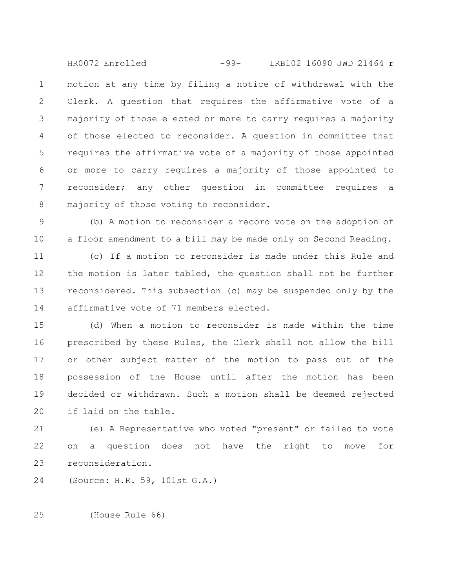motion at any time by filing a notice of withdrawal with the Clerk. A question that requires the affirmative vote of a majority of those elected or more to carry requires a majority of those elected to reconsider. A question in committee that requires the affirmative vote of a majority of those appointed or more to carry requires a majority of those appointed to reconsider; any other question in committee requires a majority of those voting to reconsider. 1 2 3 4 5 6 7 8 HR0072 Enrolled -99- LRB102 16090 JWD 21464 r

(b) A motion to reconsider a record vote on the adoption of a floor amendment to a bill may be made only on Second Reading. 9 10

(c) If a motion to reconsider is made under this Rule and the motion is later tabled, the question shall not be further reconsidered. This subsection (c) may be suspended only by the affirmative vote of 71 members elected. 11 12 13 14

(d) When a motion to reconsider is made within the time prescribed by these Rules, the Clerk shall not allow the bill or other subject matter of the motion to pass out of the possession of the House until after the motion has been decided or withdrawn. Such a motion shall be deemed rejected if laid on the table. 15 16 17 18 19 20

(e) A Representative who voted "present" or failed to vote on a question does not have the right to move for reconsideration. 21 22 23

(Source: H.R. 59, 101st G.A.) 24

(House Rule 66) 25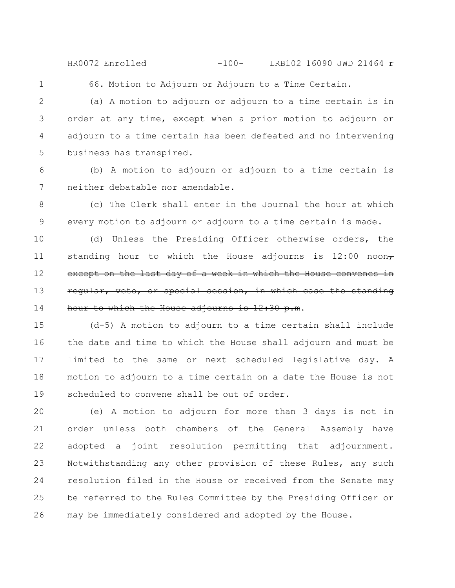HR0072 Enrolled -100- LRB102 16090 JWD 21464 r

1

66. Motion to Adjourn or Adjourn to a Time Certain.

(a) A motion to adjourn or adjourn to a time certain is in order at any time, except when a prior motion to adjourn or adjourn to a time certain has been defeated and no intervening business has transpired. 2 3 4 5

(b) A motion to adjourn or adjourn to a time certain is neither debatable nor amendable. 6 7

(c) The Clerk shall enter in the Journal the hour at which every motion to adjourn or adjourn to a time certain is made. 8 9

(d) Unless the Presiding Officer otherwise orders, the standing hour to which the House adjourns is 12:00 noon $_{7}$ except on the last day of a week in which the House convenes in regular, veto, or special session, in which case the standing hour to which the House adjourns is 12:30 p.m. 10 11 12 13 14

(d-5) A motion to adjourn to a time certain shall include the date and time to which the House shall adjourn and must be limited to the same or next scheduled legislative day. A motion to adjourn to a time certain on a date the House is not scheduled to convene shall be out of order. 15 16 17 18 19

(e) A motion to adjourn for more than 3 days is not in order unless both chambers of the General Assembly have adopted a joint resolution permitting that adjournment. Notwithstanding any other provision of these Rules, any such resolution filed in the House or received from the Senate may be referred to the Rules Committee by the Presiding Officer or may be immediately considered and adopted by the House. 20 21 22 23 24 25 26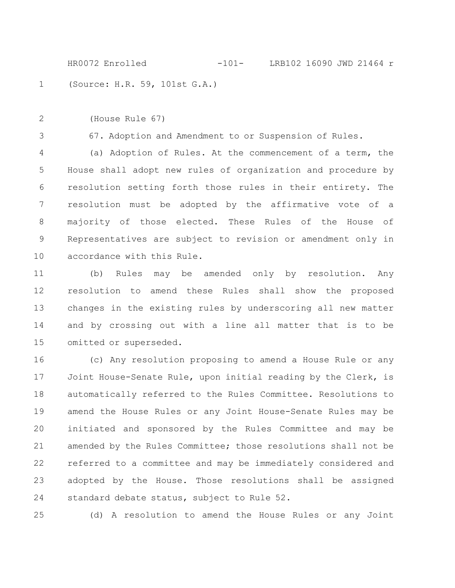(Source: H.R. 59, 101st G.A.) HR0072 Enrolled -101- LRB102 16090 JWD 21464 r

(House Rule 67) 2

1

3

67. Adoption and Amendment to or Suspension of Rules.

(a) Adoption of Rules. At the commencement of a term, the House shall adopt new rules of organization and procedure by resolution setting forth those rules in their entirety. The resolution must be adopted by the affirmative vote of a majority of those elected. These Rules of the House of Representatives are subject to revision or amendment only in accordance with this Rule. 4 5 6 7 8 9 10

(b) Rules may be amended only by resolution. Any resolution to amend these Rules shall show the proposed changes in the existing rules by underscoring all new matter and by crossing out with a line all matter that is to be omitted or superseded. 11 12 13 14 15

(c) Any resolution proposing to amend a House Rule or any Joint House-Senate Rule, upon initial reading by the Clerk, is automatically referred to the Rules Committee. Resolutions to amend the House Rules or any Joint House-Senate Rules may be initiated and sponsored by the Rules Committee and may be amended by the Rules Committee; those resolutions shall not be referred to a committee and may be immediately considered and adopted by the House. Those resolutions shall be assigned standard debate status, subject to Rule 52. 16 17 18 19 20 21 22 23 24

25

(d) A resolution to amend the House Rules or any Joint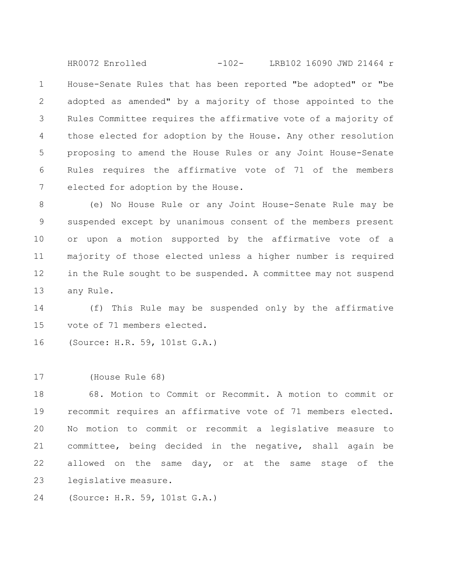House-Senate Rules that has been reported "be adopted" or "be adopted as amended" by a majority of those appointed to the Rules Committee requires the affirmative vote of a majority of those elected for adoption by the House. Any other resolution proposing to amend the House Rules or any Joint House-Senate Rules requires the affirmative vote of 71 of the members elected for adoption by the House. 1 2 3 4 5 6 7 HR0072 Enrolled -102- LRB102 16090 JWD 21464 r

(e) No House Rule or any Joint House-Senate Rule may be suspended except by unanimous consent of the members present or upon a motion supported by the affirmative vote of a majority of those elected unless a higher number is required in the Rule sought to be suspended. A committee may not suspend any Rule. 8 9 10 11 12 13

(f) This Rule may be suspended only by the affirmative vote of 71 members elected. 14 15

(Source: H.R. 59, 101st G.A.) 16

(House Rule 68) 17

68. Motion to Commit or Recommit. A motion to commit or recommit requires an affirmative vote of 71 members elected. No motion to commit or recommit a legislative measure to committee, being decided in the negative, shall again be allowed on the same day, or at the same stage of the legislative measure. 18 19 20 21 22 23

(Source: H.R. 59, 101st G.A.) 24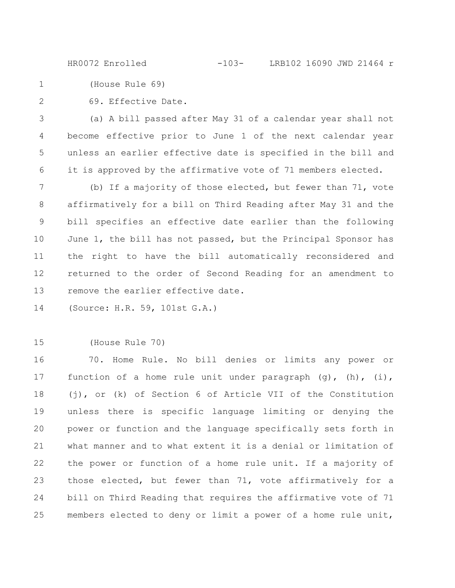HR0072 Enrolled -103- LRB102 16090 JWD 21464 r

(House Rule 69) 1

2

69. Effective Date.

(a) A bill passed after May 31 of a calendar year shall not become effective prior to June 1 of the next calendar year unless an earlier effective date is specified in the bill and it is approved by the affirmative vote of 71 members elected. 3 4 5 6

(b) If a majority of those elected, but fewer than 71, vote affirmatively for a bill on Third Reading after May 31 and the bill specifies an effective date earlier than the following June 1, the bill has not passed, but the Principal Sponsor has the right to have the bill automatically reconsidered and returned to the order of Second Reading for an amendment to remove the earlier effective date. 7 8 9 10 11 12 13

(Source: H.R. 59, 101st G.A.) 14

## (House Rule 70) 15

70. Home Rule. No bill denies or limits any power or function of a home rule unit under paragraph  $(q)$ ,  $(h)$ ,  $(i)$ , (j), or (k) of Section 6 of Article VII of the Constitution unless there is specific language limiting or denying the power or function and the language specifically sets forth in what manner and to what extent it is a denial or limitation of the power or function of a home rule unit. If a majority of those elected, but fewer than 71, vote affirmatively for a bill on Third Reading that requires the affirmative vote of 71 members elected to deny or limit a power of a home rule unit, 16 17 18 19 20 21 22 23 24 25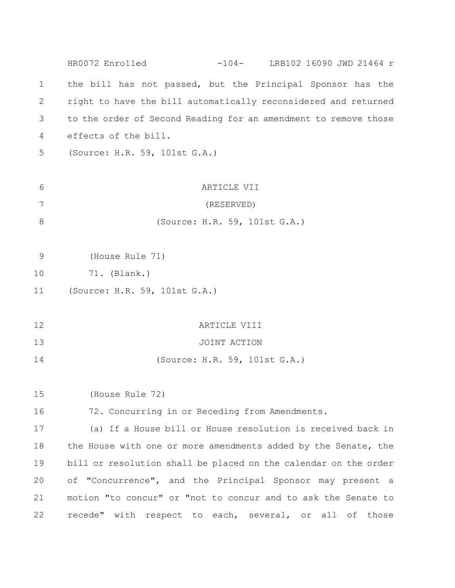the bill has not passed, but the Principal Sponsor has the right to have the bill automatically reconsidered and returned to the order of Second Reading for an amendment to remove those effects of the bill. (Source: H.R. 59, 101st G.A.) ARTICLE VII (RESERVED) (Source: H.R. 59, 101st G.A.) (House Rule 71) 71. (Blank.) (Source: H.R. 59, 101st G.A.) ARTICLE VIII JOINT ACTION (Source: H.R. 59, 101st G.A.) (House Rule 72) 72. Concurring in or Receding from Amendments. (a) If a House bill or House resolution is received back in the House with one or more amendments added by the Senate, the bill or resolution shall be placed on the calendar on the order of "Concurrence", and the Principal Sponsor may present a motion "to concur" or "not to concur and to ask the Senate to recede" with respect to each, several, or all of those 1 2 3 4 5 6 7 8 9 10 11 12 13 14 15 16 17 18 19 20 21 22 HR0072 Enrolled -104- LRB102 16090 JWD 21464 r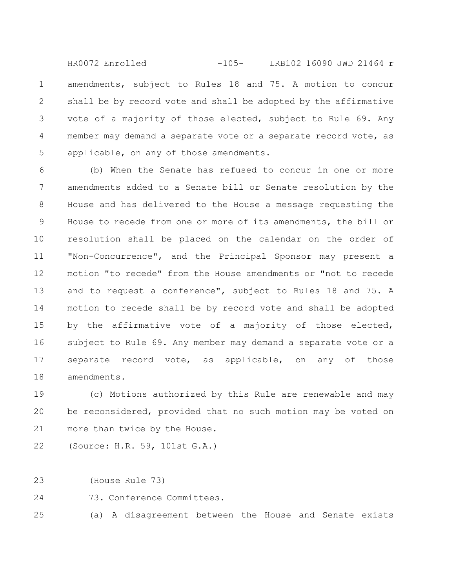amendments, subject to Rules 18 and 75. A motion to concur shall be by record vote and shall be adopted by the affirmative vote of a majority of those elected, subject to Rule 69. Any member may demand a separate vote or a separate record vote, as applicable, on any of those amendments. 1 2 3 4 5 HR0072 Enrolled -105- LRB102 16090 JWD 21464 r

(b) When the Senate has refused to concur in one or more amendments added to a Senate bill or Senate resolution by the House and has delivered to the House a message requesting the House to recede from one or more of its amendments, the bill or resolution shall be placed on the calendar on the order of "Non-Concurrence", and the Principal Sponsor may present a motion "to recede" from the House amendments or "not to recede and to request a conference", subject to Rules 18 and 75. A motion to recede shall be by record vote and shall be adopted by the affirmative vote of a majority of those elected, subject to Rule 69. Any member may demand a separate vote or a separate record vote, as applicable, on any of those amendments. 6 7 8 9 10 11 12 13 14 15 16 17 18

(c) Motions authorized by this Rule are renewable and may be reconsidered, provided that no such motion may be voted on more than twice by the House. 19 20 21

(Source: H.R. 59, 101st G.A.) 22

(House Rule 73) 23

73. Conference Committees. 24

(a) A disagreement between the House and Senate exists 25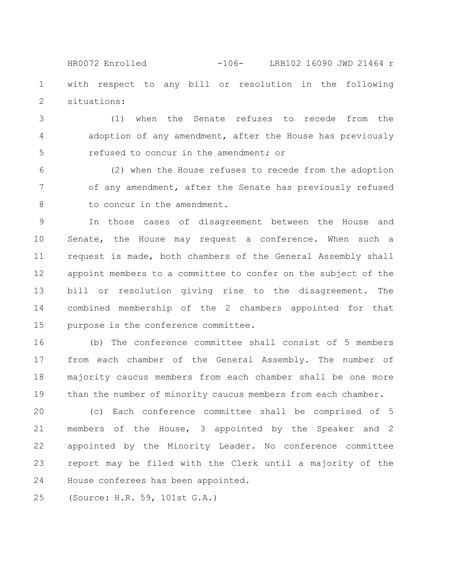with respect to any bill or resolution in the following situations: 1 2 HR0072 Enrolled -106- LRB102 16090 JWD 21464 r

(1) when the Senate refuses to recede from the adoption of any amendment, after the House has previously refused to concur in the amendment; or 3 4 5

(2) when the House refuses to recede from the adoption of any amendment, after the Senate has previously refused to concur in the amendment. 6 7 8

In those cases of disagreement between the House and Senate, the House may request a conference. When such a request is made, both chambers of the General Assembly shall appoint members to a committee to confer on the subject of the bill or resolution giving rise to the disagreement. The combined membership of the 2 chambers appointed for that purpose is the conference committee. 9 10 11 12 13 14 15

(b) The conference committee shall consist of 5 members from each chamber of the General Assembly. The number of majority caucus members from each chamber shall be one more than the number of minority caucus members from each chamber. 16 17 18 19

(c) Each conference committee shall be comprised of 5 members of the House, 3 appointed by the Speaker and 2 appointed by the Minority Leader. No conference committee report may be filed with the Clerk until a majority of the House conferees has been appointed. 20 21 22 23 24

(Source: H.R. 59, 101st G.A.) 25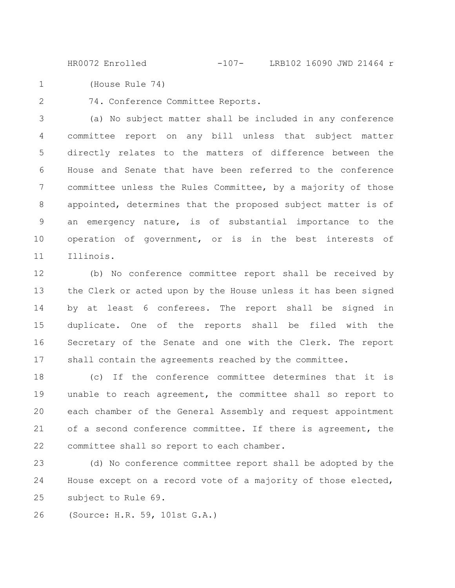HR0072 Enrolled -107- LRB102 16090 JWD 21464 r

(House Rule 74) 1

2

74. Conference Committee Reports.

(a) No subject matter shall be included in any conference committee report on any bill unless that subject matter directly relates to the matters of difference between the House and Senate that have been referred to the conference committee unless the Rules Committee, by a majority of those appointed, determines that the proposed subject matter is of an emergency nature, is of substantial importance to the operation of government, or is in the best interests of Illinois. 3 4 5 6 7 8 9 10 11

(b) No conference committee report shall be received by the Clerk or acted upon by the House unless it has been signed by at least 6 conferees. The report shall be signed in duplicate. One of the reports shall be filed with the Secretary of the Senate and one with the Clerk. The report shall contain the agreements reached by the committee. 12 13 14 15 16 17

(c) If the conference committee determines that it is unable to reach agreement, the committee shall so report to each chamber of the General Assembly and request appointment of a second conference committee. If there is agreement, the committee shall so report to each chamber. 18 19 20 21 22

(d) No conference committee report shall be adopted by the House except on a record vote of a majority of those elected, subject to Rule 69. 23 24 25

(Source: H.R. 59, 101st G.A.) 26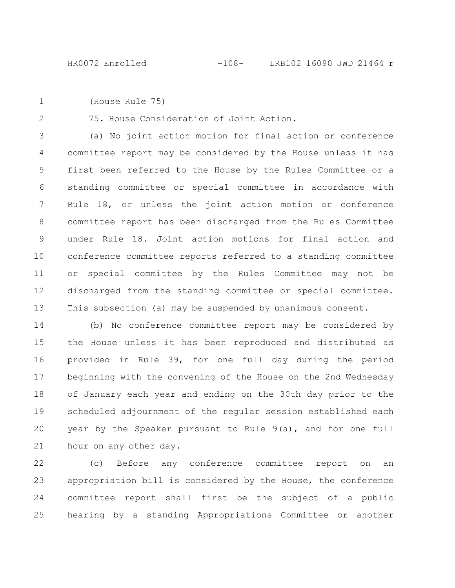(House Rule 75) 1

2

75. House Consideration of Joint Action.

(a) No joint action motion for final action or conference committee report may be considered by the House unless it has first been referred to the House by the Rules Committee or a standing committee or special committee in accordance with Rule 18, or unless the joint action motion or conference committee report has been discharged from the Rules Committee under Rule 18. Joint action motions for final action and conference committee reports referred to a standing committee or special committee by the Rules Committee may not be discharged from the standing committee or special committee. This subsection (a) may be suspended by unanimous consent. 3 4 5 6 7 8 9 10 11 12 13

(b) No conference committee report may be considered by the House unless it has been reproduced and distributed as provided in Rule 39, for one full day during the period beginning with the convening of the House on the 2nd Wednesday of January each year and ending on the 30th day prior to the scheduled adjournment of the regular session established each year by the Speaker pursuant to Rule 9(a), and for one full hour on any other day. 14 15 16 17 18 19 20 21

(c) Before any conference committee report on an appropriation bill is considered by the House, the conference committee report shall first be the subject of a public hearing by a standing Appropriations Committee or another 22 23 24 25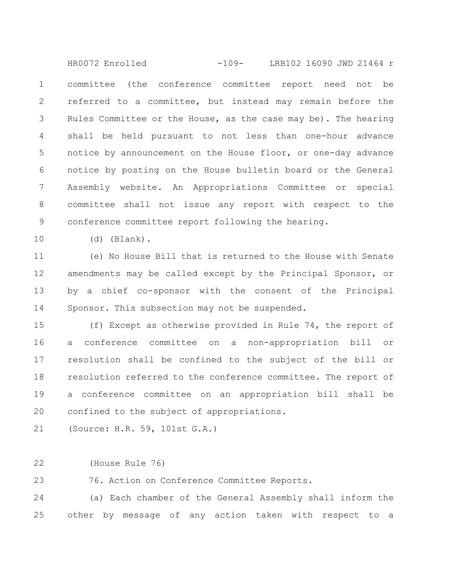committee (the conference committee report need not be referred to a committee, but instead may remain before the Rules Committee or the House, as the case may be). The hearing shall be held pursuant to not less than one-hour advance notice by announcement on the House floor, or one-day advance notice by posting on the House bulletin board or the General Assembly website. An Appropriations Committee or special committee shall not issue any report with respect to the conference committee report following the hearing. 1 2 3 4 5 6 7 8 9 HR0072 Enrolled -109- LRB102 16090 JWD 21464 r

10

(d) (Blank).

(e) No House Bill that is returned to the House with Senate amendments may be called except by the Principal Sponsor, or by a chief co-sponsor with the consent of the Principal Sponsor. This subsection may not be suspended. 11 12 13 14

(f) Except as otherwise provided in Rule 74, the report of a conference committee on a non-appropriation bill or resolution shall be confined to the subject of the bill or resolution referred to the conference committee. The report of a conference committee on an appropriation bill shall be confined to the subject of appropriations. 15 16 17 18 19 20

(Source: H.R. 59, 101st G.A.) 21

(House Rule 76) 22

76. Action on Conference Committee Reports. 23

(a) Each chamber of the General Assembly shall inform the other by message of any action taken with respect to a 24 25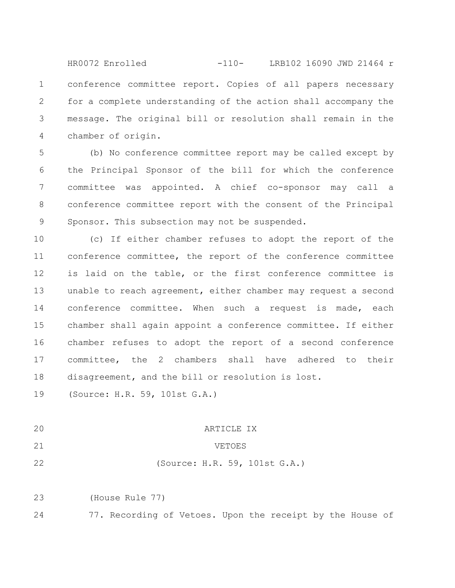conference committee report. Copies of all papers necessary for a complete understanding of the action shall accompany the message. The original bill or resolution shall remain in the chamber of origin. 1 2 3 4 HR0072 Enrolled -110- LRB102 16090 JWD 21464 r

(b) No conference committee report may be called except by the Principal Sponsor of the bill for which the conference committee was appointed. A chief co-sponsor may call a conference committee report with the consent of the Principal Sponsor. This subsection may not be suspended. 5 6 7 8 9

(c) If either chamber refuses to adopt the report of the conference committee, the report of the conference committee is laid on the table, or the first conference committee is unable to reach agreement, either chamber may request a second conference committee. When such a request is made, each chamber shall again appoint a conference committee. If either chamber refuses to adopt the report of a second conference committee, the 2 chambers shall have adhered to their disagreement, and the bill or resolution is lost. 10 11 12 13 14 15 16 17 18

(Source: H.R. 59, 101st G.A.) 19

20

## ARTICLE IX

VETOES

21 22

(Source: H.R. 59, 101st G.A.)

(House Rule 77) 23

77. Recording of Vetoes. Upon the receipt by the House of 24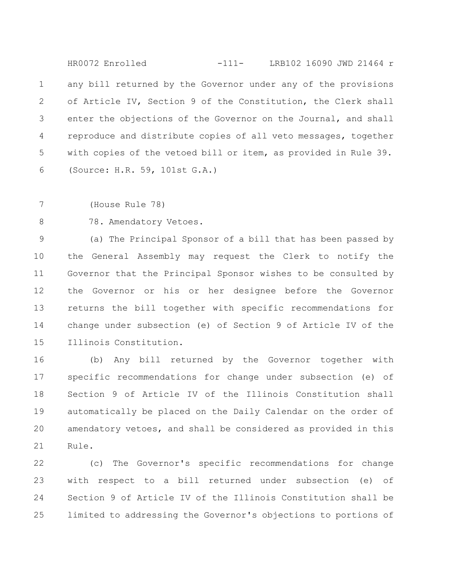any bill returned by the Governor under any of the provisions of Article IV, Section 9 of the Constitution, the Clerk shall enter the objections of the Governor on the Journal, and shall reproduce and distribute copies of all veto messages, together with copies of the vetoed bill or item, as provided in Rule 39. (Source: H.R. 59, 101st G.A.) 1 2 3 4 5 6 HR0072 Enrolled -111- LRB102 16090 JWD 21464 r

(House Rule 78) 7

78. Amendatory Vetoes. 8

(a) The Principal Sponsor of a bill that has been passed by the General Assembly may request the Clerk to notify the Governor that the Principal Sponsor wishes to be consulted by the Governor or his or her designee before the Governor returns the bill together with specific recommendations for change under subsection (e) of Section 9 of Article IV of the Illinois Constitution. 9 10 11 12 13 14 15

(b) Any bill returned by the Governor together with specific recommendations for change under subsection (e) of Section 9 of Article IV of the Illinois Constitution shall automatically be placed on the Daily Calendar on the order of amendatory vetoes, and shall be considered as provided in this Rule. 16 17 18 19 20 21

(c) The Governor's specific recommendations for change with respect to a bill returned under subsection (e) of Section 9 of Article IV of the Illinois Constitution shall be limited to addressing the Governor's objections to portions of 22 23 24 25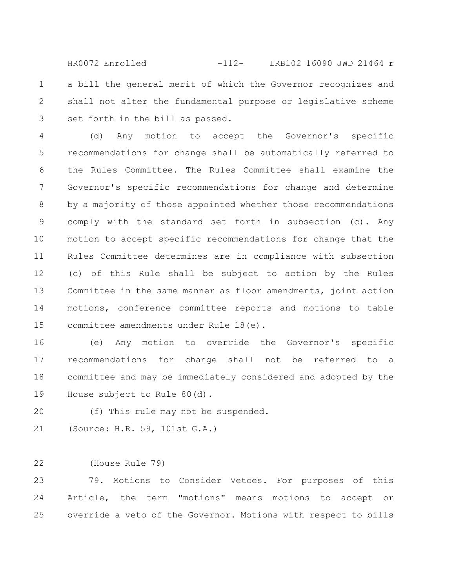a bill the general merit of which the Governor recognizes and shall not alter the fundamental purpose or legislative scheme set forth in the bill as passed. 1 2 3 HR0072 Enrolled -112- LRB102 16090 JWD 21464 r

(d) Any motion to accept the Governor's specific recommendations for change shall be automatically referred to the Rules Committee. The Rules Committee shall examine the Governor's specific recommendations for change and determine by a majority of those appointed whether those recommendations comply with the standard set forth in subsection (c). Any motion to accept specific recommendations for change that the Rules Committee determines are in compliance with subsection (c) of this Rule shall be subject to action by the Rules Committee in the same manner as floor amendments, joint action motions, conference committee reports and motions to table committee amendments under Rule 18(e). 4 5 6 7 8 9 10 11 12 13 14 15

(e) Any motion to override the Governor's specific recommendations for change shall not be referred to a committee and may be immediately considered and adopted by the House subject to Rule 80(d). 16 17 18 19

(f) This rule may not be suspended. 20

(Source: H.R. 59, 101st G.A.) 21

(House Rule 79) 22

79. Motions to Consider Vetoes. For purposes of this Article, the term "motions" means motions to accept or override a veto of the Governor. Motions with respect to bills 23 24 25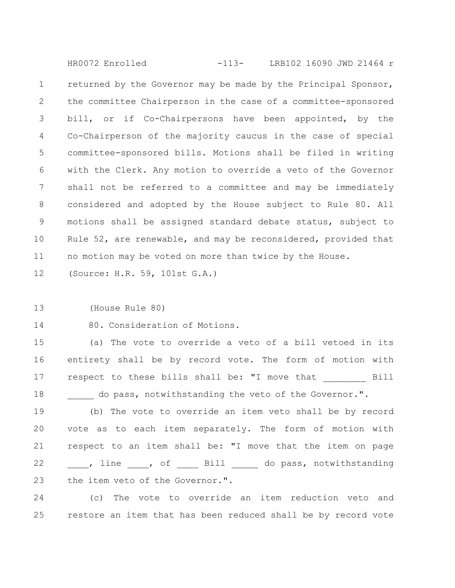returned by the Governor may be made by the Principal Sponsor, the committee Chairperson in the case of a committee-sponsored bill, or if Co-Chairpersons have been appointed, by the Co-Chairperson of the majority caucus in the case of special committee-sponsored bills. Motions shall be filed in writing with the Clerk. Any motion to override a veto of the Governor shall not be referred to a committee and may be immediately considered and adopted by the House subject to Rule 80. All motions shall be assigned standard debate status, subject to Rule 52, are renewable, and may be reconsidered, provided that no motion may be voted on more than twice by the House. 1 2 3 4 5 6 7 8 9 10 11 HR0072 Enrolled -113- LRB102 16090 JWD 21464 r

(Source: H.R. 59, 101st G.A.) 12

(House Rule 80) 13

80. Consideration of Motions. 14

(a) The vote to override a veto of a bill vetoed in its entirety shall be by record vote. The form of motion with respect to these bills shall be: "I move that Fill do pass, notwithstanding the veto of the Governor.". 15 16 17 18

(b) The vote to override an item veto shall be by record vote as to each item separately. The form of motion with respect to an item shall be: "I move that the item on page \_\_\_\_, line \_\_\_\_, of \_\_\_\_\_ Bill \_\_\_\_\_\_ do pass, notwithstanding the item veto of the Governor.". 19 20 21 22 23

(c) The vote to override an item reduction veto and restore an item that has been reduced shall be by record vote 24 25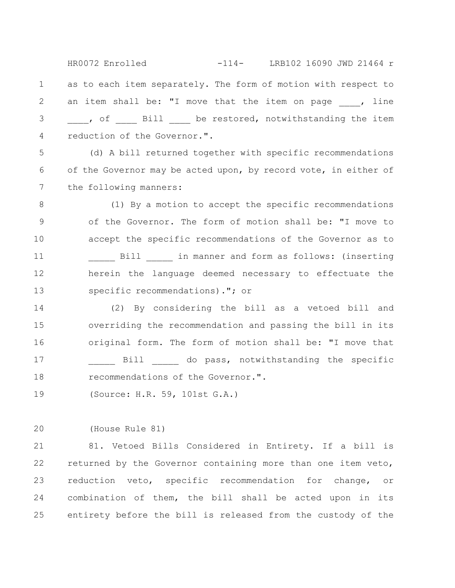as to each item separately. The form of motion with respect to an item shall be: "I move that the item on page , line , of all be restored, notwithstanding the item reduction of the Governor.". 1 2 3 4 HR0072 Enrolled -114- LRB102 16090 JWD 21464 r

(d) A bill returned together with specific recommendations of the Governor may be acted upon, by record vote, in either of the following manners: 5 6 7

(1) By a motion to accept the specific recommendations of the Governor. The form of motion shall be: "I move to accept the specific recommendations of the Governor as to Bill  $\qquad$  in manner and form as follows: (inserting herein the language deemed necessary to effectuate the specific recommendations)."; or 8 9 10 11 12 13

(2) By considering the bill as a vetoed bill and overriding the recommendation and passing the bill in its original form. The form of motion shall be: "I move that Bill do pass, notwithstanding the specific recommendations of the Governor.". 14 15 16 17 18

(Source: H.R. 59, 101st G.A.) 19

(House Rule 81) 20

81. Vetoed Bills Considered in Entirety. If a bill is returned by the Governor containing more than one item veto, reduction veto, specific recommendation for change, or combination of them, the bill shall be acted upon in its entirety before the bill is released from the custody of the 21 22 23 24 25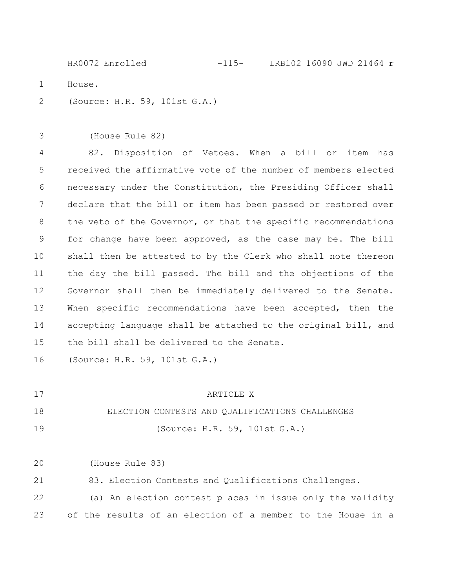House. (Source: H.R. 59, 101st G.A.) HR0072 Enrolled -115- LRB102 16090 JWD 21464 r

(House Rule 82) 3

1

2

82. Disposition of Vetoes. When a bill or item has received the affirmative vote of the number of members elected necessary under the Constitution, the Presiding Officer shall declare that the bill or item has been passed or restored over the veto of the Governor, or that the specific recommendations for change have been approved, as the case may be. The bill shall then be attested to by the Clerk who shall note thereon the day the bill passed. The bill and the objections of the Governor shall then be immediately delivered to the Senate. When specific recommendations have been accepted, then the accepting language shall be attached to the original bill, and the bill shall be delivered to the Senate. 4 5 6 7 8 9 10 11 12 13 14 15

(Source: H.R. 59, 101st G.A.) 16

ARTICLE X 17

ELECTION CONTESTS AND QUALIFICATIONS CHALLENGES 18

(Source: H.R. 59, 101st G.A.)

(House Rule 83) 20

19

83. Election Contests and Qualifications Challenges. 21

(a) An election contest places in issue only the validity of the results of an election of a member to the House in a 22 23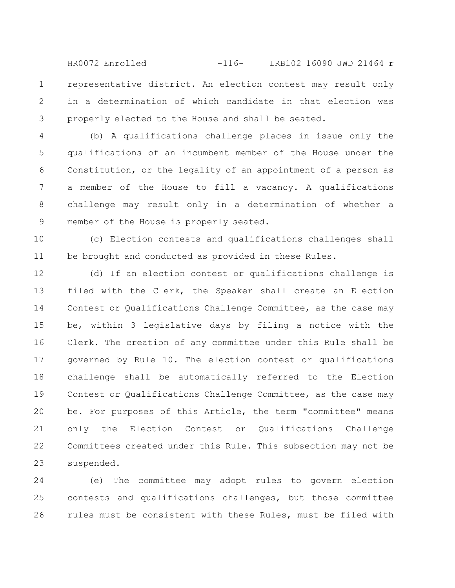representative district. An election contest may result only in a determination of which candidate in that election was properly elected to the House and shall be seated. 1 2 3 HR0072 Enrolled -116- LRB102 16090 JWD 21464 r

(b) A qualifications challenge places in issue only the qualifications of an incumbent member of the House under the Constitution, or the legality of an appointment of a person as a member of the House to fill a vacancy. A qualifications challenge may result only in a determination of whether a member of the House is properly seated. 4 5 6 7 8 9

(c) Election contests and qualifications challenges shall be brought and conducted as provided in these Rules. 10 11

(d) If an election contest or qualifications challenge is filed with the Clerk, the Speaker shall create an Election Contest or Qualifications Challenge Committee, as the case may be, within 3 legislative days by filing a notice with the Clerk. The creation of any committee under this Rule shall be governed by Rule 10. The election contest or qualifications challenge shall be automatically referred to the Election Contest or Qualifications Challenge Committee, as the case may be. For purposes of this Article, the term "committee" means only the Election Contest or Qualifications Challenge Committees created under this Rule. This subsection may not be suspended. 12 13 14 15 16 17 18 19 20 21 22 23

(e) The committee may adopt rules to govern election contests and qualifications challenges, but those committee rules must be consistent with these Rules, must be filed with 24 25 26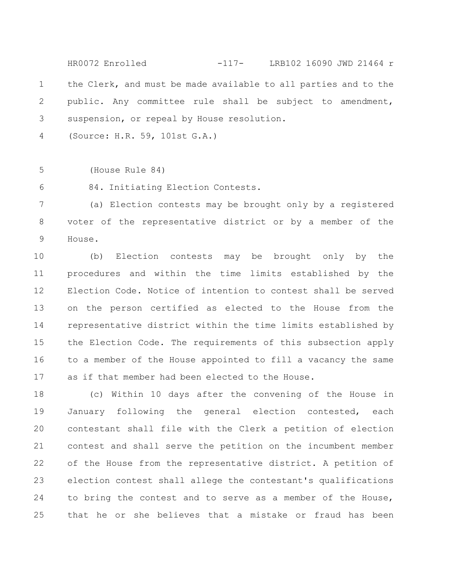the Clerk, and must be made available to all parties and to the public. Any committee rule shall be subject to amendment, suspension, or repeal by House resolution. 1 2 3 HR0072 Enrolled -117- LRB102 16090 JWD 21464 r

(Source: H.R. 59, 101st G.A.) 4

(House Rule 84) 5

84. Initiating Election Contests. 6

(a) Election contests may be brought only by a registered voter of the representative district or by a member of the House. 7 8 9

(b) Election contests may be brought only by the procedures and within the time limits established by the Election Code. Notice of intention to contest shall be served on the person certified as elected to the House from the representative district within the time limits established by the Election Code. The requirements of this subsection apply to a member of the House appointed to fill a vacancy the same as if that member had been elected to the House. 10 11 12 13 14 15 16 17

(c) Within 10 days after the convening of the House in January following the general election contested, each contestant shall file with the Clerk a petition of election contest and shall serve the petition on the incumbent member of the House from the representative district. A petition of election contest shall allege the contestant's qualifications to bring the contest and to serve as a member of the House, that he or she believes that a mistake or fraud has been 18 19 20 21 22 23 24 25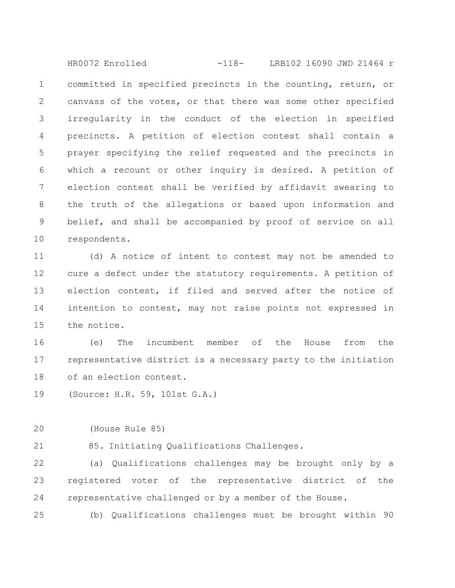committed in specified precincts in the counting, return, or canvass of the votes, or that there was some other specified irregularity in the conduct of the election in specified precincts. A petition of election contest shall contain a prayer specifying the relief requested and the precincts in which a recount or other inquiry is desired. A petition of election contest shall be verified by affidavit swearing to the truth of the allegations or based upon information and belief, and shall be accompanied by proof of service on all respondents. 1 2 3 4 5 6 7 8 9 10 HR0072 Enrolled -118- LRB102 16090 JWD 21464 r

(d) A notice of intent to contest may not be amended to cure a defect under the statutory requirements. A petition of election contest, if filed and served after the notice of intention to contest, may not raise points not expressed in the notice. 11 12 13 14 15

(e) The incumbent member of the House from the representative district is a necessary party to the initiation of an election contest. 16 17 18

(Source: H.R. 59, 101st G.A.) 19

(House Rule 85) 20

21

85. Initiating Qualifications Challenges.

(a) Qualifications challenges may be brought only by a registered voter of the representative district of the representative challenged or by a member of the House. 22 23 24

(b) Qualifications challenges must be brought within 90 25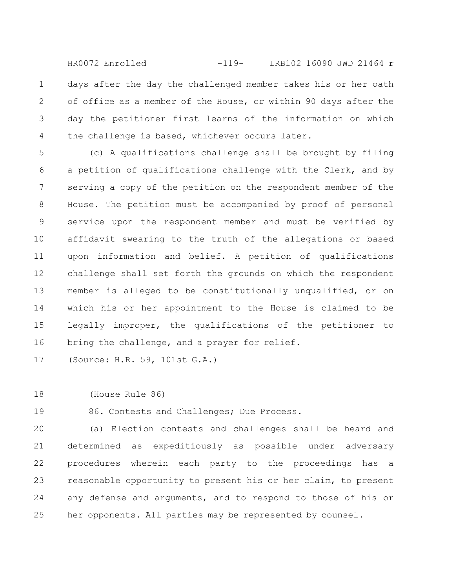days after the day the challenged member takes his or her oath of office as a member of the House, or within 90 days after the day the petitioner first learns of the information on which the challenge is based, whichever occurs later. 1 2 3 4 HR0072 Enrolled -119- LRB102 16090 JWD 21464 r

(c) A qualifications challenge shall be brought by filing a petition of qualifications challenge with the Clerk, and by serving a copy of the petition on the respondent member of the House. The petition must be accompanied by proof of personal service upon the respondent member and must be verified by affidavit swearing to the truth of the allegations or based upon information and belief. A petition of qualifications challenge shall set forth the grounds on which the respondent member is alleged to be constitutionally unqualified, or on which his or her appointment to the House is claimed to be legally improper, the qualifications of the petitioner to bring the challenge, and a prayer for relief. 5 6 7 8 9 10 11 12 13 14 15 16

(Source: H.R. 59, 101st G.A.) 17

(House Rule 86) 18

86. Contests and Challenges; Due Process. 19

(a) Election contests and challenges shall be heard and determined as expeditiously as possible under adversary procedures wherein each party to the proceedings has a reasonable opportunity to present his or her claim, to present any defense and arguments, and to respond to those of his or her opponents. All parties may be represented by counsel. 20 21 22 23 24 25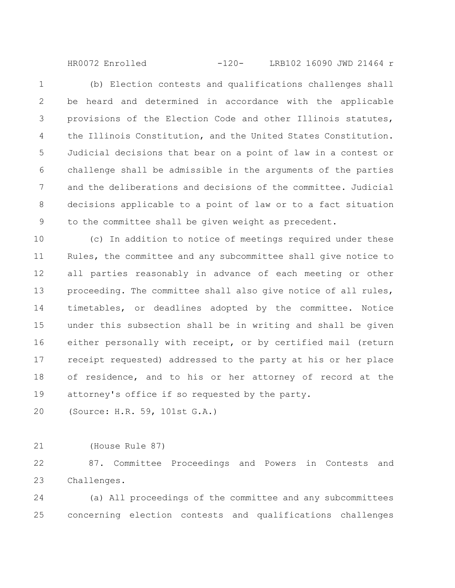HR0072 Enrolled -120- LRB102 16090 JWD 21464 r

(b) Election contests and qualifications challenges shall be heard and determined in accordance with the applicable provisions of the Election Code and other Illinois statutes, the Illinois Constitution, and the United States Constitution. Judicial decisions that bear on a point of law in a contest or challenge shall be admissible in the arguments of the parties and the deliberations and decisions of the committee. Judicial decisions applicable to a point of law or to a fact situation to the committee shall be given weight as precedent. 1 2 3 4 5 6 7 8 9

(c) In addition to notice of meetings required under these Rules, the committee and any subcommittee shall give notice to all parties reasonably in advance of each meeting or other proceeding. The committee shall also give notice of all rules, timetables, or deadlines adopted by the committee. Notice under this subsection shall be in writing and shall be given either personally with receipt, or by certified mail (return receipt requested) addressed to the party at his or her place of residence, and to his or her attorney of record at the attorney's office if so requested by the party. 10 11 12 13 14 15 16 17 18 19

(Source: H.R. 59, 101st G.A.) 20

(House Rule 87) 21

87. Committee Proceedings and Powers in Contests and Challenges. 22 23

(a) All proceedings of the committee and any subcommittees concerning election contests and qualifications challenges 24 25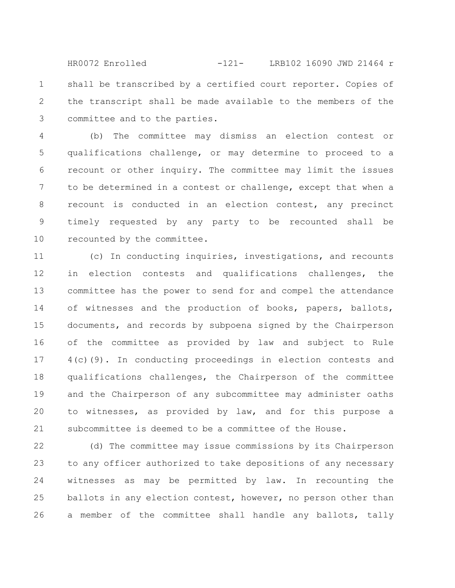shall be transcribed by a certified court reporter. Copies of the transcript shall be made available to the members of the committee and to the parties. 1 2 3 HR0072 Enrolled -121- LRB102 16090 JWD 21464 r

(b) The committee may dismiss an election contest or qualifications challenge, or may determine to proceed to a recount or other inquiry. The committee may limit the issues to be determined in a contest or challenge, except that when a recount is conducted in an election contest, any precinct timely requested by any party to be recounted shall be recounted by the committee. 4 5 6 7 8 9 10

(c) In conducting inquiries, investigations, and recounts in election contests and qualifications challenges, the committee has the power to send for and compel the attendance of witnesses and the production of books, papers, ballots, documents, and records by subpoena signed by the Chairperson of the committee as provided by law and subject to Rule 4(c)(9). In conducting proceedings in election contests and qualifications challenges, the Chairperson of the committee and the Chairperson of any subcommittee may administer oaths to witnesses, as provided by law, and for this purpose a subcommittee is deemed to be a committee of the House. 12 13 14 15 16 17 18 19 20 21

(d) The committee may issue commissions by its Chairperson to any officer authorized to take depositions of any necessary witnesses as may be permitted by law. In recounting the ballots in any election contest, however, no person other than a member of the committee shall handle any ballots, tally 22 23 24 25 26

11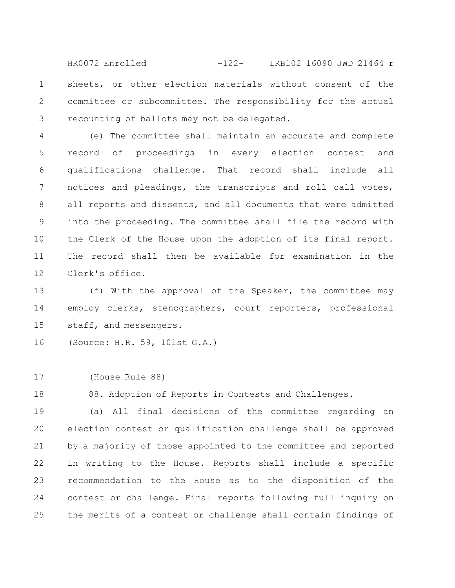sheets, or other election materials without consent of the committee or subcommittee. The responsibility for the actual recounting of ballots may not be delegated. 1 2 3 HR0072 Enrolled -122- LRB102 16090 JWD 21464 r

(e) The committee shall maintain an accurate and complete record of proceedings in every election contest and qualifications challenge. That record shall include all notices and pleadings, the transcripts and roll call votes, all reports and dissents, and all documents that were admitted into the proceeding. The committee shall file the record with the Clerk of the House upon the adoption of its final report. The record shall then be available for examination in the Clerk's office. 4 5 6 7 8 9 10 11 12

(f) With the approval of the Speaker, the committee may employ clerks, stenographers, court reporters, professional staff, and messengers. 13 14 15

(Source: H.R. 59, 101st G.A.) 16

(House Rule 88) 17

88. Adoption of Reports in Contests and Challenges. 18

(a) All final decisions of the committee regarding an election contest or qualification challenge shall be approved by a majority of those appointed to the committee and reported in writing to the House. Reports shall include a specific recommendation to the House as to the disposition of the contest or challenge. Final reports following full inquiry on the merits of a contest or challenge shall contain findings of 19 20 21 22 23 24 25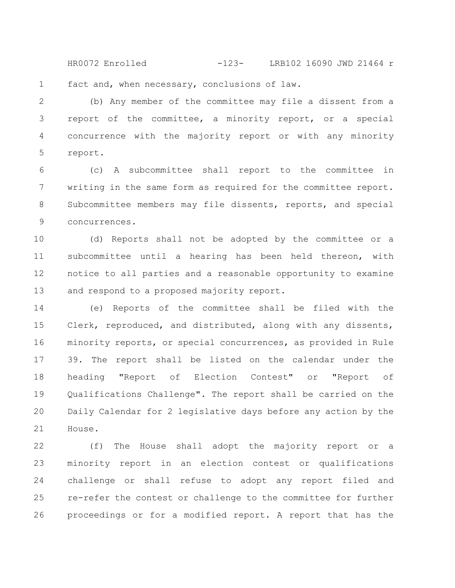fact and, when necessary, conclusions of law. HR0072 Enrolled -123- LRB102 16090 JWD 21464 r

(b) Any member of the committee may file a dissent from a report of the committee, a minority report, or a special concurrence with the majority report or with any minority report. 2 3 4 5

1

(c) A subcommittee shall report to the committee in writing in the same form as required for the committee report. Subcommittee members may file dissents, reports, and special concurrences. 6 7 8 9

(d) Reports shall not be adopted by the committee or a subcommittee until a hearing has been held thereon, with notice to all parties and a reasonable opportunity to examine and respond to a proposed majority report. 10 11 12 13

(e) Reports of the committee shall be filed with the Clerk, reproduced, and distributed, along with any dissents, minority reports, or special concurrences, as provided in Rule 39. The report shall be listed on the calendar under the heading "Report of Election Contest" or "Report of Qualifications Challenge". The report shall be carried on the Daily Calendar for 2 legislative days before any action by the House. 14 15 16 17 18 19 20 21

(f) The House shall adopt the majority report or a minority report in an election contest or qualifications challenge or shall refuse to adopt any report filed and re-refer the contest or challenge to the committee for further proceedings or for a modified report. A report that has the 22 23 24 25 26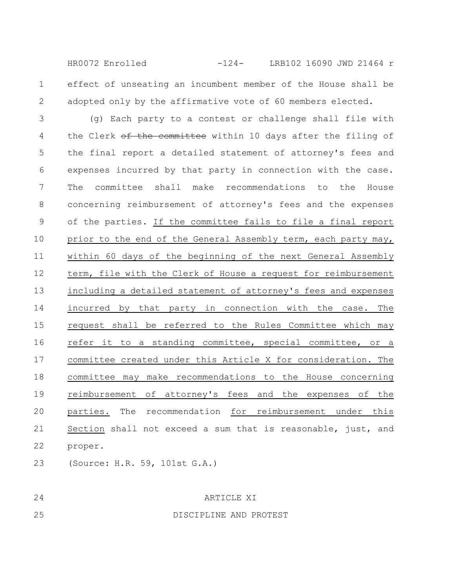effect of unseating an incumbent member of the House shall be adopted only by the affirmative vote of 60 members elected. 1 HR0072 Enrolled -124- LRB102 16090 JWD 21464 r

(g) Each party to a contest or challenge shall file with the Clerk of the committee within 10 days after the filing of the final report a detailed statement of attorney's fees and expenses incurred by that party in connection with the case. The committee shall make recommendations to the House concerning reimbursement of attorney's fees and the expenses of the parties. If the committee fails to file a final report prior to the end of the General Assembly term, each party may, within 60 days of the beginning of the next General Assembly term, file with the Clerk of House a request for reimbursement including a detailed statement of attorney's fees and expenses incurred by that party in connection with the case. The request shall be referred to the Rules Committee which may refer it to a standing committee, special committee, or a committee created under this Article X for consideration. The committee may make recommendations to the House concerning reimbursement of attorney's fees and the expenses of the parties. The recommendation for reimbursement under this Section shall not exceed a sum that is reasonable, just, and proper. 3 4 5 6 7 8 9 10 11 12 13 14 15 16 17 18 19 20 21 22

(Source: H.R. 59, 101st G.A.) 23

24

2

## ARTICLE XI

25

DISCIPLINE AND PROTEST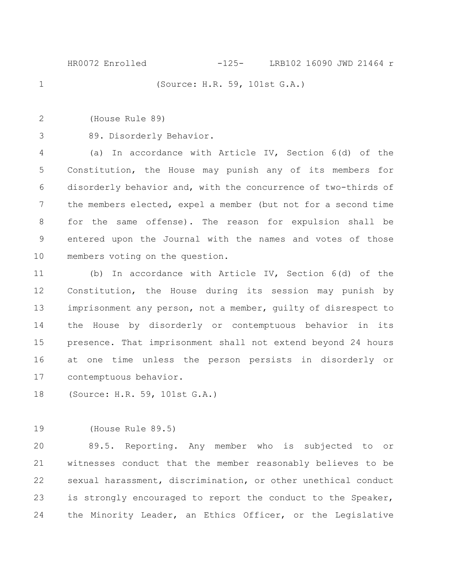(Source: H.R. 59, 101st G.A.) HR0072 Enrolled -125- LRB102 16090 JWD 21464 r

(House Rule 89) 2

1

89. Disorderly Behavior. 3

(a) In accordance with Article IV, Section 6(d) of the Constitution, the House may punish any of its members for disorderly behavior and, with the concurrence of two-thirds of the members elected, expel a member (but not for a second time for the same offense). The reason for expulsion shall be entered upon the Journal with the names and votes of those members voting on the question. 4 5 6 7 8 9 10

(b) In accordance with Article IV, Section 6(d) of the Constitution, the House during its session may punish by imprisonment any person, not a member, guilty of disrespect to the House by disorderly or contemptuous behavior in its presence. That imprisonment shall not extend beyond 24 hours at one time unless the person persists in disorderly or contemptuous behavior. 11 12 13 14 15 16 17

(Source: H.R. 59, 101st G.A.) 18

(House Rule 89.5) 19

89.5. Reporting. Any member who is subjected to or witnesses conduct that the member reasonably believes to be sexual harassment, discrimination, or other unethical conduct is strongly encouraged to report the conduct to the Speaker, the Minority Leader, an Ethics Officer, or the Legislative 20 21 22 23 24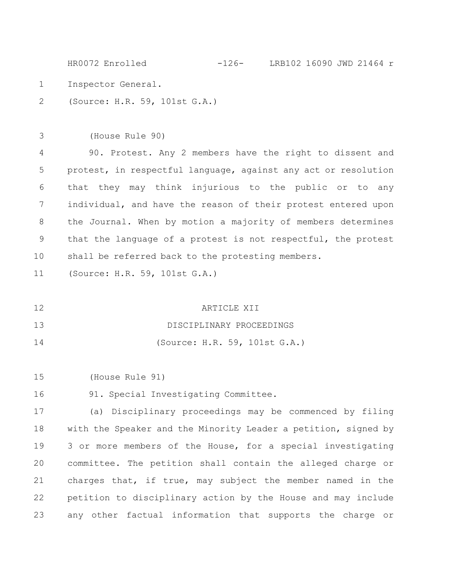Inspector General. (Source: H.R. 59, 101st G.A.) 1 2 HR0072 Enrolled -126- LRB102 16090 JWD 21464 r

(House Rule 90) 90. Protest. Any 2 members have the right to dissent and protest, in respectful language, against any act or resolution that they may think injurious to the public or to any individual, and have the reason of their protest entered upon the Journal. When by motion a majority of members determines that the language of a protest is not respectful, the protest shall be referred back to the protesting members. 3 4 5 6 7 8 9 10

(Source: H.R. 59, 101st G.A.) 11

ARTICLE XII 12

DISCIPLINARY PROCEEDINGS 13

(Source: H.R. 59, 101st G.A.) 14

(House Rule 91) 15

91. Special Investigating Committee. 16

(a) Disciplinary proceedings may be commenced by filing with the Speaker and the Minority Leader a petition, signed by 3 or more members of the House, for a special investigating committee. The petition shall contain the alleged charge or charges that, if true, may subject the member named in the petition to disciplinary action by the House and may include any other factual information that supports the charge or 17 18 19 20 21 22 23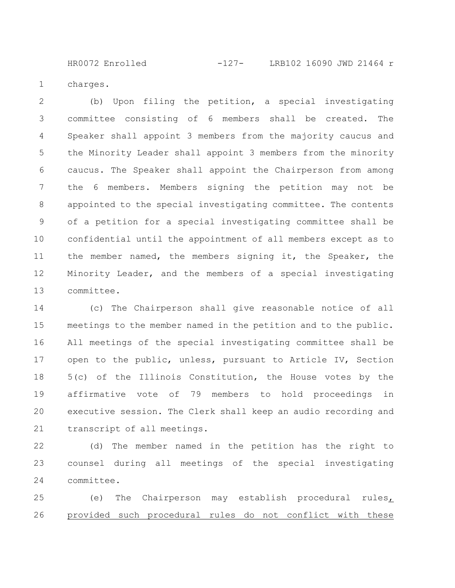charges. 1

(b) Upon filing the petition, a special investigating committee consisting of 6 members shall be created. The Speaker shall appoint 3 members from the majority caucus and the Minority Leader shall appoint 3 members from the minority caucus. The Speaker shall appoint the Chairperson from among the 6 members. Members signing the petition may not be appointed to the special investigating committee. The contents of a petition for a special investigating committee shall be confidential until the appointment of all members except as to the member named, the members signing it, the Speaker, the Minority Leader, and the members of a special investigating committee. 2 3 4 5 6 7 8 9 10 11 12 13

(c) The Chairperson shall give reasonable notice of all meetings to the member named in the petition and to the public. All meetings of the special investigating committee shall be open to the public, unless, pursuant to Article IV, Section 5(c) of the Illinois Constitution, the House votes by the affirmative vote of 79 members to hold proceedings in executive session. The Clerk shall keep an audio recording and transcript of all meetings. 14 15 16 17 18 19 20 21

(d) The member named in the petition has the right to counsel during all meetings of the special investigating committee. 22 23 24

(e) The Chairperson may establish procedural rules, provided such procedural rules do not conflict with these 25 26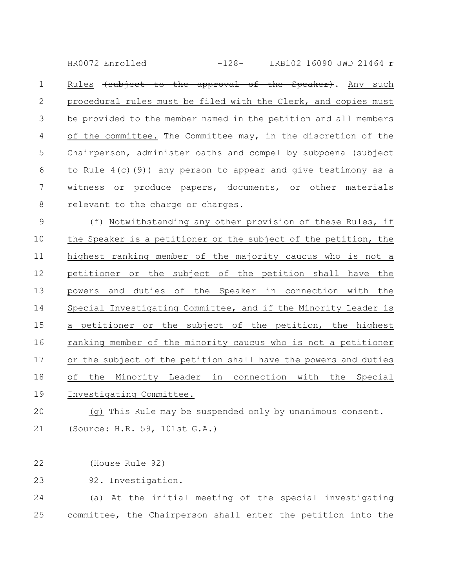Rules (subject to the approval of the Speaker). Any such procedural rules must be filed with the Clerk, and copies must be provided to the member named in the petition and all members of the committee. The Committee may, in the discretion of the Chairperson, administer oaths and compel by subpoena (subject to Rule 4(c)(9)) any person to appear and give testimony as a witness or produce papers, documents, or other materials relevant to the charge or charges. 1 2 3 4 5 6 7 8 HR0072 Enrolled -128- LRB102 16090 JWD 21464 r

(f) Notwithstanding any other provision of these Rules, if the Speaker is a petitioner or the subject of the petition, the highest ranking member of the majority caucus who is not a petitioner or the subject of the petition shall have the powers and duties of the Speaker in connection with the Special Investigating Committee, and if the Minority Leader is a petitioner or the subject of the petition, the highest ranking member of the minority caucus who is not a petitioner or the subject of the petition shall have the powers and duties of the Minority Leader in connection with the Special Investigating Committee. 9 10 11 12 13 14 15 16 17 18 19

(g) This Rule may be suspended only by unanimous consent. (Source: H.R. 59, 101st G.A.) 20 21

(House Rule 92) 22

92. Investigation. 23

(a) At the initial meeting of the special investigating committee, the Chairperson shall enter the petition into the 24 25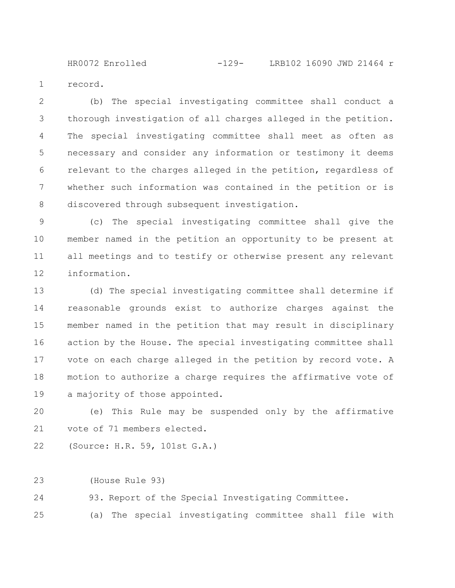record. 1

(b) The special investigating committee shall conduct a thorough investigation of all charges alleged in the petition. The special investigating committee shall meet as often as necessary and consider any information or testimony it deems relevant to the charges alleged in the petition, regardless of whether such information was contained in the petition or is discovered through subsequent investigation. 2 3 4 5 6 7 8

(c) The special investigating committee shall give the member named in the petition an opportunity to be present at all meetings and to testify or otherwise present any relevant information. 9 10 11 12

(d) The special investigating committee shall determine if reasonable grounds exist to authorize charges against the member named in the petition that may result in disciplinary action by the House. The special investigating committee shall vote on each charge alleged in the petition by record vote. A motion to authorize a charge requires the affirmative vote of a majority of those appointed. 13 14 15 16 17 18 19

(e) This Rule may be suspended only by the affirmative vote of 71 members elected. 20 21

(Source: H.R. 59, 101st G.A.) 22

(House Rule 93) 23

93. Report of the Special Investigating Committee. 24

(a) The special investigating committee shall file with 25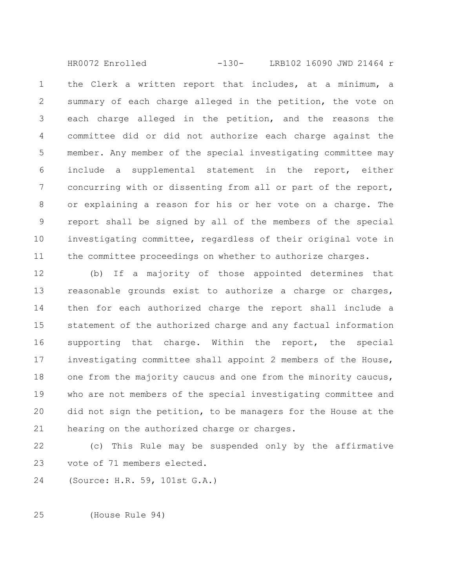the Clerk a written report that includes, at a minimum, a summary of each charge alleged in the petition, the vote on each charge alleged in the petition, and the reasons the committee did or did not authorize each charge against the member. Any member of the special investigating committee may include a supplemental statement in the report, either concurring with or dissenting from all or part of the report, or explaining a reason for his or her vote on a charge. The report shall be signed by all of the members of the special investigating committee, regardless of their original vote in the committee proceedings on whether to authorize charges. 1 2 3 4 5 6 7 8 9 10 11 HR0072 Enrolled -130- LRB102 16090 JWD 21464 r

(b) If a majority of those appointed determines that reasonable grounds exist to authorize a charge or charges, then for each authorized charge the report shall include a statement of the authorized charge and any factual information supporting that charge. Within the report, the special investigating committee shall appoint 2 members of the House, one from the majority caucus and one from the minority caucus, who are not members of the special investigating committee and did not sign the petition, to be managers for the House at the hearing on the authorized charge or charges. 12 13 14 15 16 17 18 19 20 21

(c) This Rule may be suspended only by the affirmative vote of 71 members elected. 22 23

(Source: H.R. 59, 101st G.A.) 24

(House Rule 94) 25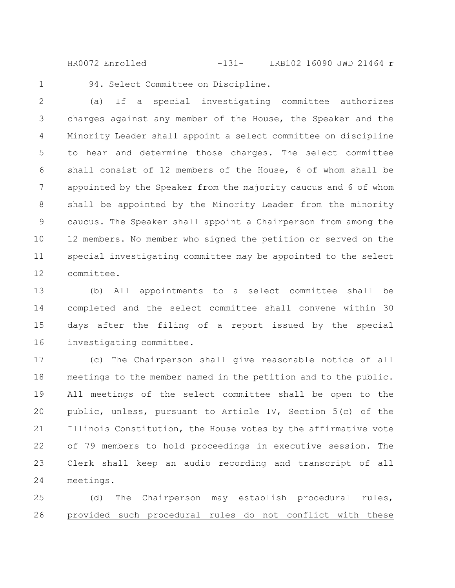HR0072 Enrolled -131- LRB102 16090 JWD 21464 r

1

94. Select Committee on Discipline.

(a) If a special investigating committee authorizes charges against any member of the House, the Speaker and the Minority Leader shall appoint a select committee on discipline to hear and determine those charges. The select committee shall consist of 12 members of the House, 6 of whom shall be appointed by the Speaker from the majority caucus and 6 of whom shall be appointed by the Minority Leader from the minority caucus. The Speaker shall appoint a Chairperson from among the 12 members. No member who signed the petition or served on the special investigating committee may be appointed to the select committee. 2 3 4 5 6 7 8 9 10 11 12

(b) All appointments to a select committee shall be completed and the select committee shall convene within 30 days after the filing of a report issued by the special investigating committee. 13 14 15 16

(c) The Chairperson shall give reasonable notice of all meetings to the member named in the petition and to the public. All meetings of the select committee shall be open to the public, unless, pursuant to Article IV, Section 5(c) of the Illinois Constitution, the House votes by the affirmative vote of 79 members to hold proceedings in executive session. The Clerk shall keep an audio recording and transcript of all meetings. 17 18 19 20 21 22 23 24

(d) The Chairperson may establish procedural rules, provided such procedural rules do not conflict with these 25 26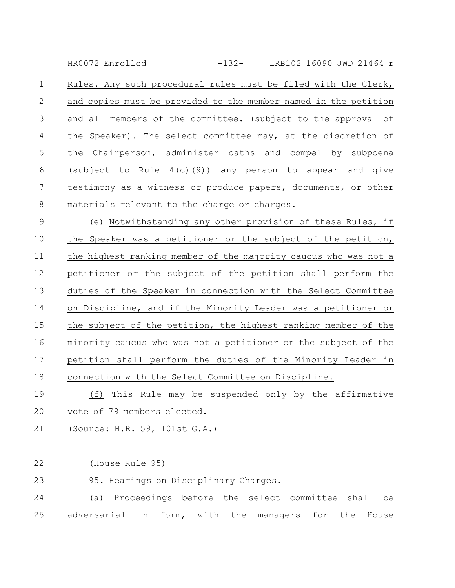Rules. Any such procedural rules must be filed with the Clerk, and copies must be provided to the member named in the petition and all members of the committee. (subject to the approval of the Speaker). The select committee may, at the discretion of the Chairperson, administer oaths and compel by subpoena (subject to Rule  $4(c)(9)$ ) any person to appear and give testimony as a witness or produce papers, documents, or other materials relevant to the charge or charges. 1 2 3 4 5 6 7 8 HR0072 Enrolled -132- LRB102 16090 JWD 21464 r

(e) Notwithstanding any other provision of these Rules, if the Speaker was a petitioner or the subject of the petition, the highest ranking member of the majority caucus who was not a petitioner or the subject of the petition shall perform the duties of the Speaker in connection with the Select Committee on Discipline, and if the Minority Leader was a petitioner or the subject of the petition, the highest ranking member of the minority caucus who was not a petitioner or the subject of the petition shall perform the duties of the Minority Leader in connection with the Select Committee on Discipline. 9 10 11 12 13 14 15 16 17 18

(f) This Rule may be suspended only by the affirmative vote of 79 members elected. 19 20

- (Source: H.R. 59, 101st G.A.) 21
- (House Rule 95) 22

95. Hearings on Disciplinary Charges. 23

(a) Proceedings before the select committee shall be adversarial in form, with the managers for the House 24 25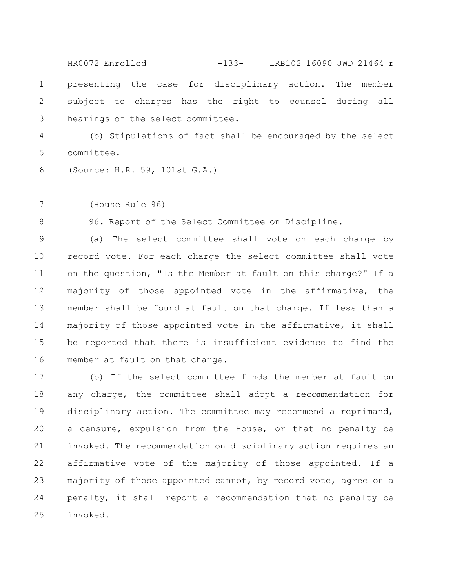presenting the case for disciplinary action. The member subject to charges has the right to counsel during all hearings of the select committee. 1 2 3 HR0072 Enrolled -133- LRB102 16090 JWD 21464 r

(b) Stipulations of fact shall be encouraged by the select committee. 4 5

(Source: H.R. 59, 101st G.A.) 6

(House Rule 96) 7

8

96. Report of the Select Committee on Discipline.

(a) The select committee shall vote on each charge by record vote. For each charge the select committee shall vote on the question, "Is the Member at fault on this charge?" If a majority of those appointed vote in the affirmative, the member shall be found at fault on that charge. If less than a majority of those appointed vote in the affirmative, it shall be reported that there is insufficient evidence to find the member at fault on that charge. 9 10 11 12 13 14 15 16

(b) If the select committee finds the member at fault on any charge, the committee shall adopt a recommendation for disciplinary action. The committee may recommend a reprimand, a censure, expulsion from the House, or that no penalty be invoked. The recommendation on disciplinary action requires an affirmative vote of the majority of those appointed. If a majority of those appointed cannot, by record vote, agree on a penalty, it shall report a recommendation that no penalty be invoked. 17 18 19 20 21 22 23 24 25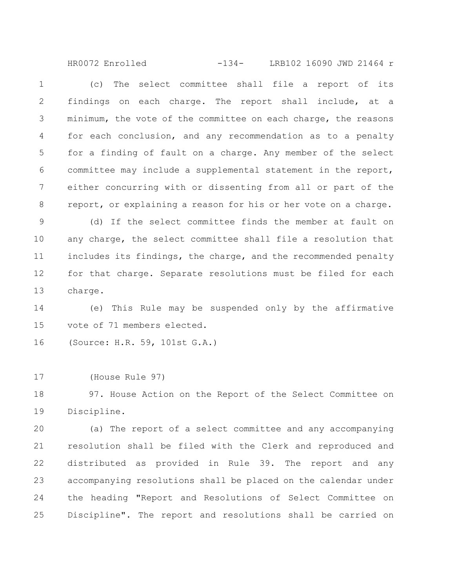(c) The select committee shall file a report of its findings on each charge. The report shall include, at a minimum, the vote of the committee on each charge, the reasons for each conclusion, and any recommendation as to a penalty for a finding of fault on a charge. Any member of the select committee may include a supplemental statement in the report, either concurring with or dissenting from all or part of the report, or explaining a reason for his or her vote on a charge. 1 2 3 4 5 6 7 8 HR0072 Enrolled -134- LRB102 16090 JWD 21464 r

(d) If the select committee finds the member at fault on any charge, the select committee shall file a resolution that includes its findings, the charge, and the recommended penalty for that charge. Separate resolutions must be filed for each charge. 9 10 11 12 13

(e) This Rule may be suspended only by the affirmative vote of 71 members elected. 14 15

(Source: H.R. 59, 101st G.A.) 16

(House Rule 97) 17

97. House Action on the Report of the Select Committee on Discipline. 18 19

(a) The report of a select committee and any accompanying resolution shall be filed with the Clerk and reproduced and distributed as provided in Rule 39. The report and any accompanying resolutions shall be placed on the calendar under the heading "Report and Resolutions of Select Committee on Discipline". The report and resolutions shall be carried on 20 21 22 23 24 25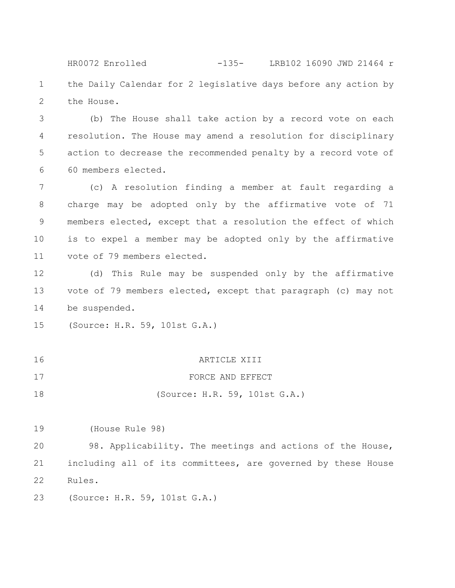the Daily Calendar for 2 legislative days before any action by the House. 1 2 HR0072 Enrolled -135- LRB102 16090 JWD 21464 r

(b) The House shall take action by a record vote on each resolution. The House may amend a resolution for disciplinary action to decrease the recommended penalty by a record vote of 60 members elected. 3 4 5 6

(c) A resolution finding a member at fault regarding a charge may be adopted only by the affirmative vote of 71 members elected, except that a resolution the effect of which is to expel a member may be adopted only by the affirmative vote of 79 members elected. 7 8 9 10 11

(d) This Rule may be suspended only by the affirmative vote of 79 members elected, except that paragraph (c) may not be suspended. 12 13 14

(Source: H.R. 59, 101st G.A.) 15

| 16 | ARTICLE XIII                  |
|----|-------------------------------|
| 17 | FORCE AND EFFECT              |
| 18 | (Source: H.R. 59, 101st G.A.) |

(House Rule 98) 19

98. Applicability. The meetings and actions of the House, including all of its committees, are governed by these House Rules. 20 21 22

(Source: H.R. 59, 101st G.A.) 23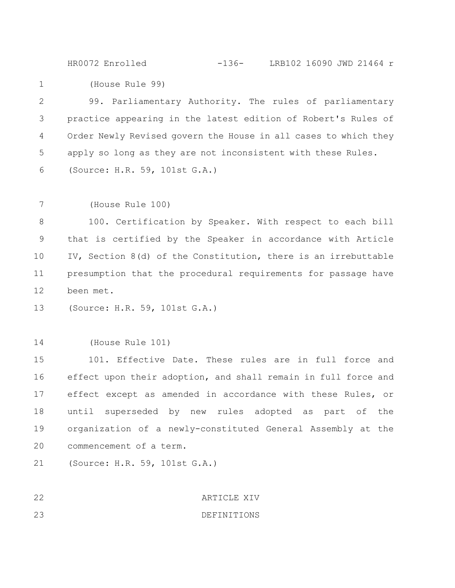HR0072 Enrolled -136- LRB102 16090 JWD 21464 r

(House Rule 99) 1

99. Parliamentary Authority. The rules of parliamentary practice appearing in the latest edition of Robert's Rules of Order Newly Revised govern the House in all cases to which they apply so long as they are not inconsistent with these Rules. (Source: H.R. 59, 101st G.A.) 2 3 4 5 6

(House Rule 100) 7

100. Certification by Speaker. With respect to each bill that is certified by the Speaker in accordance with Article IV, Section 8(d) of the Constitution, there is an irrebuttable presumption that the procedural requirements for passage have been met. 8 9 10 11 12

(Source: H.R. 59, 101st G.A.) 13

(House Rule 101) 14

101. Effective Date. These rules are in full force and effect upon their adoption, and shall remain in full force and effect except as amended in accordance with these Rules, or until superseded by new rules adopted as part of the organization of a newly-constituted General Assembly at the commencement of a term. 15 16 17 18 19 20

(Source: H.R. 59, 101st G.A.) 21

ARTICLE XIV DEFINITIONS 22 23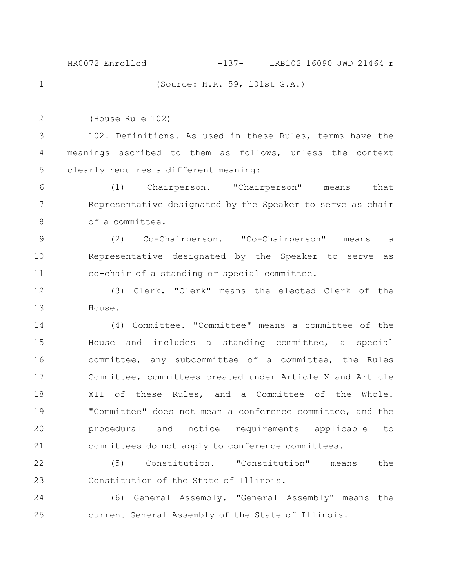(Source: H.R. 59, 101st G.A.) HR0072 Enrolled -137- LRB102 16090 JWD 21464 r

1

2

(House Rule 102)

102. Definitions. As used in these Rules, terms have the meanings ascribed to them as follows, unless the context clearly requires a different meaning: 3 4 5

(1) Chairperson. "Chairperson" means that Representative designated by the Speaker to serve as chair of a committee. 6 7 8

(2) Co-Chairperson. "Co-Chairperson" means a Representative designated by the Speaker to serve as co-chair of a standing or special committee. 9 10 11

(3) Clerk. "Clerk" means the elected Clerk of the House. 12 13

(4) Committee. "Committee" means a committee of the House and includes a standing committee, a special committee, any subcommittee of a committee, the Rules Committee, committees created under Article X and Article XII of these Rules, and a Committee of the Whole. "Committee" does not mean a conference committee, and the procedural and notice requirements applicable to committees do not apply to conference committees. 14 15 16 17 18 19 20 21

(5) Constitution. "Constitution" means the Constitution of the State of Illinois. 22 23

(6) General Assembly. "General Assembly" means the current General Assembly of the State of Illinois. 24 25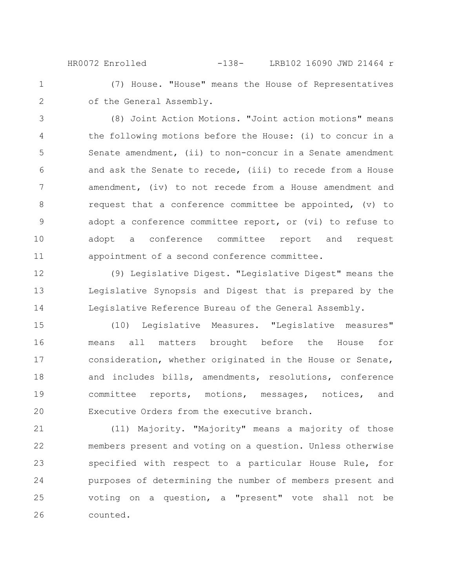(7) House. "House" means the House of Representatives of the General Assembly. HR0072 Enrolled -138- LRB102 16090 JWD 21464 r

1

2

(8) Joint Action Motions. "Joint action motions" means the following motions before the House: (i) to concur in a Senate amendment, (ii) to non-concur in a Senate amendment and ask the Senate to recede, (iii) to recede from a House amendment, (iv) to not recede from a House amendment and request that a conference committee be appointed, (v) to adopt a conference committee report, or (vi) to refuse to adopt a conference committee report and request appointment of a second conference committee. 3 4 5 6 7 8 9 10 11

(9) Legislative Digest. "Legislative Digest" means the Legislative Synopsis and Digest that is prepared by the Legislative Reference Bureau of the General Assembly. 12 13 14

(10) Legislative Measures. "Legislative measures" means all matters brought before the House for consideration, whether originated in the House or Senate, and includes bills, amendments, resolutions, conference committee reports, motions, messages, notices, and Executive Orders from the executive branch. 15 16 17 18 19 20

(11) Majority. "Majority" means a majority of those members present and voting on a question. Unless otherwise specified with respect to a particular House Rule, for purposes of determining the number of members present and voting on a question, a "present" vote shall not be counted. 21 22 23 24 25 26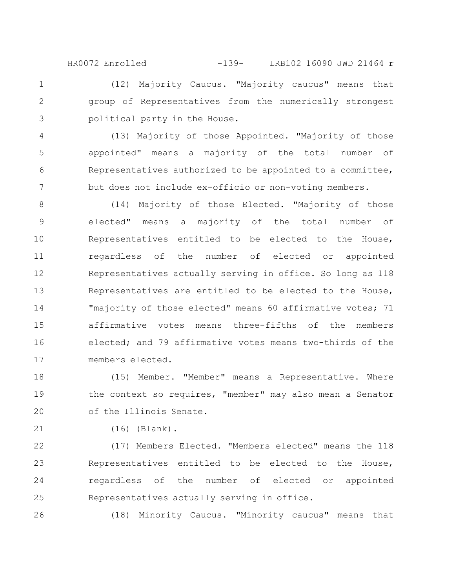(12) Majority Caucus. "Majority caucus" means that group of Representatives from the numerically strongest political party in the House. HR0072 Enrolled -139- LRB102 16090 JWD 21464 r

(13) Majority of those Appointed. "Majority of those appointed" means a majority of the total number of Representatives authorized to be appointed to a committee, but does not include ex-officio or non-voting members. 4 5 6 7

(14) Majority of those Elected. "Majority of those elected" means a majority of the total number of Representatives entitled to be elected to the House, regardless of the number of elected or appointed Representatives actually serving in office. So long as 118 Representatives are entitled to be elected to the House, "majority of those elected" means 60 affirmative votes; 71 affirmative votes means three-fifths of the members elected; and 79 affirmative votes means two-thirds of the members elected. 8 9 10 11 12 13 14 15 16 17

(15) Member. "Member" means a Representative. Where the context so requires, "member" may also mean a Senator of the Illinois Senate. 18 19 20

21

26

1

2

3

(16) (Blank).

(17) Members Elected. "Members elected" means the 118 Representatives entitled to be elected to the House, regardless of the number of elected or appointed Representatives actually serving in office. 22 23 24 25

(18) Minority Caucus. "Minority caucus" means that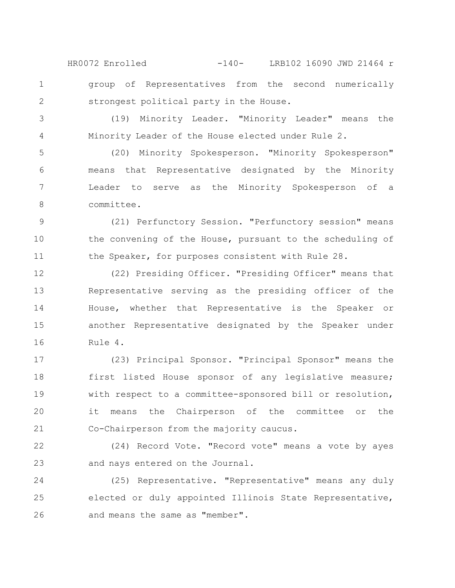group of Representatives from the second numerically strongest political party in the House. HR0072 Enrolled -140- LRB102 16090 JWD 21464 r

(19) Minority Leader. "Minority Leader" means the Minority Leader of the House elected under Rule 2. 3 4

1

2

(20) Minority Spokesperson. "Minority Spokesperson" means that Representative designated by the Minority Leader to serve as the Minority Spokesperson of a committee. 5 6 7 8

(21) Perfunctory Session. "Perfunctory session" means the convening of the House, pursuant to the scheduling of the Speaker, for purposes consistent with Rule 28. 9 10 11

(22) Presiding Officer. "Presiding Officer" means that Representative serving as the presiding officer of the House, whether that Representative is the Speaker or another Representative designated by the Speaker under Rule 4. 12 13 14 15 16

(23) Principal Sponsor. "Principal Sponsor" means the first listed House sponsor of any legislative measure; with respect to a committee-sponsored bill or resolution, it means the Chairperson of the committee or the Co-Chairperson from the majority caucus. 17 18 19 20 21

(24) Record Vote. "Record vote" means a vote by ayes and nays entered on the Journal. 22 23

(25) Representative. "Representative" means any duly elected or duly appointed Illinois State Representative, and means the same as "member". 24 25 26